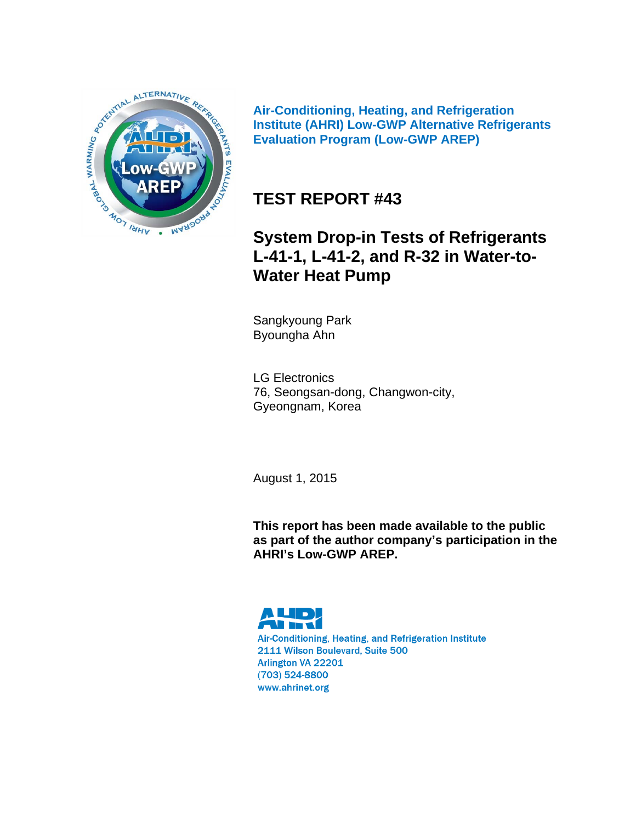

**Air-Conditioning, Heating, and Refrigeration Institute (AHRI) Low-GWP Alternative Refrigerants Evaluation Program (Low-GWP AREP)** 

# **TEST REPORT #43**

# **System Drop-in Tests of Refrigerants L-41-1, L-41-2, and R-32 in Water-to-Water Heat Pump**

Sangkyoung Park Byoungha Ahn

LG Electronics 76, Seongsan-dong, Changwon-city, Gyeongnam, Korea

August 1, 2015

**This report has been made available to the public as part of the author company's participation in the AHRI's Low-GWP AREP.** 

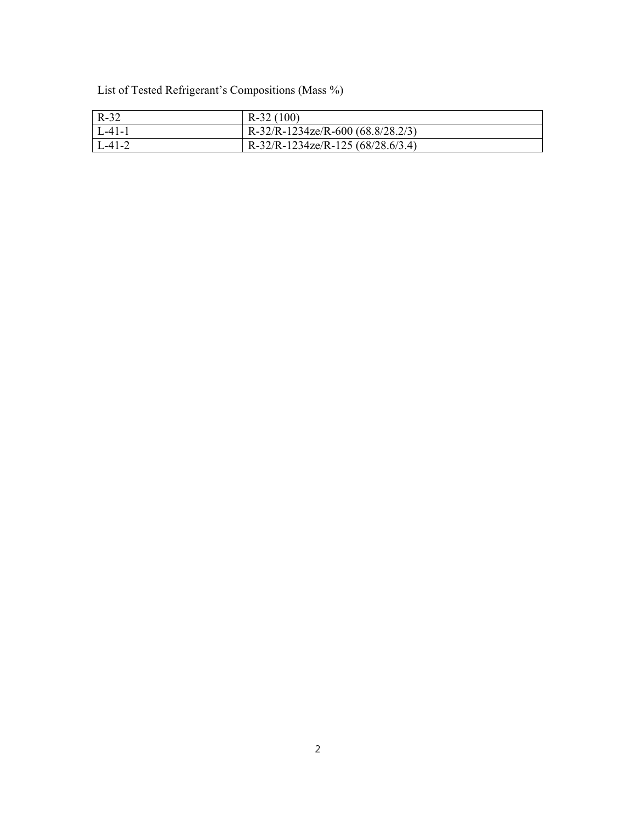List of Tested Refrigerant's Compositions (Mass %)

| $R-32$           | $R-32(100)$                       |
|------------------|-----------------------------------|
| $\lfloor$ L-41-1 | R-32/R-1234ze/R-600 (68.8/28.2/3) |
| $\lfloor$ L-41-2 | R-32/R-1234ze/R-125 (68/28.6/3.4) |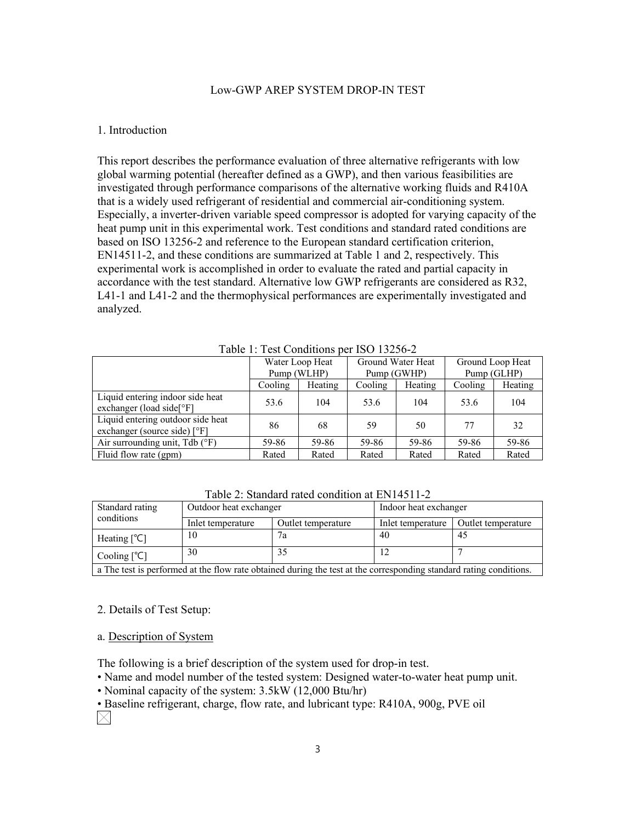#### Low-GWP AREP SYSTEM DROP-IN TEST

#### 1. Introduction

This report describes the performance evaluation of three alternative refrigerants with low global warming potential (hereafter defined as a GWP), and then various feasibilities are investigated through performance comparisons of the alternative working fluids and R410A that is a widely used refrigerant of residential and commercial air-conditioning system. Especially, a inverter-driven variable speed compressor is adopted for varying capacity of the heat pump unit in this experimental work. Test conditions and standard rated conditions are based on ISO 13256-2 and reference to the European standard certification criterion, EN14511-2, and these conditions are summarized at Table 1 and 2, respectively. This experimental work is accomplished in order to evaluate the rated and partial capacity in accordance with the test standard. Alternative low GWP refrigerants are considered as R32, L41-1 and L41-2 and the thermophysical performances are experimentally investigated and analyzed.

| Table 1. Test Conditions bet 190 19290-2                                         |                 |         |                   |         |                  |         |  |
|----------------------------------------------------------------------------------|-----------------|---------|-------------------|---------|------------------|---------|--|
|                                                                                  | Water Loop Heat |         | Ground Water Heat |         | Ground Loop Heat |         |  |
|                                                                                  | Pump (WLHP)     |         | Pump (GWHP)       |         | Pump (GLHP)      |         |  |
|                                                                                  | Cooling         | Heating |                   | Heating | Cooling          | Heating |  |
| Liquid entering indoor side heat<br>exchanger (load side $\lceil \circ F \rceil$ | 53.6            | 104     | 53.6              | 104     | 53.6             | 104     |  |
| Liquid entering outdoor side heat<br>exchanger (source side) [°F]                | 86              | 68      | 59                | 50      | 77               | 32      |  |
| Air surrounding unit, $Tdb$ ( ${}^{\circ}F$ )                                    | 59-86           | 59-86   | 59-86             | 59-86   | 59-86            | 59-86   |  |
| Fluid flow rate (gpm)                                                            | Rated           | Rated   | Rated             | Rated   | Rated            | Rated   |  |
|                                                                                  |                 |         |                   |         |                  |         |  |

Table 1: Test Conditions per ISO 13256-2

Table 2: Standard rated condition at EN14511-2

| Standard rating                                       | Outdoor heat exchanger                                                                                                                                       |                   | Indoor heat exchanger |    |  |
|-------------------------------------------------------|--------------------------------------------------------------------------------------------------------------------------------------------------------------|-------------------|-----------------------|----|--|
| conditions<br>Inlet temperature<br>Outlet temperature |                                                                                                                                                              | Inlet temperature | Outlet temperature    |    |  |
| Heating $[^{\circ}C]$                                 | 10                                                                                                                                                           | 7a                | 40                    | 45 |  |
| Cooling $[^{\circ}C]$                                 | 30                                                                                                                                                           |                   |                       |    |  |
|                                                       | $\mathbb{P}^{n+1}$ and $\mathbb{P}^{n+1}$ and $\mathbb{P}^{n+1}$ and $\mathbb{P}^{n+1}$ and $\mathbb{P}^{n+1}$ and $\mathbb{P}^{n+1}$ and $\mathbb{P}^{n+1}$ |                   |                       |    |  |

a The test is performed at the flow rate obtained during the test at the corresponding standard rating conditions.

#### 2. Details of Test Setup:

a. Description of System

The following is a brief description of the system used for drop-in test.

• Name and model number of the tested system: Designed water-to-water heat pump unit.

• Nominal capacity of the system: 3.5kW (12,000 Btu/hr)

• Baseline refrigerant, charge, flow rate, and lubricant type: R410A, 900g, PVE oil  $\boxtimes$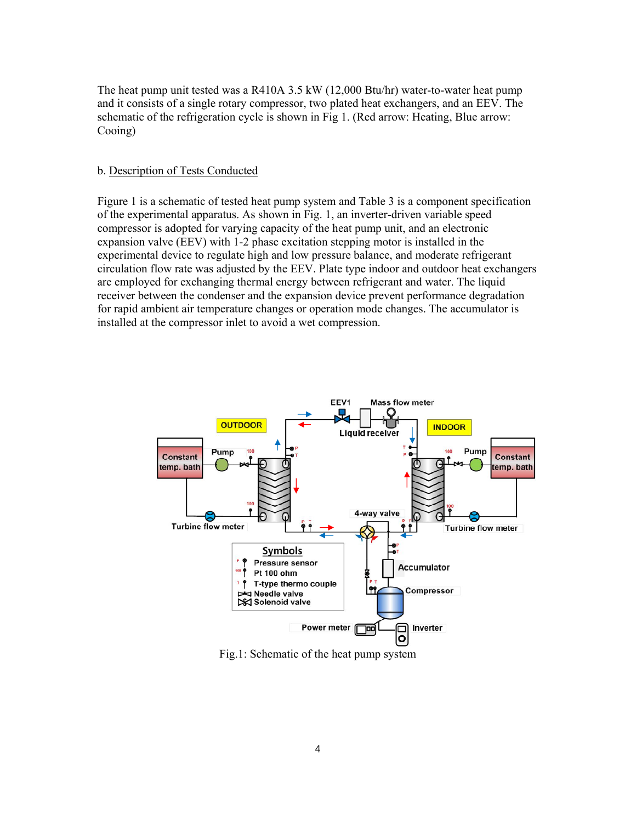The heat pump unit tested was a R410A 3.5 kW (12,000 Btu/hr) water-to-water heat pump and it consists of a single rotary compressor, two plated heat exchangers, and an EEV. The schematic of the refrigeration cycle is shown in Fig 1. (Red arrow: Heating, Blue arrow: Cooing)

#### b. Description of Tests Conducted

Figure 1 is a schematic of tested heat pump system and Table 3 is a component specification of the experimental apparatus. As shown in Fig. 1, an inverter-driven variable speed compressor is adopted for varying capacity of the heat pump unit, and an electronic expansion valve (EEV) with 1-2 phase excitation stepping motor is installed in the experimental device to regulate high and low pressure balance, and moderate refrigerant circulation flow rate was adjusted by the EEV. Plate type indoor and outdoor heat exchangers are employed for exchanging thermal energy between refrigerant and water. The liquid receiver between the condenser and the expansion device prevent performance degradation for rapid ambient air temperature changes or operation mode changes. The accumulator is installed at the compressor inlet to avoid a wet compression.



Fig.1: Schematic of the heat pump system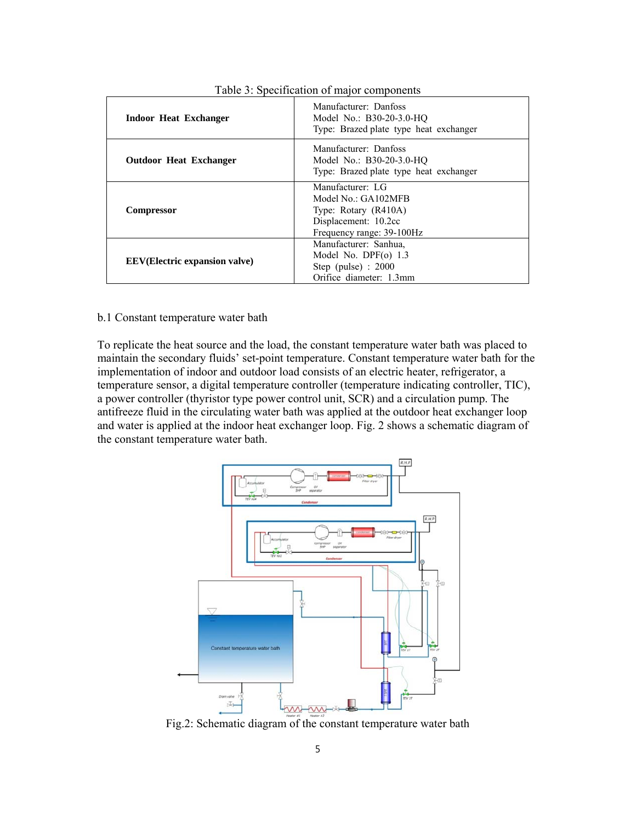| Indoor Heat Exchanger                 | Manufacturer: Danfoss<br>Model No.: B30-20-3.0-HQ<br>Type: Brazed plate type heat exchanger                          |
|---------------------------------------|----------------------------------------------------------------------------------------------------------------------|
| <b>Outdoor Heat Exchanger</b>         | Manufacturer: Danfoss<br>Model No.: B30-20-3.0-HO<br>Type: Brazed plate type heat exchanger                          |
| <b>Compressor</b>                     | Manufacturer: LG<br>Model No.: GA102MFB<br>Type: Rotary (R410A)<br>Displacement: 10.2cc<br>Frequency range: 39-100Hz |
| <b>EEV</b> (Electric expansion valve) | Manufacturer: Sanhua,<br>Model No. DPF $(o)$ 1.3<br>Step (pulse) : $2000$<br>Orifice diameter: 1.3mm                 |

Table 3: Specification of major components

#### b.1 Constant temperature water bath

To replicate the heat source and the load, the constant temperature water bath was placed to maintain the secondary fluids' set-point temperature. Constant temperature water bath for the implementation of indoor and outdoor load consists of an electric heater, refrigerator, a temperature sensor, a digital temperature controller (temperature indicating controller, TIC), a power controller (thyristor type power control unit, SCR) and a circulation pump. The antifreeze fluid in the circulating water bath was applied at the outdoor heat exchanger loop and water is applied at the indoor heat exchanger loop. Fig. 2 shows a schematic diagram of the constant temperature water bath.



Fig.2: Schematic diagram of the constant temperature water bath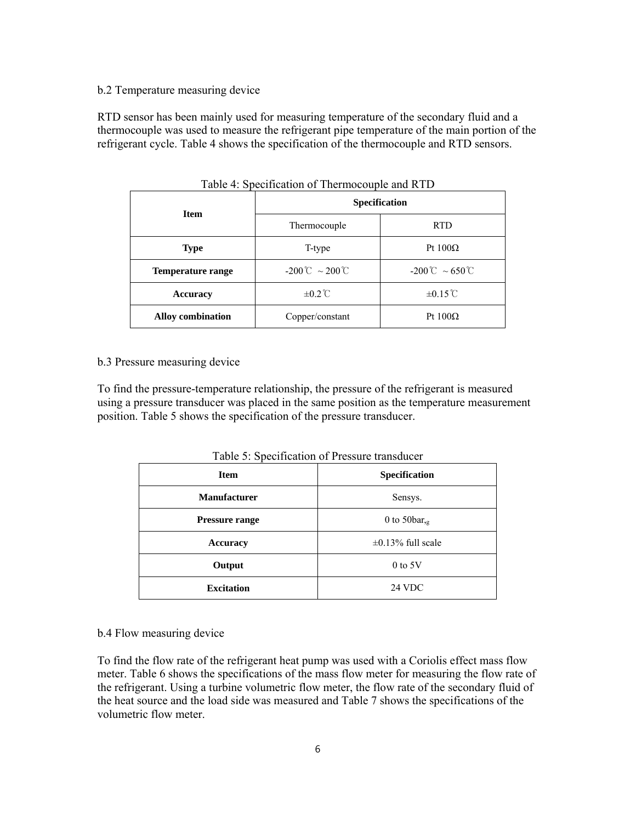#### b.2 Temperature measuring device

RTD sensor has been mainly used for measuring temperature of the secondary fluid and a thermocouple was used to measure the refrigerant pipe temperature of the main portion of the refrigerant cycle. Table 4 shows the specification of the thermocouple and RTD sensors.

| <b>Item</b>              | <b>Specification</b>              |                           |  |  |
|--------------------------|-----------------------------------|---------------------------|--|--|
|                          | Thermocouple                      | <b>RTD</b>                |  |  |
| <b>Type</b>              | T-type                            | Pt $100\Omega$            |  |  |
| <b>Temperature range</b> | $-200^{\circ}$ $\sim 200^{\circ}$ | $-200^{\circ}$ C ~ 650 °C |  |  |
| Accuracy                 | $\pm 0.2^{\circ}C$                | $\pm 0.15^{\circ}$ C      |  |  |
| <b>Alloy combination</b> | Copper/constant                   | Pt $100\Omega$            |  |  |

Table 4: Specification of Thermocouple and RTD

#### b.3 Pressure measuring device

To find the pressure-temperature relationship, the pressure of the refrigerant is measured using a pressure transducer was placed in the same position as the temperature measurement position. Table 5 shows the specification of the pressure transducer.

| Table 5: Specification of Pressure transducer |  |
|-----------------------------------------------|--|
|-----------------------------------------------|--|

| <b>Item</b>           | Specification           |
|-----------------------|-------------------------|
| <b>Manufacturer</b>   | Sensys.                 |
| <b>Pressure range</b> | 0 to 50 bar, $g$        |
| <b>Accuracy</b>       | $\pm 0.13\%$ full scale |
| Output                | $0$ to $5V$             |
| <b>Excitation</b>     | 24 VDC                  |

#### b.4 Flow measuring device

To find the flow rate of the refrigerant heat pump was used with a Coriolis effect mass flow meter. Table 6 shows the specifications of the mass flow meter for measuring the flow rate of the refrigerant. Using a turbine volumetric flow meter, the flow rate of the secondary fluid of the heat source and the load side was measured and Table 7 shows the specifications of the volumetric flow meter.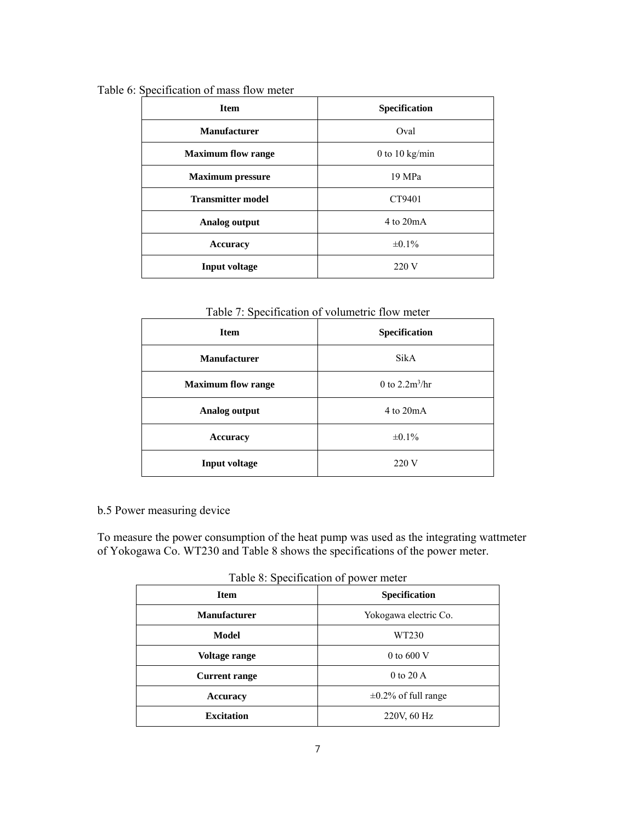| <b>Item</b>               | Specification  |
|---------------------------|----------------|
| <b>Manufacturer</b>       | Oval           |
| <b>Maximum flow range</b> | 0 to 10 kg/min |
| <b>Maximum pressure</b>   | 19 MPa         |
| <b>Transmitter model</b>  | CT9401         |
| Analog output             | $4$ to $20mA$  |
| <b>Accuracy</b>           | $\pm 0.1\%$    |
| Input voltage             | 220 V          |

Table 6: Specification of mass flow meter

Table 7: Specification of volumetric flow meter

| <b>Item</b>               | Specification    |  |  |
|---------------------------|------------------|--|--|
| <b>Manufacturer</b>       | SikA             |  |  |
| <b>Maximum flow range</b> | 0 to $2.2m^3/hr$ |  |  |
| Analog output             | $4$ to $20mA$    |  |  |
| <b>Accuracy</b>           | $\pm 0.1\%$      |  |  |
| <b>Input voltage</b>      | 220 V            |  |  |

### b.5 Power measuring device

To measure the power consumption of the heat pump was used as the integrating wattmeter of Yokogawa Co. WT230 and Table 8 shows the specifications of the power meter.

Table 8: Specification of power meter

| <b>Item</b>          | <b>Specification</b>      |
|----------------------|---------------------------|
| <b>Manufacturer</b>  | Yokogawa electric Co.     |
| Model                | WT230                     |
| Voltage range        | 0 to 600 $V$              |
| <b>Current range</b> | 0 to $20 \text{ A}$       |
| <b>Accuracy</b>      | $\pm 0.2\%$ of full range |
| <b>Excitation</b>    | 220V, 60 Hz               |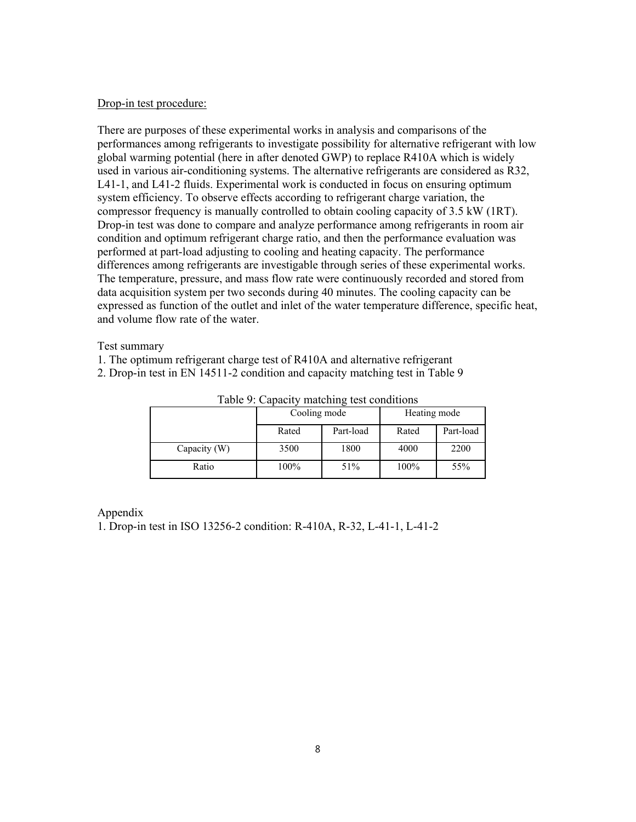#### Drop-in test procedure:

There are purposes of these experimental works in analysis and comparisons of the performances among refrigerants to investigate possibility for alternative refrigerant with low global warming potential (here in after denoted GWP) to replace R410A which is widely used in various air-conditioning systems. The alternative refrigerants are considered as R32, L41-1, and L41-2 fluids. Experimental work is conducted in focus on ensuring optimum system efficiency. To observe effects according to refrigerant charge variation, the compressor frequency is manually controlled to obtain cooling capacity of 3.5 kW (1RT). Drop-in test was done to compare and analyze performance among refrigerants in room air condition and optimum refrigerant charge ratio, and then the performance evaluation was performed at part-load adjusting to cooling and heating capacity. The performance differences among refrigerants are investigable through series of these experimental works. The temperature, pressure, and mass flow rate were continuously recorded and stored from data acquisition system per two seconds during 40 minutes. The cooling capacity can be expressed as function of the outlet and inlet of the water temperature difference, specific heat, and volume flow rate of the water.

Test summary

- 1. The optimum refrigerant charge test of R410A and alternative refrigerant
- 2. Drop-in test in EN 14511-2 condition and capacity matching test in Table 9

|              | Cooling mode |           | Heating mode |           |  |
|--------------|--------------|-----------|--------------|-----------|--|
|              | Rated        | Part-load | Rated        | Part-load |  |
| Capacity (W) | 3500         | 1800      | 4000         | 2200      |  |
| Ratio        | 100%         | 51%       | 100%         | 55%       |  |

Table 9: Capacity matching test conditions

Appendix

1. Drop-in test in ISO 13256-2 condition: R-410A, R-32, L-41-1, L-41-2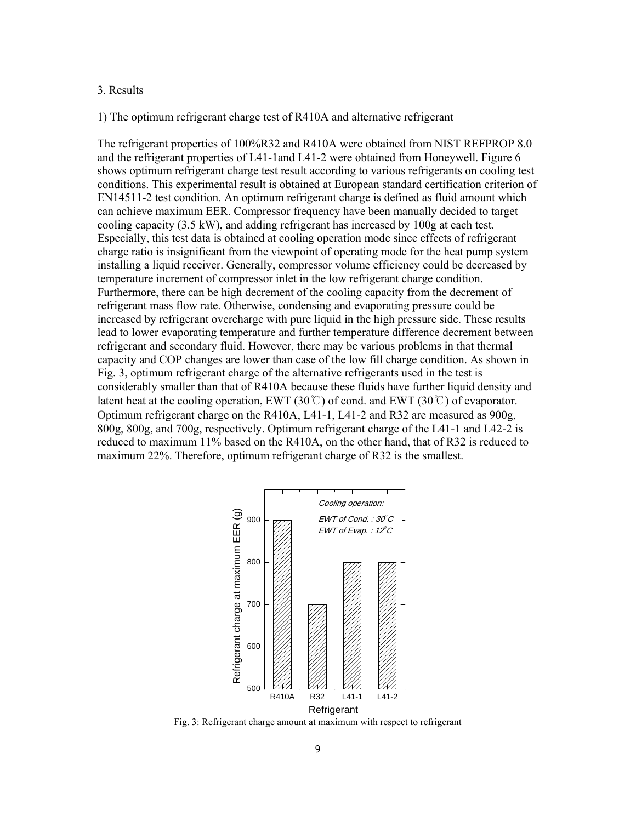#### 3. Results

1) The optimum refrigerant charge test of R410A and alternative refrigerant

The refrigerant properties of 100%R32 and R410A were obtained from NIST REFPROP 8.0 and the refrigerant properties of L41-1and L41-2 were obtained from Honeywell. Figure 6 shows optimum refrigerant charge test result according to various refrigerants on cooling test conditions. This experimental result is obtained at European standard certification criterion of EN14511-2 test condition. An optimum refrigerant charge is defined as fluid amount which can achieve maximum EER. Compressor frequency have been manually decided to target cooling capacity (3.5 kW), and adding refrigerant has increased by 100g at each test. Especially, this test data is obtained at cooling operation mode since effects of refrigerant charge ratio is insignificant from the viewpoint of operating mode for the heat pump system installing a liquid receiver. Generally, compressor volume efficiency could be decreased by temperature increment of compressor inlet in the low refrigerant charge condition. Furthermore, there can be high decrement of the cooling capacity from the decrement of refrigerant mass flow rate. Otherwise, condensing and evaporating pressure could be increased by refrigerant overcharge with pure liquid in the high pressure side. These results lead to lower evaporating temperature and further temperature difference decrement between refrigerant and secondary fluid. However, there may be various problems in that thermal capacity and COP changes are lower than case of the low fill charge condition. As shown in Fig. 3, optimum refrigerant charge of the alternative refrigerants used in the test is considerably smaller than that of R410A because these fluids have further liquid density and latent heat at the cooling operation, EWT (30°C) of cond. and EWT (30°C) of evaporator. Optimum refrigerant charge on the R410A, L41-1, L41-2 and R32 are measured as 900g, 800g, 800g, and 700g, respectively. Optimum refrigerant charge of the L41-1 and L42-2 is reduced to maximum 11% based on the R410A, on the other hand, that of R32 is reduced to maximum 22%. Therefore, optimum refrigerant charge of R32 is the smallest.



Fig. 3: Refrigerant charge amount at maximum with respect to refrigerant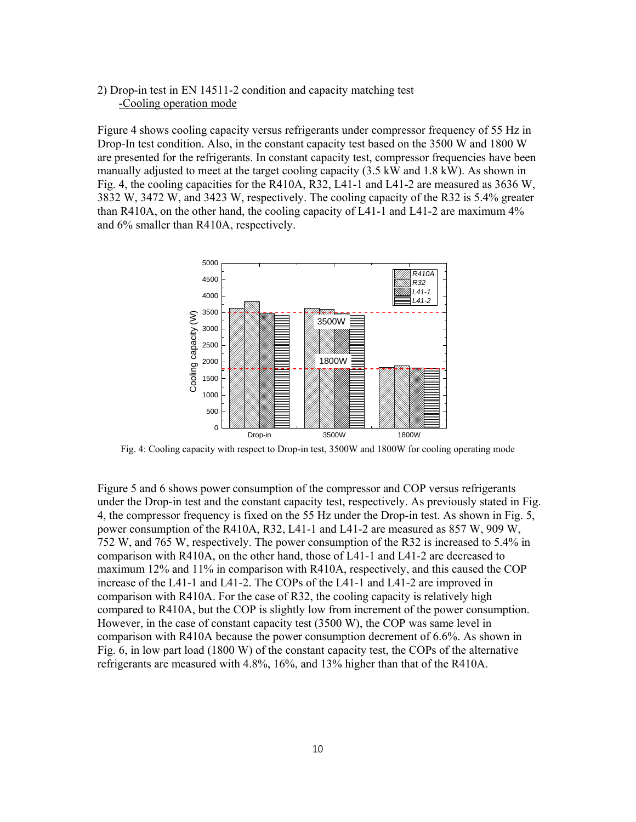#### 2) Drop-in test in EN 14511-2 condition and capacity matching test -Cooling operation mode

Figure 4 shows cooling capacity versus refrigerants under compressor frequency of 55 Hz in Drop-In test condition. Also, in the constant capacity test based on the 3500 W and 1800 W are presented for the refrigerants. In constant capacity test, compressor frequencies have been manually adjusted to meet at the target cooling capacity (3.5 kW and 1.8 kW). As shown in Fig. 4, the cooling capacities for the R410A, R32, L41-1 and L41-2 are measured as 3636 W, 3832 W, 3472 W, and 3423 W, respectively. The cooling capacity of the R32 is 5.4% greater than R410A, on the other hand, the cooling capacity of L41-1 and L41-2 are maximum 4% and 6% smaller than R410A, respectively.



Fig. 4: Cooling capacity with respect to Drop-in test, 3500W and 1800W for cooling operating mode

Figure 5 and 6 shows power consumption of the compressor and COP versus refrigerants under the Drop-in test and the constant capacity test, respectively. As previously stated in Fig. 4, the compressor frequency is fixed on the 55 Hz under the Drop-in test. As shown in Fig. 5, power consumption of the R410A, R32, L41-1 and L41-2 are measured as 857 W, 909 W, 752 W, and 765 W, respectively. The power consumption of the R32 is increased to 5.4% in comparison with R410A, on the other hand, those of L41-1 and L41-2 are decreased to maximum 12% and 11% in comparison with R410A, respectively, and this caused the COP increase of the L41-1 and L41-2. The COPs of the L41-1 and L41-2 are improved in comparison with R410A. For the case of R32, the cooling capacity is relatively high compared to R410A, but the COP is slightly low from increment of the power consumption. However, in the case of constant capacity test (3500 W), the COP was same level in comparison with R410A because the power consumption decrement of 6.6%. As shown in Fig. 6, in low part load (1800 W) of the constant capacity test, the COPs of the alternative refrigerants are measured with 4.8%, 16%, and 13% higher than that of the R410A.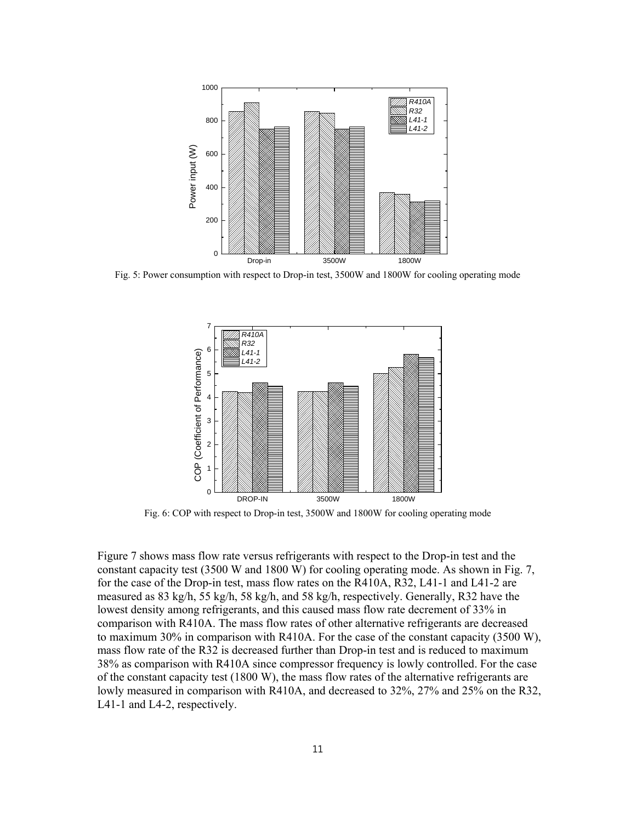

Fig. 5: Power consumption with respect to Drop-in test, 3500W and 1800W for cooling operating mode



Fig. 6: COP with respect to Drop-in test, 3500W and 1800W for cooling operating mode

Figure 7 shows mass flow rate versus refrigerants with respect to the Drop-in test and the constant capacity test (3500 W and 1800 W) for cooling operating mode. As shown in Fig. 7, for the case of the Drop-in test, mass flow rates on the R410A, R32, L41-1 and L41-2 are measured as 83 kg/h, 55 kg/h, 58 kg/h, and 58 kg/h, respectively. Generally, R32 have the lowest density among refrigerants, and this caused mass flow rate decrement of 33% in comparison with R410A. The mass flow rates of other alternative refrigerants are decreased to maximum 30% in comparison with R410A. For the case of the constant capacity (3500 W), mass flow rate of the R32 is decreased further than Drop-in test and is reduced to maximum 38% as comparison with R410A since compressor frequency is lowly controlled. For the case of the constant capacity test (1800 W), the mass flow rates of the alternative refrigerants are lowly measured in comparison with R410A, and decreased to 32%, 27% and 25% on the R32, L41-1 and L4-2, respectively.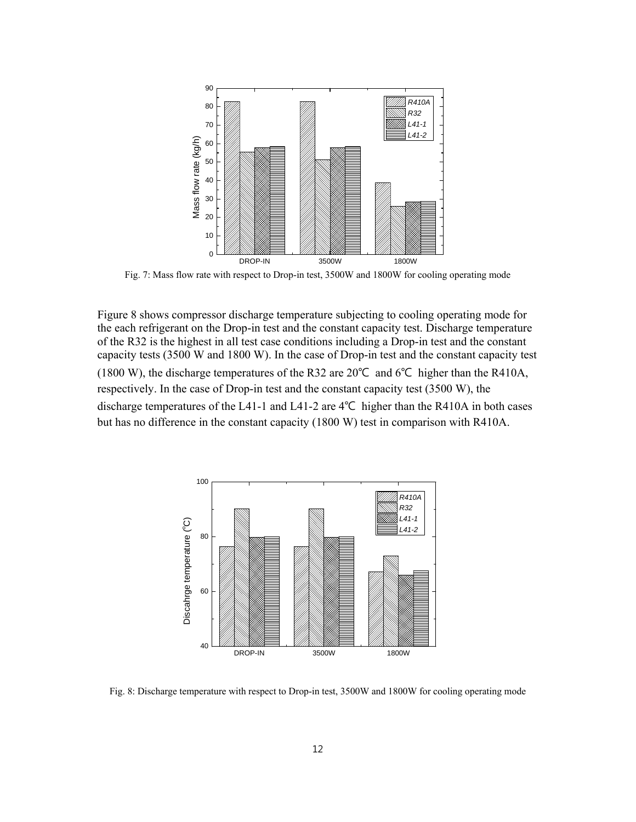

Fig. 7: Mass flow rate with respect to Drop-in test, 3500W and 1800W for cooling operating mode

Figure 8 shows compressor discharge temperature subjecting to cooling operating mode for the each refrigerant on the Drop-in test and the constant capacity test. Discharge temperature of the R32 is the highest in all test case conditions including a Drop-in test and the constant capacity tests (3500 W and 1800 W). In the case of Drop-in test and the constant capacity test (1800 W), the discharge temperatures of the R32 are 20℃ and 6℃ higher than the R410A, respectively. In the case of Drop-in test and the constant capacity test (3500 W), the discharge temperatures of the L41-1 and L41-2 are 4℃ higher than the R410A in both cases but has no difference in the constant capacity (1800 W) test in comparison with R410A.



Fig. 8: Discharge temperature with respect to Drop-in test, 3500W and 1800W for cooling operating mode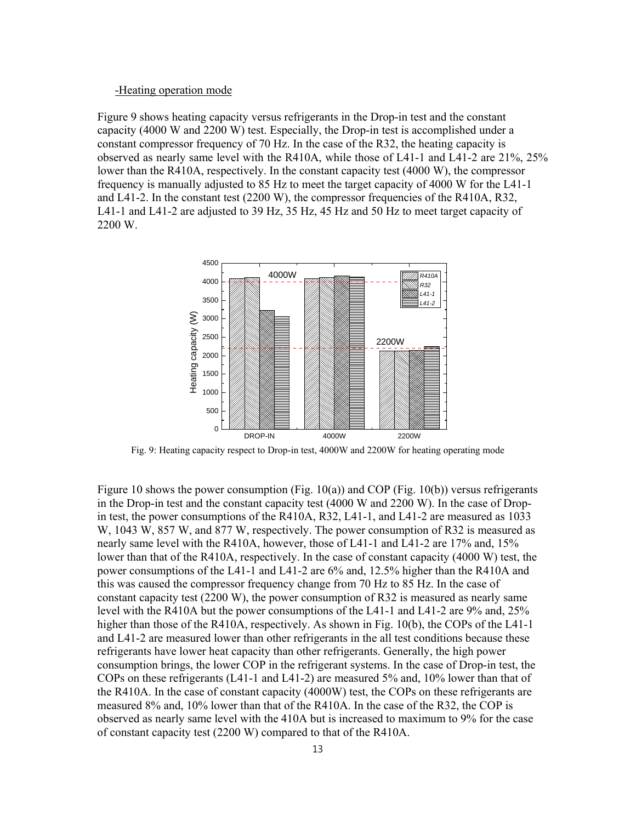#### -Heating operation mode

Figure 9 shows heating capacity versus refrigerants in the Drop-in test and the constant capacity (4000 W and 2200 W) test. Especially, the Drop-in test is accomplished under a constant compressor frequency of 70 Hz. In the case of the R32, the heating capacity is observed as nearly same level with the R410A, while those of L41-1 and L41-2 are 21%, 25% lower than the R410A, respectively. In the constant capacity test (4000 W), the compressor frequency is manually adjusted to 85 Hz to meet the target capacity of 4000 W for the L41-1 and L41-2. In the constant test (2200 W), the compressor frequencies of the R410A, R32, L41-1 and L41-2 are adjusted to 39 Hz, 35 Hz, 45 Hz and 50 Hz to meet target capacity of 2200 W.



Fig. 9: Heating capacity respect to Drop-in test, 4000W and 2200W for heating operating mode

Figure 10 shows the power consumption (Fig.  $10(a)$ ) and COP (Fig.  $10(b)$ ) versus refrigerants in the Drop-in test and the constant capacity test (4000 W and 2200 W). In the case of Dropin test, the power consumptions of the R410A, R32, L41-1, and L41-2 are measured as 1033 W, 1043 W, 857 W, and 877 W, respectively. The power consumption of R32 is measured as nearly same level with the R410A, however, those of L41-1 and L41-2 are 17% and, 15% lower than that of the R410A, respectively. In the case of constant capacity (4000 W) test, the power consumptions of the L41-1 and L41-2 are 6% and, 12.5% higher than the R410A and this was caused the compressor frequency change from 70 Hz to 85 Hz. In the case of constant capacity test (2200 W), the power consumption of R32 is measured as nearly same level with the R410A but the power consumptions of the L41-1 and L41-2 are 9% and, 25% higher than those of the R410A, respectively. As shown in Fig. 10(b), the COPs of the L41-1 and L41-2 are measured lower than other refrigerants in the all test conditions because these refrigerants have lower heat capacity than other refrigerants. Generally, the high power consumption brings, the lower COP in the refrigerant systems. In the case of Drop-in test, the COPs on these refrigerants (L41-1 and L41-2) are measured 5% and, 10% lower than that of the R410A. In the case of constant capacity (4000W) test, the COPs on these refrigerants are measured 8% and, 10% lower than that of the R410A. In the case of the R32, the COP is observed as nearly same level with the 410A but is increased to maximum to 9% for the case of constant capacity test (2200 W) compared to that of the R410A.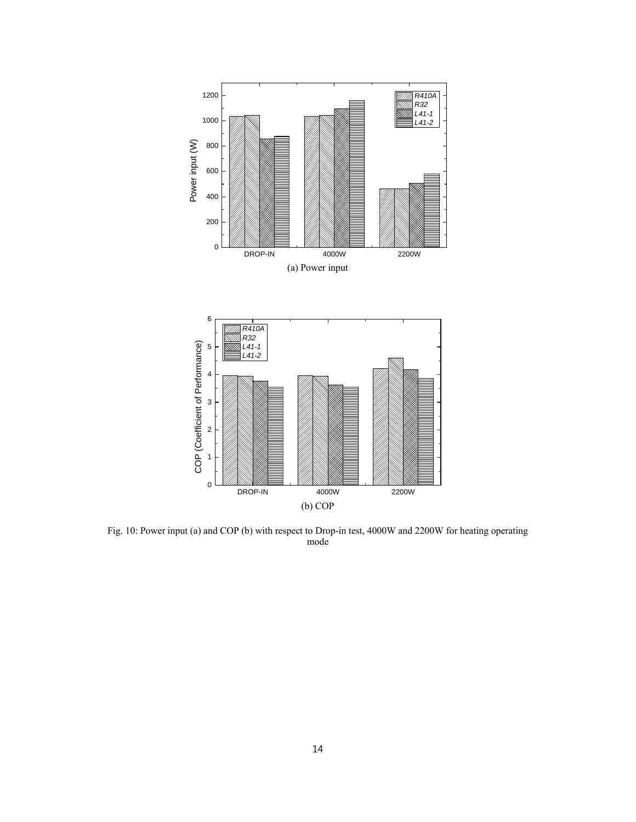

Fig. 10: Power input (a) and COP (b) with respect to Drop-in test, 4000W and 2200W for heating operating mode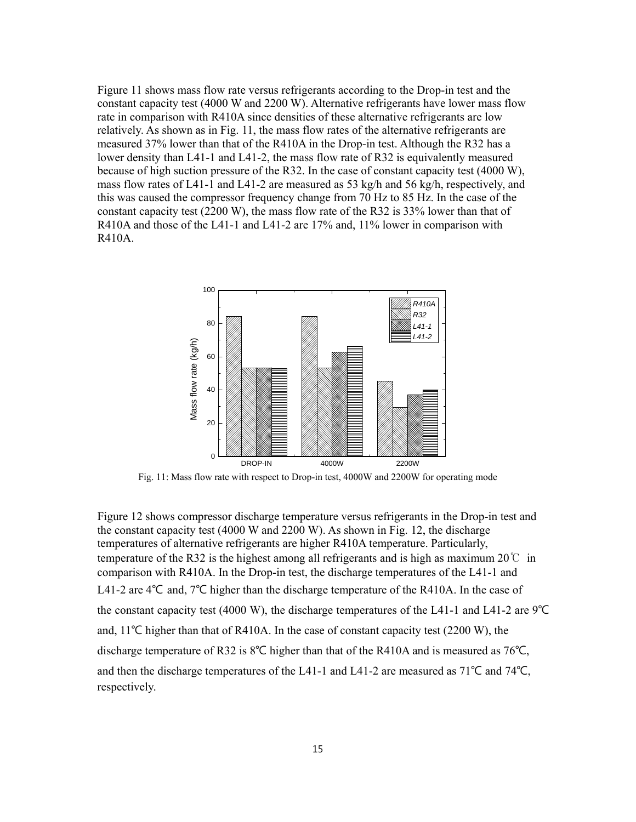Figure 11 shows mass flow rate versus refrigerants according to the Drop-in test and the constant capacity test (4000 W and 2200 W). Alternative refrigerants have lower mass flow rate in comparison with R410A since densities of these alternative refrigerants are low relatively. As shown as in Fig. 11, the mass flow rates of the alternative refrigerants are measured 37% lower than that of the R410A in the Drop-in test. Although the R32 has a lower density than L41-1 and L41-2, the mass flow rate of R32 is equivalently measured because of high suction pressure of the R32. In the case of constant capacity test (4000 W), mass flow rates of L41-1 and L41-2 are measured as 53 kg/h and 56 kg/h, respectively, and this was caused the compressor frequency change from 70 Hz to 85 Hz. In the case of the constant capacity test (2200 W), the mass flow rate of the R32 is 33% lower than that of R410A and those of the L41-1 and L41-2 are 17% and, 11% lower in comparison with R410A.



Fig. 11: Mass flow rate with respect to Drop-in test, 4000W and 2200W for operating mode

Figure 12 shows compressor discharge temperature versus refrigerants in the Drop-in test and the constant capacity test (4000 W and 2200 W). As shown in Fig. 12, the discharge temperatures of alternative refrigerants are higher R410A temperature. Particularly, temperature of the R32 is the highest among all refrigerants and is high as maximum 20  $\degree$  in comparison with R410A. In the Drop-in test, the discharge temperatures of the L41-1 and L41-2 are 4℃ and, 7℃ higher than the discharge temperature of the R410A. In the case of the constant capacity test (4000 W), the discharge temperatures of the L41-1 and L41-2 are 9℃ and, 11℃ higher than that of R410A. In the case of constant capacity test (2200 W), the discharge temperature of R32 is 8℃ higher than that of the R410A and is measured as 76℃, and then the discharge temperatures of the L41-1 and L41-2 are measured as 71℃ and 74℃, respectively.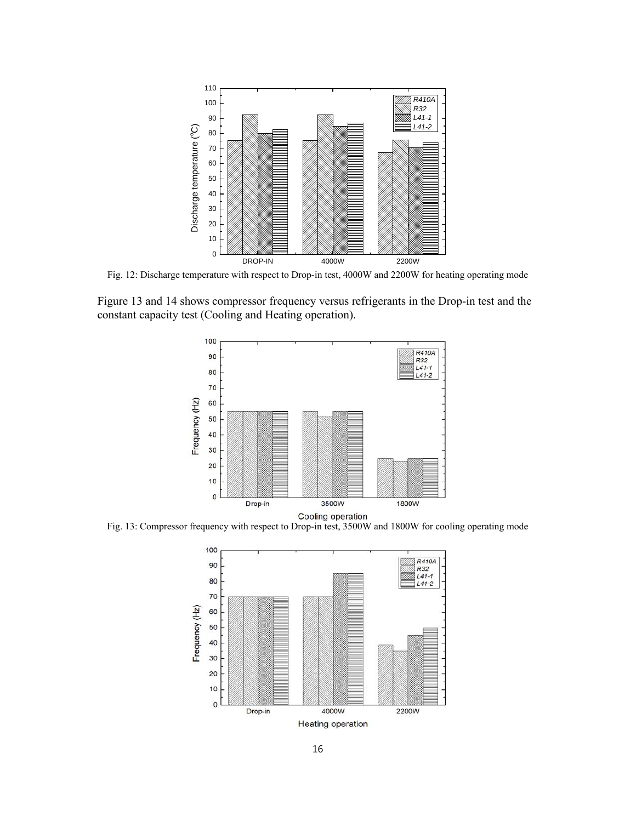

Fig. 12: Discharge temperature with respect to Drop-in test, 4000W and 2200W for heating operating mode

Figure 13 and 14 shows compressor frequency versus refrigerants in the Drop-in test and the constant capacity test (Cooling and Heating operation).



Fig. 13: Compressor frequency with respect to Drop-in test, 3500W and 1800W for cooling operating mode

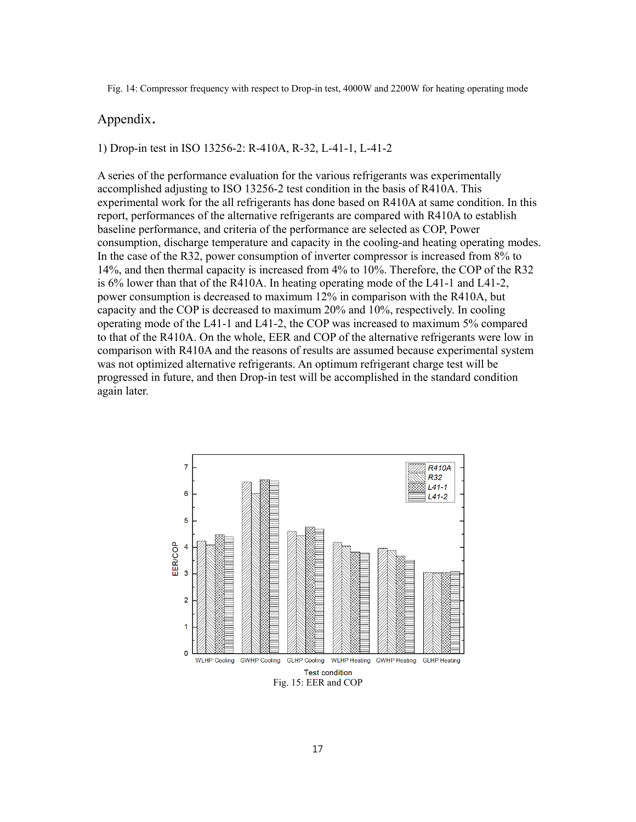Fig. 14: Compressor frequency with respect to Drop-in test, 4000W and 2200W for heating operating mode

### Appendix.

1) Drop-in test in ISO 13256-2: R-410A, R-32, L-41-1, L-41-2

A series of the performance evaluation for the various refrigerants was experimentally accomplished adjusting to ISO 13256-2 test condition in the basis of R410A. This experimental work for the all refrigerants has done based on R410A at same condition. In this report, performances of the alternative refrigerants are compared with R410A to establish baseline performance, and criteria of the performance are selected as COP, Power consumption, discharge temperature and capacity in the cooling-and heating operating modes. In the case of the R32, power consumption of inverter compressor is increased from 8% to 14%, and then thermal capacity is increased from 4% to 10%. Therefore, the COP of the R32 is 6% lower than that of the R410A. In heating operating mode of the L41-1 and L41-2, power consumption is decreased to maximum 12% in comparison with the R410A, but capacity and the COP is decreased to maximum 20% and 10%, respectively. In cooling operating mode of the L41-1 and L41-2, the COP was increased to maximum 5% compared to that of the R410A. On the whole, EER and COP of the alternative refrigerants were low in comparison with R410A and the reasons of results are assumed because experimental system was not optimized alternative refrigerants. An optimum refrigerant charge test will be progressed in future, and then Drop-in test will be accomplished in the standard condition again later.

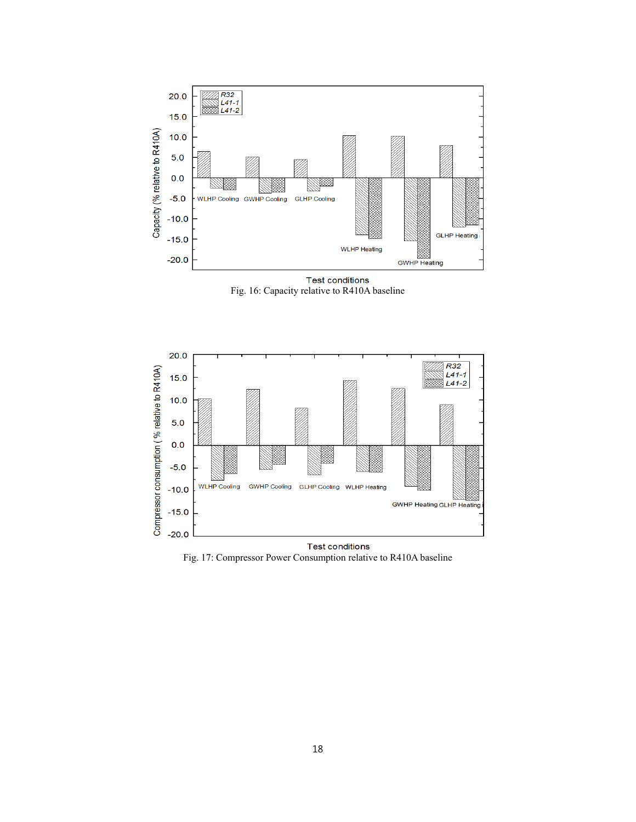

**Test conditions** Fig. 16: Capacity relative to R410A baseline



Fig. 17: Compressor Power Consumption relative to R410A baseline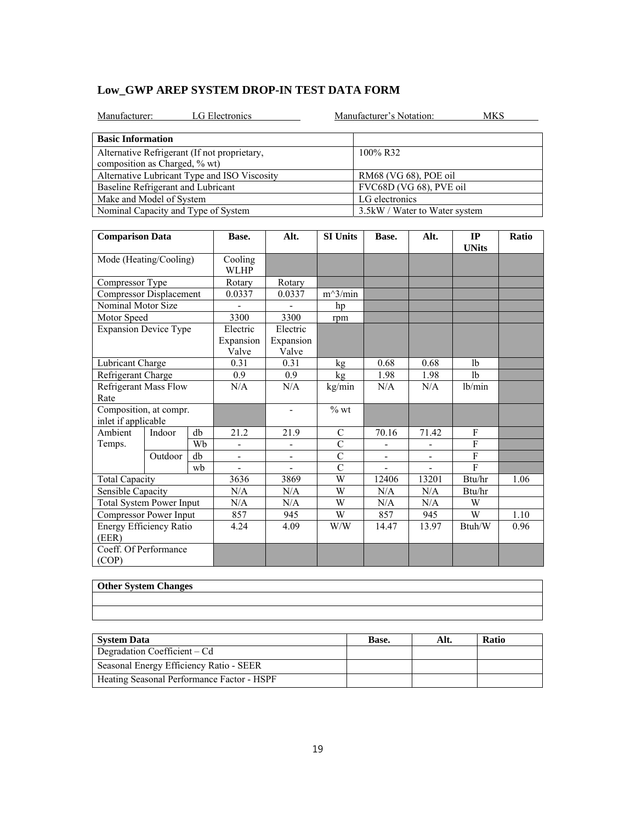| Manufacturer:                                | LG Electronics           |                                | Manufacturer's Notation: | MKS      |    |  |
|----------------------------------------------|--------------------------|--------------------------------|--------------------------|----------|----|--|
| <b>Basic Information</b>                     |                          |                                |                          |          |    |  |
| Alternative Refrigerant (If not proprietary, |                          |                                | 100% R32                 |          |    |  |
| composition as Charged, % wt)                |                          |                                |                          |          |    |  |
| Alternative Lubricant Type and ISO Viscosity |                          | RM68 (VG 68), POE oil          |                          |          |    |  |
| Baseline Refrigerant and Lubricant           |                          | FVC68D (VG 68), PVE oil        |                          |          |    |  |
| Make and Model of System                     |                          | LG electronics                 |                          |          |    |  |
| Nominal Capacity and Type of System          |                          | 3.5 kW / Water to Water system |                          |          |    |  |
|                                              |                          |                                |                          |          |    |  |
| $\sim$                                       | $\overline{\phantom{a}}$ | $\cdots$                       | $\overline{\phantom{a}}$ | $\cdots$ | -- |  |

| <b>Comparison Data</b>                        |         |    | Base.                          | Alt.                           | <b>SI Units</b> | Base.                    | Alt.                         | IP<br><b>UNits</b> | Ratio |
|-----------------------------------------------|---------|----|--------------------------------|--------------------------------|-----------------|--------------------------|------------------------------|--------------------|-------|
| Mode (Heating/Cooling)                        |         |    | Cooling<br><b>WLHP</b>         |                                |                 |                          |                              |                    |       |
| Compressor Type                               |         |    | Rotary                         | Rotary                         |                 |                          |                              |                    |       |
| <b>Compressor Displacement</b>                |         |    | 0.0337                         | 0.0337                         | $m^3/min$       |                          |                              |                    |       |
| Nominal Motor Size                            |         |    |                                |                                | hp              |                          |                              |                    |       |
| Motor Speed                                   |         |    | 3300                           | 3300                           | rpm             |                          |                              |                    |       |
| <b>Expansion Device Type</b>                  |         |    | Electric<br>Expansion<br>Valve | Electric<br>Expansion<br>Valve |                 |                          |                              |                    |       |
| Lubricant Charge                              |         |    | 0.31                           | 0.31                           | kg              | 0.68                     | 0.68                         | 1 <sub>b</sub>     |       |
| Refrigerant Charge                            |         |    | 0.9                            | 0.9                            | kg              | 1.98                     | 1.98                         | 1 <sub>b</sub>     |       |
| Refrigerant Mass Flow<br>Rate                 |         |    | N/A                            | N/A                            | kg/min          | N/A                      | N/A                          | lb/min             |       |
| Composition, at compr.<br>inlet if applicable |         |    |                                | $\overline{\phantom{a}}$       | $\%$ wt         |                          |                              |                    |       |
| Ambient                                       | Indoor  | db | 21.2                           | 21.9                           | C               | 70.16                    | 71.42                        | F                  |       |
| Temps.                                        |         | Wb | ÷,                             | -                              | $\overline{C}$  | $\overline{\phantom{a}}$ |                              | F                  |       |
|                                               | Outdoor | db | ÷,                             | $\overline{\phantom{0}}$       | $\overline{C}$  | $\overline{\phantom{a}}$ | $\qquad \qquad \blacksquare$ | $\overline{F}$     |       |
|                                               |         | wb |                                |                                | $\overline{C}$  |                          |                              | $\mathbf{F}$       |       |
| <b>Total Capacity</b>                         |         |    | 3636                           | 3869                           | W               | 12406                    | 13201                        | Btu/hr             | 1.06  |
| Sensible Capacity                             |         |    | N/A                            | N/A                            | W               | N/A                      | N/A                          | Btu/hr             |       |
| <b>Total System Power Input</b>               |         |    | N/A                            | N/A                            | W               | N/A                      | N/A                          | W                  |       |
| Compressor Power Input                        |         |    | 857                            | 945                            | W               | 857                      | 945                          | W                  | 1.10  |
| Energy Efficiency Ratio<br>(EER)              |         |    | 4.24                           | 4.09                           | W/W             | 14.47                    | 13.97                        | Btuh/W             | 0.96  |
| Coeff. Of Performance<br>(COP)                |         |    |                                |                                |                 |                          |                              |                    |       |

# **Other System Che**

| <b>Uther System Changes</b> |
|-----------------------------|
|                             |
|                             |
|                             |
|                             |
|                             |

| <b>System Data</b>                         | Base. | Alt. | <b>Ratio</b> |
|--------------------------------------------|-------|------|--------------|
| Degradation Coefficient – Cd               |       |      |              |
| Seasonal Energy Efficiency Ratio - SEER    |       |      |              |
| Heating Seasonal Performance Factor - HSPF |       |      |              |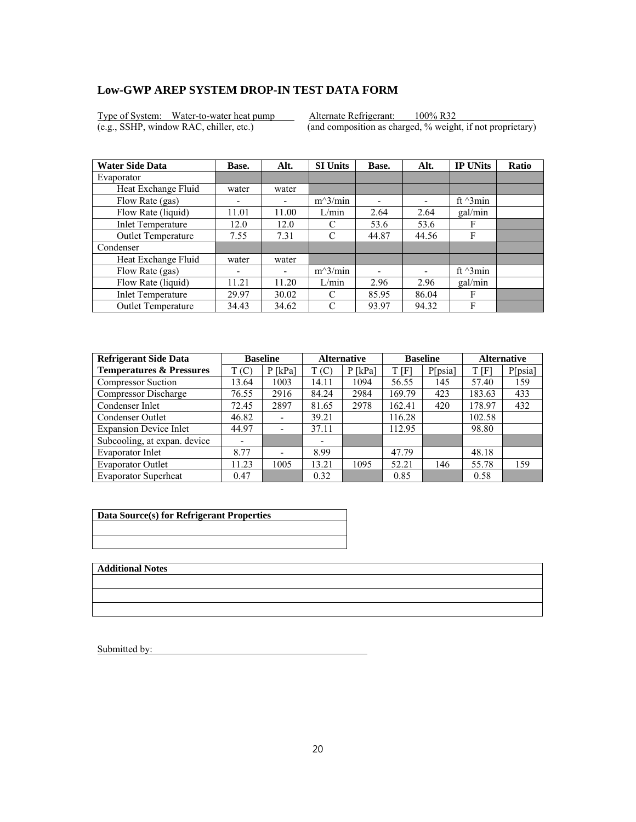Type of System: Water-to-water heat pump Alternate Refrigerant: 100% R32<br>(e.g., SSHP, window RAC, chiller, etc.) (and composition as charged, % weight

 $\overline{(and composition as charged, % weight, if not proprietary)}$ 

| <b>Water Side Data</b>   | Base.                    | Alt.  | <b>SI Units</b> | Base. | Alt.                     | <b>IP UNits</b>  | <b>Ratio</b> |
|--------------------------|--------------------------|-------|-----------------|-------|--------------------------|------------------|--------------|
| Evaporator               |                          |       |                 |       |                          |                  |              |
| Heat Exchange Fluid      | water                    | water |                 |       |                          |                  |              |
| Flow Rate (gas)          | $\overline{\phantom{0}}$ |       | $m^3/min$       | ۰     | $\overline{\phantom{0}}$ | ft $\gamma$ 3min |              |
| Flow Rate (liquid)       | 11.01                    | 11.00 | L/min           | 2.64  | 2.64                     | gal/min          |              |
| <b>Inlet Temperature</b> | 12.0                     | 12.0  | C               | 53.6  | 53.6                     | F                |              |
| Outlet Temperature       | 7.55                     | 7.31  | C               | 44.87 | 44.56                    | F                |              |
| Condenser                |                          |       |                 |       |                          |                  |              |
| Heat Exchange Fluid      | water                    | water |                 |       |                          |                  |              |
| Flow Rate (gas)          | ٠                        | -     | $m^3/min$       |       |                          | ft $\gamma$ 3min |              |
| Flow Rate (liquid)       | 11.21                    | 11.20 | L/min           | 2.96  | 2.96                     | gal/min          |              |
| <b>Inlet Temperature</b> | 29.97                    | 30.02 | C               | 85.95 | 86.04                    | F                |              |
| Outlet Temperature       | 34.43                    | 34.62 | C               | 93.97 | 94.32                    | F                |              |

| <b>Refrigerant Side Data</b>        | <b>Baseline</b> |                              | <b>Alternative</b> |           | <b>Baseline</b> |         | <b>Alternative</b> |         |
|-------------------------------------|-----------------|------------------------------|--------------------|-----------|-----------------|---------|--------------------|---------|
| <b>Temperatures &amp; Pressures</b> | T(C)            | $P$ [kPa]                    | T(C)               | $P$ [kPa] | t [F]           | P[psia] | T[F]               | P[psia] |
| <b>Compressor Suction</b>           | 13.64           | 1003                         | 14.11              | 1094      | 56.55           | 145     | 57.40              | 159     |
| Compressor Discharge                | 76.55           | 2916                         | 84.24              | 2984      | 169.79          | 423     | 183.63             | 433     |
| Condenser Inlet                     | 72.45           | 2897                         | 81.65              | 2978      | 162.41          | 420     | 178.97             | 432     |
| Condenser Outlet                    | 46.82           | $\qquad \qquad \blacksquare$ | 39.21              |           | 116.28          |         | 102.58             |         |
| <b>Expansion Device Inlet</b>       | 44.97           | $\overline{\phantom{a}}$     | 37.11              |           | 112.95          |         | 98.80              |         |
| Subcooling, at expan. device        |                 |                              | -                  |           |                 |         |                    |         |
| Evaporator Inlet                    | 8.77            | $\overline{\phantom{0}}$     | 8.99               |           | 47.79           |         | 48.18              |         |
| <b>Evaporator Outlet</b>            | 11.23           | 1005                         | 13.21              | 1095      | 52.21           | 146     | 55.78              | 159     |
| <b>Evaporator Superheat</b>         | 0.47            |                              | 0.32               |           | 0.85            |         | 0.58               |         |

| Data Source(s) for Refrigerant Properties |  |
|-------------------------------------------|--|
|                                           |  |
|                                           |  |
|                                           |  |
|                                           |  |

**Additional Notes**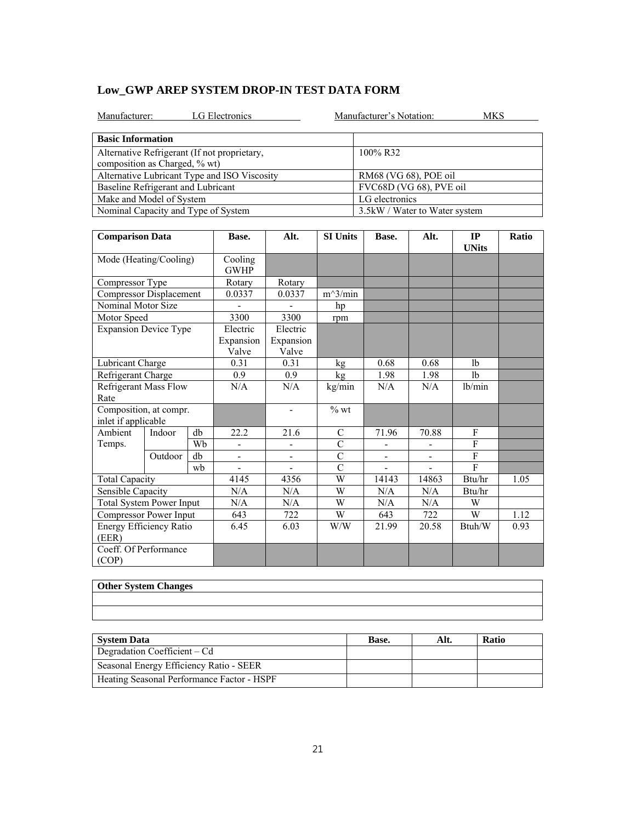| Manufacturer:                                | LG Electronics |                                |                 | Manufacturer's Notation:<br>MKS |                         |           |              |  |  |  |
|----------------------------------------------|----------------|--------------------------------|-----------------|---------------------------------|-------------------------|-----------|--------------|--|--|--|
| <b>Basic Information</b>                     |                |                                |                 |                                 |                         |           |              |  |  |  |
| Alternative Refrigerant (If not proprietary, |                |                                |                 | 100% R32                        |                         |           |              |  |  |  |
| composition as Charged, % wt)                |                |                                |                 |                                 |                         |           |              |  |  |  |
| Alternative Lubricant Type and ISO Viscosity |                |                                |                 |                                 | RM68 (VG 68), POE oil   |           |              |  |  |  |
| Baseline Refrigerant and Lubricant           |                |                                |                 |                                 | FVC68D (VG 68), PVE oil |           |              |  |  |  |
| Make and Model of System                     |                |                                |                 | LG electronics                  |                         |           |              |  |  |  |
| Nominal Capacity and Type of System          |                | 3.5 kW / Water to Water system |                 |                                 |                         |           |              |  |  |  |
|                                              |                |                                |                 |                                 |                         |           |              |  |  |  |
| Camparisan Data                              | Roco           | A 1+                           | <b>SI Unite</b> | Roco                            | A It                    | <b>TP</b> | <b>Patio</b> |  |  |  |

| <b>Comparison Data</b>                                     |                              | Base. | Alt.                           | <b>SI Units</b>                | Base.          | Alt.                     | IP<br><b>UNits</b>       | Ratio          |      |
|------------------------------------------------------------|------------------------------|-------|--------------------------------|--------------------------------|----------------|--------------------------|--------------------------|----------------|------|
| Mode (Heating/Cooling)                                     |                              |       | Cooling<br><b>GWHP</b>         |                                |                |                          |                          |                |      |
| Compressor Type                                            |                              |       | Rotary                         | Rotary                         |                |                          |                          |                |      |
| <b>Compressor Displacement</b>                             |                              |       | 0.0337                         | 0.0337                         | $m^3/min$      |                          |                          |                |      |
| Nominal Motor Size                                         |                              |       |                                |                                | hp             |                          |                          |                |      |
| Motor Speed                                                |                              |       | 3300                           | 3300                           | rpm            |                          |                          |                |      |
| <b>Expansion Device Type</b>                               |                              |       | Electric<br>Expansion<br>Valve | Electric<br>Expansion<br>Valve |                |                          |                          |                |      |
| Lubricant Charge                                           |                              |       | 0.31                           | 0.31                           | kg             | 0.68                     | 0.68                     | 1 <sub>b</sub> |      |
| Refrigerant Charge                                         |                              |       | 0.9                            | 0.9                            | $k\mathbf{g}$  | 1.98                     | 1.98                     | 1 <sub>b</sub> |      |
| Rate                                                       | <b>Refrigerant Mass Flow</b> |       |                                | N/A                            | kg/min         | N/A                      | N/A                      | lb/min         |      |
| Composition, at compr.<br>inlet if applicable              |                              |       |                                | $\overline{\phantom{a}}$       | $%$ wt         |                          |                          |                |      |
| Ambient                                                    | Indoor                       | db    | 22.2                           | 21.6                           | $\mathsf{C}$   | 71.96                    | 70.88                    | F              |      |
| Temps.                                                     |                              | Wh    | ÷,                             | $\qquad \qquad \blacksquare$   | $\overline{C}$ |                          |                          | $\mathbf{F}$   |      |
|                                                            | Outdoor                      | db    | $\overline{\phantom{0}}$       | $\overline{\phantom{0}}$       | $\overline{C}$ | $\overline{\phantom{a}}$ | $\overline{\phantom{a}}$ | $\overline{F}$ |      |
|                                                            |                              | wh    |                                |                                | $\mathcal{C}$  |                          |                          | $\mathbf{F}$   |      |
| <b>Total Capacity</b>                                      |                              |       | 4145                           | 4356                           | W              | 14143                    | 14863                    | Btu/hr         | 1.05 |
| Sensible Capacity                                          |                              |       | N/A                            | N/A                            | W              | N/A                      | N/A                      | Btu/hr         |      |
| <b>Total System Power Input</b>                            |                              |       | N/A                            | N/A                            | W              | N/A                      | N/A                      | W              |      |
| Compressor Power Input<br>Energy Efficiency Ratio<br>(EER) |                              |       | 643                            | 722                            | W              | 643                      | 722                      | W              | 1.12 |
|                                                            |                              |       | 6.45                           | 6.03                           | W/W            | 21.99                    | 20.58                    | Btuh/W         | 0.93 |
| Coeff. Of Performance<br>(COP)                             |                              |       |                                |                                |                |                          |                          |                |      |

| <b>Uther System Changes</b> |
|-----------------------------|
|                             |
|                             |
|                             |
|                             |
|                             |

| <b>System Data</b>                         | Base. | Alt. | <b>Ratio</b> |
|--------------------------------------------|-------|------|--------------|
| Degradation Coefficient – Cd               |       |      |              |
| Seasonal Energy Efficiency Ratio - SEER    |       |      |              |
| Heating Seasonal Performance Factor - HSPF |       |      |              |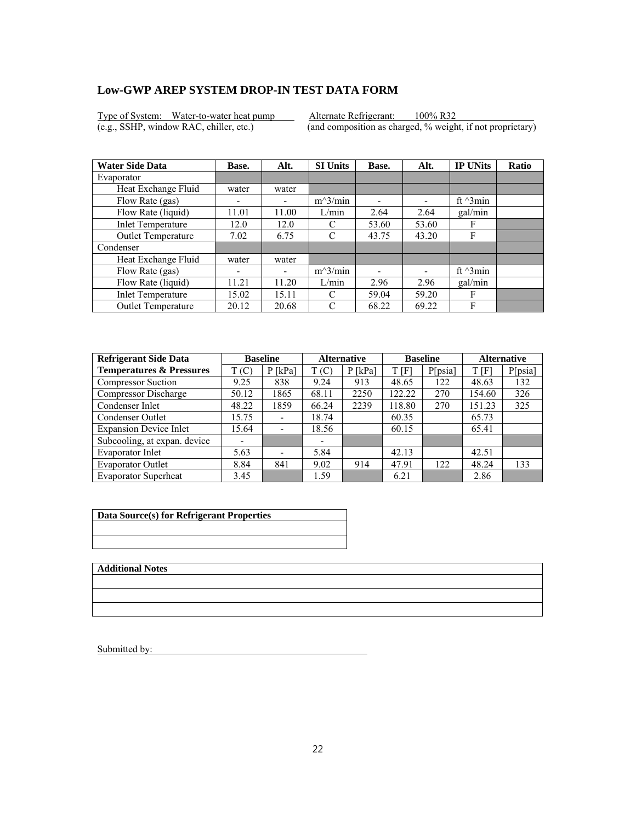Type of System: Water-to-water heat pump Alternate Refrigerant: 100% R32<br>(e.g., SSHP, window RAC, chiller, etc.) (and composition as charged, % weight

 $\overline{(and composition as charged, % weight, if not proprietary)}$ 

| <b>Water Side Data</b>   | Base.                    | Alt.  | <b>SI Units</b> | Base. | Alt.                     | <b>IP UNits</b>  | <b>Ratio</b> |
|--------------------------|--------------------------|-------|-----------------|-------|--------------------------|------------------|--------------|
| Evaporator               |                          |       |                 |       |                          |                  |              |
| Heat Exchange Fluid      | water                    | water |                 |       |                          |                  |              |
| Flow Rate (gas)          | $\overline{\phantom{0}}$ |       | $m^3/min$       | ۰     | $\overline{\phantom{0}}$ | ft $\gamma$ 3min |              |
| Flow Rate (liquid)       | 11.01                    | 11.00 | L/min           | 2.64  | 2.64                     | gal/min          |              |
| <b>Inlet Temperature</b> | 12.0                     | 12.0  | C               | 53.60 | 53.60                    | F                |              |
| Outlet Temperature       | 7.02                     | 6.75  | C               | 43.75 | 43.20                    | F                |              |
| Condenser                |                          |       |                 |       |                          |                  |              |
| Heat Exchange Fluid      | water                    | water |                 |       |                          |                  |              |
| Flow Rate (gas)          | ٠                        | -     | $m^3/min$       |       |                          | ft $\gamma$ 3min |              |
| Flow Rate (liquid)       | 11.21                    | 11.20 | L/min           | 2.96  | 2.96                     | gal/min          |              |
| <b>Inlet Temperature</b> | 15.02                    | 15.11 | C               | 59.04 | 59.20                    | F                |              |
| Outlet Temperature       | 20.12                    | 20.68 | C               | 68.22 | 69.22                    | F                |              |

| <b>Refrigerant Side Data</b>        | <b>Baseline</b> |                              | <b>Alternative</b> |           | <b>Baseline</b> |         | <b>Alternative</b> |         |
|-------------------------------------|-----------------|------------------------------|--------------------|-----------|-----------------|---------|--------------------|---------|
| <b>Temperatures &amp; Pressures</b> | T(C)            | $P$ [kPa]                    | T(C)               | $P$ [kPa] | t [F]           | P[psia] | T[F]               | P[psia] |
| <b>Compressor Suction</b>           | 9.25            | 838                          | 9.24               | 913       | 48.65           | 122     | 48.63              | 132     |
| Compressor Discharge                | 50.12           | 1865                         | 68.11              | 2250      | 122.22          | 270     | 154.60             | 326     |
| Condenser Inlet                     | 48.22           | 1859                         | 66.24              | 2239      | 118.80          | 270     | 151.23             | 325     |
| Condenser Outlet                    | 15.75           | $\qquad \qquad \blacksquare$ | 18.74              |           | 60.35           |         | 65.73              |         |
| <b>Expansion Device Inlet</b>       | 15.64           | $\overline{\phantom{a}}$     | 18.56              |           | 60.15           |         | 65.41              |         |
| Subcooling, at expan. device        |                 |                              |                    |           |                 |         |                    |         |
| Evaporator Inlet                    | 5.63            | $\overline{\phantom{0}}$     | 5.84               |           | 42.13           |         | 42.51              |         |
| <b>Evaporator Outlet</b>            | 8.84            | 841                          | 9.02               | 914       | 47.91           | 122     | 48.24              | 133     |
| <b>Evaporator Superheat</b>         | 3.45            |                              | 1.59               |           | 6.21            |         | 2.86               |         |

| Data Source(s) for Refrigerant Properties |  |  |  |  |  |
|-------------------------------------------|--|--|--|--|--|
|                                           |  |  |  |  |  |
|                                           |  |  |  |  |  |

**Additional Notes**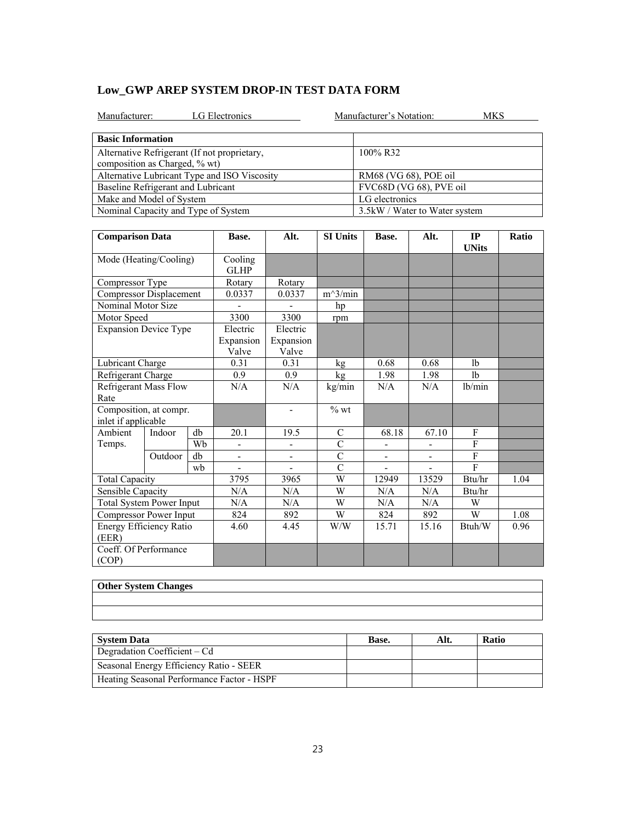| <b>LG</b> Electronics<br>Manufacturer:       | Manufacturer's Notation:<br>MKS |
|----------------------------------------------|---------------------------------|
| <b>Basic Information</b>                     |                                 |
| Alternative Refrigerant (If not proprietary, | 100% R32                        |
| composition as Charged, % wt)                |                                 |
| Alternative Lubricant Type and ISO Viscosity | RM68 (VG 68), POE oil           |
| Baseline Refrigerant and Lubricant           | FVC68D (VG 68), PVE oil         |
| Make and Model of System                     | LG electronics                  |
| Nominal Capacity and Type of System          | 3.5 kW / Water to Water system  |
|                                              |                                 |

| <b>Comparison Data</b>                        |                              |                        | Base.                          | Alt.                           | <b>SI Units</b> | Base.          | Alt.                     | IP<br><b>UNits</b> | Ratio |
|-----------------------------------------------|------------------------------|------------------------|--------------------------------|--------------------------------|-----------------|----------------|--------------------------|--------------------|-------|
| Mode (Heating/Cooling)                        |                              | Cooling<br><b>GLHP</b> |                                |                                |                 |                |                          |                    |       |
| Compressor Type                               |                              |                        | Rotary                         | Rotary                         |                 |                |                          |                    |       |
| Compressor Displacement                       |                              |                        | 0.0337                         | 0.0337                         | $m^3/min$       |                |                          |                    |       |
| Nominal Motor Size                            |                              |                        |                                |                                | hp              |                |                          |                    |       |
| Motor Speed                                   |                              |                        | 3300                           | 3300                           | rpm             |                |                          |                    |       |
| <b>Expansion Device Type</b>                  |                              |                        | Electric<br>Expansion<br>Valve | Electric<br>Expansion<br>Valve |                 |                |                          |                    |       |
| Lubricant Charge                              |                              |                        | 0.31                           | 0.31                           | kg              | 0.68           | 0.68                     | 1 <sub>b</sub>     |       |
| Refrigerant Charge                            |                              |                        | 0.9                            | 0.9                            | kg              | 1.98           | 1.98                     | 1 <sub>b</sub>     |       |
| Rate                                          | <b>Refrigerant Mass Flow</b> |                        | N/A                            | N/A                            | kg/min          | N/A            | N/A                      | lb/min             |       |
| Composition, at compr.<br>inlet if applicable |                              |                        |                                | $\overline{\phantom{a}}$       | $\%$ wt         |                |                          |                    |       |
| Ambient                                       | Indoor                       | db                     | 20.1                           | 19.5                           | $\mathcal{C}$   | 68.18          | 67.10                    | F                  |       |
| Temps.                                        |                              | Wb                     | $\qquad \qquad \blacksquare$   | $\frac{1}{2}$                  | $\overline{C}$  | $\blacksquare$ | $\overline{\phantom{0}}$ | ${\bf F}$          |       |
|                                               | Outdoor                      | db                     | $\qquad \qquad \blacksquare$   | $\overline{\phantom{0}}$       | $\mathcal{C}$   | $\blacksquare$ | $\overline{\phantom{a}}$ | $\overline{F}$     |       |
|                                               |                              | wb                     |                                |                                | $\overline{C}$  |                |                          | F                  |       |
| <b>Total Capacity</b>                         |                              |                        | 3795                           | 3965                           | W               | 12949          | 13529                    | Btu/hr             | 1.04  |
| Sensible Capacity                             |                              | N/A                    | N/A                            | W                              | N/A             | N/A            | Btu/hr                   |                    |       |
| <b>Total System Power Input</b>               |                              | N/A                    | N/A                            | W                              | N/A             | N/A            | W                        |                    |       |
| Compressor Power Input                        |                              | 824                    | 892                            | W                              | 824             | 892            | W                        | 1.08               |       |
| Energy Efficiency Ratio<br>(EER)              |                              |                        | 4.60                           | 4.45                           | W/W             | 15.71          | 15.16                    | Btuh/W             | 0.96  |
| Coeff. Of Performance<br>(COP)                |                              |                        |                                |                                |                 |                |                          |                    |       |

| <b>Uther System Changes</b> |
|-----------------------------|
|                             |
|                             |
|                             |
|                             |
|                             |

| <b>System Data</b>                         | Base. | Alt. | <b>Ratio</b> |
|--------------------------------------------|-------|------|--------------|
| Degradation Coefficient – Cd               |       |      |              |
| Seasonal Energy Efficiency Ratio - SEER    |       |      |              |
| Heating Seasonal Performance Factor - HSPF |       |      |              |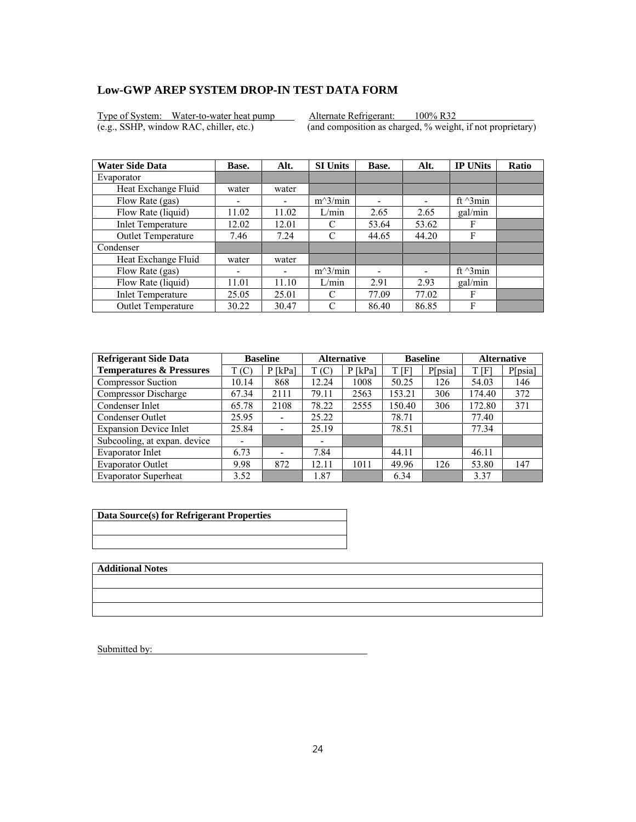Type of System: Water-to-water heat pump Alternate Refrigerant: 100% R32<br>(e.g., SSHP, window RAC, chiller, etc.) (and composition as charged, % weight

 $\overline{(and composition as charged, % weight, if not proprietary)}$ 

| <b>Water Side Data</b>    | Base. | Alt.  | <b>SI Units</b> | Base. | Alt.                     | <b>IP UNits</b>  | <b>Ratio</b> |
|---------------------------|-------|-------|-----------------|-------|--------------------------|------------------|--------------|
| Evaporator                |       |       |                 |       |                          |                  |              |
| Heat Exchange Fluid       | water | water |                 |       |                          |                  |              |
| Flow Rate (gas)           |       |       | $m^3/min$       | ۰     | $\overline{\phantom{0}}$ | ft $\gamma$ 3min |              |
| Flow Rate (liquid)        | 11.02 | 11.02 | L/min           | 2.65  | 2.65                     | gal/min          |              |
| <b>Inlet Temperature</b>  | 12.02 | 12.01 | C               | 53.64 | 53.62                    | F                |              |
| Outlet Temperature        | 7.46  | 7.24  | C               | 44.65 | 44.20                    | F                |              |
| Condenser                 |       |       |                 |       |                          |                  |              |
| Heat Exchange Fluid       | water | water |                 |       |                          |                  |              |
| Flow Rate (gas)           | ٠     | -     | $m^3/min$       |       |                          | ft $\gamma$ 3min |              |
| Flow Rate (liquid)        | 11.01 | 11.10 | L/min           | 2.91  | 2.93                     | gal/min          |              |
| <b>Inlet Temperature</b>  | 25.05 | 25.01 | C               | 77.09 | 77.02                    | F                |              |
| <b>Outlet Temperature</b> | 30.22 | 30.47 | C               | 86.40 | 86.85                    | F                |              |

| <b>Refrigerant Side Data</b>        | <b>Baseline</b> |                          | <b>Alternative</b>       |           | <b>Baseline</b> |         | <b>Alternative</b> |         |
|-------------------------------------|-----------------|--------------------------|--------------------------|-----------|-----------------|---------|--------------------|---------|
| <b>Temperatures &amp; Pressures</b> | T(C)            | $P$ [kPa]                | T(C)                     | $P$ [kPa] | T [F]           | P[psia] | T [F]              | P[psia] |
| <b>Compressor Suction</b>           | 10.14           | 868                      | 12.24                    | 1008      | 50.25           | 126     | 54.03              | 146     |
| Compressor Discharge                | 67.34           | 2111                     | 79.11                    | 2563      | 153.21          | 306     | 174.40             | 372     |
| Condenser Inlet                     | 65.78           | 2108                     | 78.22                    | 2555      | 150.40          | 306     | 172.80             | 371     |
| Condenser Outlet                    | 25.95           | $\overline{\phantom{a}}$ | 25.22                    |           | 78.71           |         | 77.40              |         |
| <b>Expansion Device Inlet</b>       | 25.84           |                          | 25.19                    |           | 78.51           |         | 77.34              |         |
| Subcooling, at expan. device        | -               |                          | $\overline{\phantom{0}}$ |           |                 |         |                    |         |
| Evaporator Inlet                    | 6.73            |                          | 7.84                     |           | 44.11           |         | 46.11              |         |
| <b>Evaporator Outlet</b>            | 9.98            | 872                      | 12.11                    | 1011      | 49.96           | 126     | 53.80              | 147     |
| <b>Evaporator Superheat</b>         | 3.52            |                          | 1.87                     |           | 6.34            |         | 3.37               |         |

| Data Source(s) for Refrigerant Properties |
|-------------------------------------------|
|                                           |
|                                           |

**Additional Notes**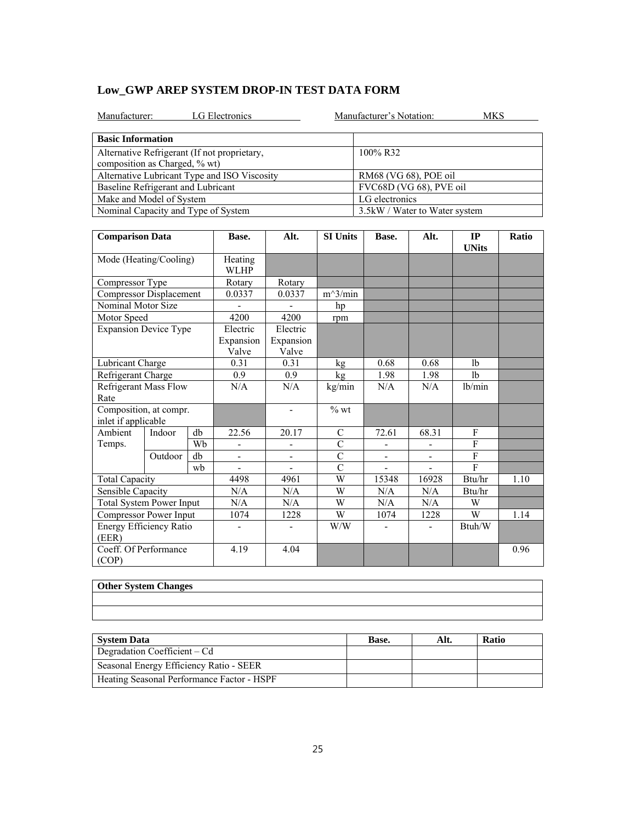| <b>LG</b> Electronics<br>Manufacturer:       |                                | Manufacturer's Notation:<br><b>MKS</b> |                 |                         |      |                                           |              |  |  |
|----------------------------------------------|--------------------------------|----------------------------------------|-----------------|-------------------------|------|-------------------------------------------|--------------|--|--|
| <b>Basic Information</b>                     |                                |                                        |                 |                         |      |                                           |              |  |  |
| Alternative Refrigerant (If not proprietary, |                                | 100% R32                               |                 |                         |      |                                           |              |  |  |
| composition as Charged, % wt)                |                                |                                        |                 |                         |      |                                           |              |  |  |
| Alternative Lubricant Type and ISO Viscosity |                                | RM68 (VG 68), POE oil                  |                 |                         |      |                                           |              |  |  |
| Baseline Refrigerant and Lubricant           |                                |                                        |                 | FVC68D (VG 68), PVE oil |      |                                           |              |  |  |
| Make and Model of System                     |                                |                                        |                 | LG electronics          |      |                                           |              |  |  |
| Nominal Capacity and Type of System          | 3.5 kW / Water to Water system |                                        |                 |                         |      |                                           |              |  |  |
|                                              |                                |                                        |                 |                         |      |                                           |              |  |  |
| <b>Comparison Data</b>                       | Base.                          | Alt.                                   | <b>SI Units</b> | Base.                   | Alt. | <b>TP</b><br>$\textbf{I} \textbf{IN}$ ita | <b>Ratio</b> |  |  |

| <b>Comparison Data</b>                        |         | Base.                  | Alt.                           | <b>SI Units</b>                | Base.          | Alt.                     | IP<br><b>UNits</b> | Ratio          |      |
|-----------------------------------------------|---------|------------------------|--------------------------------|--------------------------------|----------------|--------------------------|--------------------|----------------|------|
| Mode (Heating/Cooling)                        |         | Heating<br><b>WLHP</b> |                                |                                |                |                          |                    |                |      |
| Compressor Type                               |         |                        | Rotary                         | Rotary                         |                |                          |                    |                |      |
| <b>Compressor Displacement</b>                |         |                        | 0.0337                         | 0.0337                         | $m^3/m$ in     |                          |                    |                |      |
| Nominal Motor Size                            |         |                        |                                |                                | hp             |                          |                    |                |      |
| Motor Speed                                   |         |                        | 4200                           | 4200                           | rpm            |                          |                    |                |      |
| <b>Expansion Device Type</b>                  |         |                        | Electric<br>Expansion<br>Valve | Electric<br>Expansion<br>Valve |                |                          |                    |                |      |
| Lubricant Charge                              |         |                        | 0.31                           | 0.31                           | kg             | 0.68                     | 0.68               | 1 <sub>b</sub> |      |
| Refrigerant Charge                            |         |                        | 0.9                            | 0.9                            | kg             | 1.98                     | 1.98               | lb             |      |
| <b>Refrigerant Mass Flow</b><br>Rate          |         |                        | N/A                            | N/A                            | kg/min         | N/A                      | N/A                | lb/min         |      |
| Composition, at compr.<br>inlet if applicable |         |                        |                                | $\blacksquare$                 | $%$ wt         |                          |                    |                |      |
| Ambient                                       | Indoor  | db                     | 22.56                          | 20.17                          | $\mathcal{C}$  | 72.61                    | 68.31              | F              |      |
| Temps.                                        |         | Wh                     |                                |                                | $\mathcal{C}$  |                          |                    | F              |      |
|                                               | Outdoor | db                     | Ξ.                             | ÷,                             | $\overline{C}$ | $\overline{\phantom{0}}$ | -                  | $\overline{F}$ |      |
|                                               |         | wh                     |                                |                                | $\overline{C}$ |                          |                    | $\mathbf{F}$   |      |
| Total Capacity                                |         |                        | 4498                           | 4961                           | W              | 15348                    | 16928              | Btu/hr         | 1.10 |
| Sensible Capacity                             |         |                        | N/A                            | N/A                            | W              | N/A                      | N/A                | Btu/hr         |      |
| <b>Total System Power Input</b>               |         | N/A                    | N/A                            | W                              | N/A            | N/A                      | W                  |                |      |
| Compressor Power Input                        |         |                        | 1074                           | 1228                           | W              | 1074                     | 1228               | W              | 1.14 |
| Energy Efficiency Ratio<br>(EER)              |         |                        | $\blacksquare$                 |                                | W/W            |                          |                    | Btuh/W         |      |
| Coeff. Of Performance<br>(COP)                |         |                        | 4.19                           | 4.04                           |                |                          |                    |                | 0.96 |

# **Other System Che**

| <b>Other System Changes</b> |
|-----------------------------|
|                             |
|                             |
|                             |
|                             |
|                             |

| <b>System Data</b>                         | Base. | Alt. | <b>Ratio</b> |
|--------------------------------------------|-------|------|--------------|
| Degradation Coefficient – Cd               |       |      |              |
| Seasonal Energy Efficiency Ratio - SEER    |       |      |              |
| Heating Seasonal Performance Factor - HSPF |       |      |              |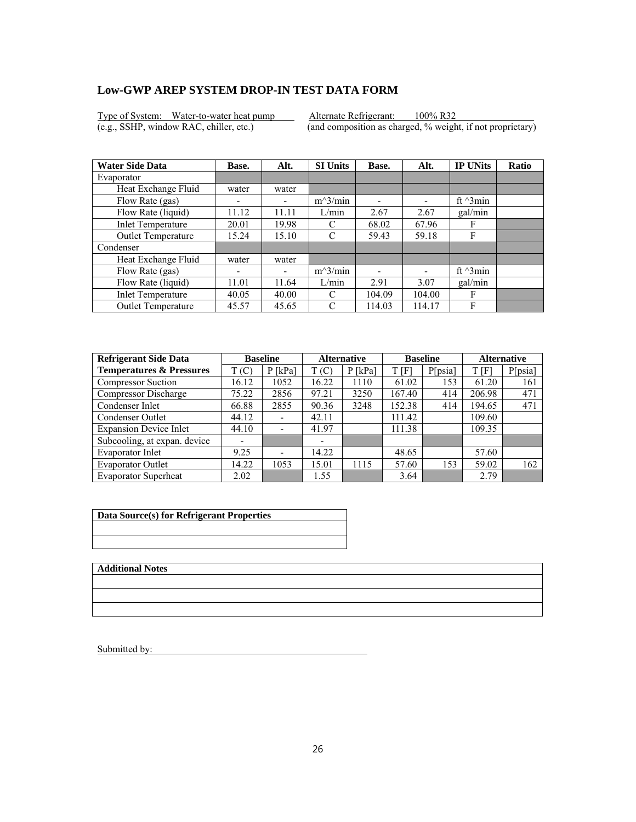Type of System: Water-to-water heat pump Alternate Refrigerant: 100% R32<br>(e.g., SSHP, window RAC, chiller, etc.) (and composition as charged, % weight

 $\overline{(and composition as charged, % weight, if not proprietary)}$ 

| <b>Water Side Data</b>    | Base.                    | Alt.  | <b>SI Units</b> | Base.  | Alt.                     | <b>IP UNits</b>  | <b>Ratio</b> |
|---------------------------|--------------------------|-------|-----------------|--------|--------------------------|------------------|--------------|
| Evaporator                |                          |       |                 |        |                          |                  |              |
| Heat Exchange Fluid       | water                    | water |                 |        |                          |                  |              |
| Flow Rate (gas)           | $\overline{\phantom{0}}$ |       | $m^3/min$       | ۰      | $\overline{\phantom{0}}$ | ft $\gamma$ 3min |              |
| Flow Rate (liquid)        | 11.12                    | 11.11 | L/min           | 2.67   | 2.67                     | gal/min          |              |
| <b>Inlet Temperature</b>  | 20.01                    | 19.98 | C               | 68.02  | 67.96                    | F                |              |
| Outlet Temperature        | 15.24                    | 15.10 | C               | 59.43  | 59.18                    | F                |              |
| Condenser                 |                          |       |                 |        |                          |                  |              |
| Heat Exchange Fluid       | water                    | water |                 |        |                          |                  |              |
| Flow Rate (gas)           | ٠                        | -     | $m^3/min$       |        |                          | ft $\gamma$ 3min |              |
| Flow Rate (liquid)        | 11.01                    | 11.64 | L/min           | 2.91   | 3.07                     | gal/min          |              |
| <b>Inlet Temperature</b>  | 40.05                    | 40.00 | C               | 104.09 | 104.00                   | F                |              |
| <b>Outlet Temperature</b> | 45.57                    | 45.65 | C               | 114.03 | 114.17                   | F                |              |

| <b>Refrigerant Side Data</b>        | <b>Baseline</b> |                          | <b>Alternative</b>       |           | <b>Baseline</b> |         | <b>Alternative</b> |         |
|-------------------------------------|-----------------|--------------------------|--------------------------|-----------|-----------------|---------|--------------------|---------|
| <b>Temperatures &amp; Pressures</b> | T(C)            | $P$ [kPa]                | T(C)                     | $P$ [kPa] | T [F]           | P[psia] | T [F]              | P[psia] |
| <b>Compressor Suction</b>           | 16.12           | 1052                     | 16.22                    | 1110      | 61.02           | 153     | 61.20              | 161     |
| Compressor Discharge                | 75.22           | 2856                     | 97.21                    | 3250      | 167.40          | 414     | 206.98             | 471     |
| Condenser Inlet                     | 66.88           | 2855                     | 90.36                    | 3248      | 152.38          | 414     | 194.65             | 471     |
| Condenser Outlet                    | 44.12           | $\overline{\phantom{a}}$ | 42.11                    |           | 111.42          |         | 109.60             |         |
| <b>Expansion Device Inlet</b>       | 44.10           |                          | 41.97                    |           | 111.38          |         | 109.35             |         |
| Subcooling, at expan. device        | -               |                          | $\overline{\phantom{0}}$ |           |                 |         |                    |         |
| Evaporator Inlet                    | 9.25            |                          | 14.22                    |           | 48.65           |         | 57.60              |         |
| <b>Evaporator Outlet</b>            | 14.22           | 1053                     | 15.01                    | 1115      | 57.60           | 153     | 59.02              | 162     |
| <b>Evaporator Superheat</b>         | 2.02            |                          | 1.55                     |           | 3.64            |         | 2.79               |         |

| Data Source(s) for Refrigerant Properties |
|-------------------------------------------|
|                                           |
|                                           |

**Additional Notes**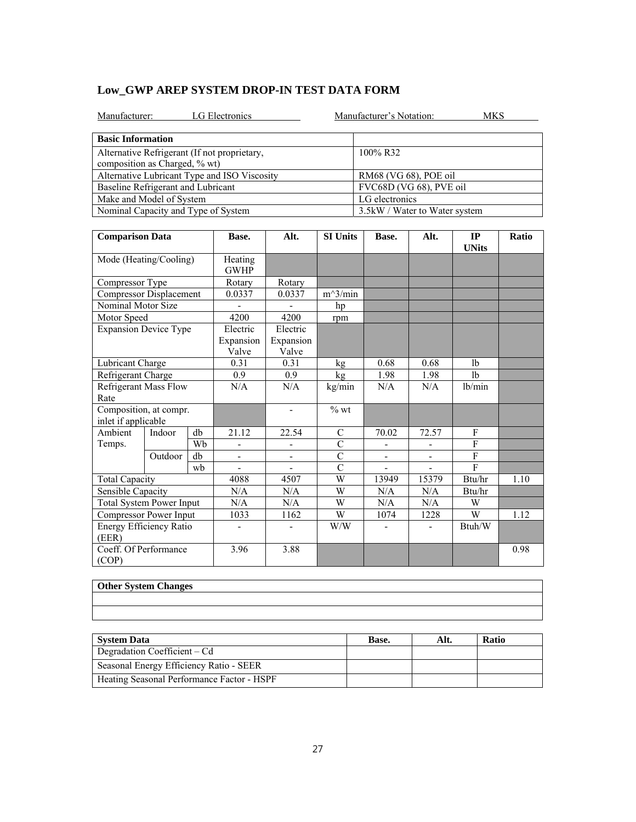| LG Electronics<br>Manufacturer:                                               |                 | Manufacturer's Notation: |      | <b>MKS</b>                     |              |  |  |  |
|-------------------------------------------------------------------------------|-----------------|--------------------------|------|--------------------------------|--------------|--|--|--|
| <b>Basic Information</b>                                                      |                 |                          |      |                                |              |  |  |  |
| Alternative Refrigerant (If not proprietary,<br>composition as Charged, % wt) |                 | 100% R32                 |      |                                |              |  |  |  |
| Alternative Lubricant Type and ISO Viscosity                                  |                 |                          |      | RM68 (VG 68), POE oil          |              |  |  |  |
| Baseline Refrigerant and Lubricant                                            |                 |                          |      | FVC68D (VG 68), PVE oil        |              |  |  |  |
| Make and Model of System                                                      |                 |                          |      | LG electronics                 |              |  |  |  |
| Nominal Capacity and Type of System                                           |                 |                          |      | 3.5 kW / Water to Water system |              |  |  |  |
|                                                                               |                 |                          |      |                                |              |  |  |  |
| <b>Comparison Data</b>                                                        | <b>SI Units</b> | Base.                    | Alt. | <b>IP</b><br><b>UNits</b>      | <b>Ratio</b> |  |  |  |

| <b>Comparison Data</b>                        |         |    | Base.                          | Alt.                           | <b>SI Units</b>    | Base.                    | Alt.           | IP<br><b>UNits</b> | Ratio |
|-----------------------------------------------|---------|----|--------------------------------|--------------------------------|--------------------|--------------------------|----------------|--------------------|-------|
| Mode (Heating/Cooling)                        |         |    | Heating<br><b>GWHP</b>         |                                |                    |                          |                |                    |       |
| Compressor Type                               |         |    | Rotary                         | Rotary                         |                    |                          |                |                    |       |
| <b>Compressor Displacement</b>                |         |    | 0.0337                         | 0.0337                         | $m^3/min$          |                          |                |                    |       |
| Nominal Motor Size                            |         |    |                                |                                | hp                 |                          |                |                    |       |
| Motor Speed                                   |         |    | 4200                           | 4200                           | rpm                |                          |                |                    |       |
| <b>Expansion Device Type</b>                  |         |    | Electric<br>Expansion<br>Valve | Electric<br>Expansion<br>Valve |                    |                          |                |                    |       |
| Lubricant Charge                              |         |    | 0.31                           | 0.31                           | kg                 | 0.68                     | 0.68           | 1 <sub>b</sub>     |       |
| Refrigerant Charge                            |         |    | 0.9                            | 0.9                            | kg                 | 1.98                     | 1.98           | 1 <sub>b</sub>     |       |
| <b>Refrigerant Mass Flow</b><br>Rate          |         |    | N/A                            | N/A                            | kg/min             | N/A                      | N/A            | lb/min             |       |
| Composition, at compr.<br>inlet if applicable |         |    |                                | $\blacksquare$                 | $\%$ wt            |                          |                |                    |       |
| Ambient                                       | Indoor  | db | 21.12                          | 22.54                          | C                  | 70.02                    | 72.57          | F                  |       |
| Temps.                                        |         | Wh |                                |                                | $\mathcal{C}$      |                          |                | $\mathbf{F}$       |       |
|                                               | Outdoor | db | $\blacksquare$                 | $\blacksquare$                 | $\overline{C}$     | $\overline{\phantom{a}}$ | $\blacksquare$ | F                  |       |
|                                               |         | wh |                                |                                | $\overline{\rm C}$ |                          |                | $\mathbf{F}$       |       |
| <b>Total Capacity</b>                         |         |    | 4088                           | 4507                           | W                  | 13949                    | 15379          | Btu/hr             | 1.10  |
| Sensible Capacity                             |         |    | N/A                            | N/A                            | W                  | N/A                      | N/A            | Btu/hr             |       |
| <b>Total System Power Input</b>               |         |    | N/A                            | N/A                            | W                  | N/A                      | N/A            | W                  |       |
| Compressor Power Input                        |         |    | 1033                           | 1162                           | W                  | 1074                     | 1228           | W                  | 1.12  |
| Energy Efficiency Ratio<br>(EER)              |         |    | ٠                              |                                | W/W                |                          |                | Btuh/W             |       |
| Coeff. Of Performance<br>(COP)                |         |    | 3.96                           | 3.88                           |                    |                          |                |                    | 0.98  |

| <b>Other System Changes</b> |
|-----------------------------|
|                             |
|                             |
|                             |
|                             |
|                             |

| <b>System Data</b>                         | Base. | Alt. | <b>Ratio</b> |
|--------------------------------------------|-------|------|--------------|
| Degradation Coefficient – Cd               |       |      |              |
| Seasonal Energy Efficiency Ratio - SEER    |       |      |              |
| Heating Seasonal Performance Factor - HSPF |       |      |              |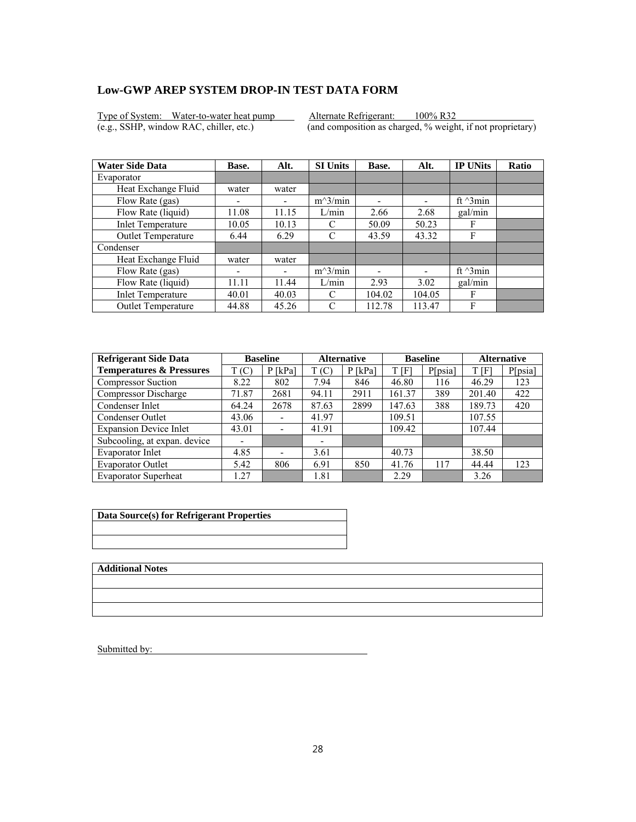Type of System: Water-to-water heat pump Alternate Refrigerant: 100% R32<br>(e.g., SSHP, window RAC, chiller, etc.) (and composition as charged, % weight

 $\overline{(and composition as charged, % weight, if not proprietary)}$ 

| <b>Water Side Data</b>   | Base.                    | Alt.  | <b>SI Units</b> | Base.  | Alt.                     | <b>IP UNits</b>  | <b>Ratio</b> |
|--------------------------|--------------------------|-------|-----------------|--------|--------------------------|------------------|--------------|
| Evaporator               |                          |       |                 |        |                          |                  |              |
| Heat Exchange Fluid      | water                    | water |                 |        |                          |                  |              |
| Flow Rate (gas)          | -                        |       | $m^3/min$       | ۰      | $\overline{\phantom{0}}$ | ft $\gamma$ 3min |              |
| Flow Rate (liquid)       | 11.08                    | 11.15 | L/min           | 2.66   | 2.68                     | gal/min          |              |
| <b>Inlet Temperature</b> | 10.05                    | 10.13 | C               | 50.09  | 50.23                    | F                |              |
| Outlet Temperature       | 6.44                     | 6.29  | C               | 43.59  | 43.32                    | F                |              |
| Condenser                |                          |       |                 |        |                          |                  |              |
| Heat Exchange Fluid      | water                    | water |                 |        |                          |                  |              |
| Flow Rate (gas)          | $\overline{\phantom{0}}$ | ۰     | $m^3/min$       |        |                          | ft $\gamma$ 3min |              |
| Flow Rate (liquid)       | 11.11                    | 11.44 | L/min           | 2.93   | 3.02                     | gal/min          |              |
| <b>Inlet Temperature</b> | 40.01                    | 40.03 | C               | 104.02 | 104.05                   | F                |              |
| Outlet Temperature       | 44.88                    | 45.26 | C               | 112.78 | 113.47                   | F                |              |

| <b>Refrigerant Side Data</b>        |       | <b>Baseline</b>              |       | <b>Alternative</b> |        | <b>Baseline</b> |        | <b>Alternative</b> |  |
|-------------------------------------|-------|------------------------------|-------|--------------------|--------|-----------------|--------|--------------------|--|
| <b>Temperatures &amp; Pressures</b> | T(C)  | $P$ [kPa]                    | T(C)  | $P$ [kPa]          | t [F]  | P[psia]         | T[F]   | P[psia]            |  |
| <b>Compressor Suction</b>           | 8.22  | 802                          | 7.94  | 846                | 46.80  | 116             | 46.29  | 123                |  |
| Compressor Discharge                | 71.87 | 2681                         | 94.11 | 2911               | 161.37 | 389             | 201.40 | 422                |  |
| Condenser Inlet                     | 64.24 | 2678                         | 87.63 | 2899               | 147.63 | 388             | 189.73 | 420                |  |
| Condenser Outlet                    | 43.06 | $\qquad \qquad \blacksquare$ | 41.97 |                    | 109.51 |                 | 107.55 |                    |  |
| <b>Expansion Device Inlet</b>       | 43.01 | $\overline{\phantom{a}}$     | 41.91 |                    | 109.42 |                 | 107.44 |                    |  |
| Subcooling, at expan. device        |       |                              |       |                    |        |                 |        |                    |  |
| Evaporator Inlet                    | 4.85  | $\overline{\phantom{0}}$     | 3.61  |                    | 40.73  |                 | 38.50  |                    |  |
| <b>Evaporator Outlet</b>            | 5.42  | 806                          | 6.91  | 850                | 41.76  | 117             | 44.44  | 123                |  |
| <b>Evaporator Superheat</b>         | .27   |                              | 1.81  |                    | 2.29   |                 | 3.26   |                    |  |

| Data Source(s) for Refrigerant Properties |
|-------------------------------------------|
|                                           |
|                                           |

**Additional Notes**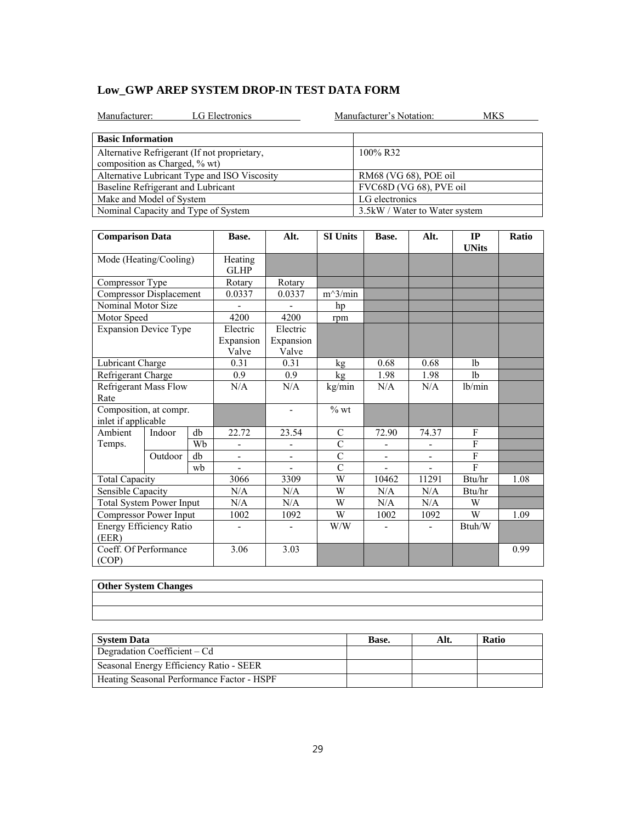| Manufacturer:                                | <b>LG</b> Electronics |      |                 | Manufacturer's Notation:<br>MKS |      |    |              |  |  |  |
|----------------------------------------------|-----------------------|------|-----------------|---------------------------------|------|----|--------------|--|--|--|
| <b>Basic Information</b>                     |                       |      |                 |                                 |      |    |              |  |  |  |
| Alternative Refrigerant (If not proprietary, |                       |      |                 | 100% R32                        |      |    |              |  |  |  |
| composition as Charged, % wt)                |                       |      |                 |                                 |      |    |              |  |  |  |
| Alternative Lubricant Type and ISO Viscosity |                       |      |                 | RM68 (VG 68), POE oil           |      |    |              |  |  |  |
| Baseline Refrigerant and Lubricant           |                       |      |                 | FVC68D (VG 68), PVE oil         |      |    |              |  |  |  |
| Make and Model of System                     |                       |      |                 | LG electronics                  |      |    |              |  |  |  |
| Nominal Capacity and Type of System          |                       |      |                 | 3.5 kW / Water to Water system  |      |    |              |  |  |  |
|                                              |                       |      |                 |                                 |      |    |              |  |  |  |
| <b>Comparison Data</b>                       | Base.                 | Alt. | <b>SI Units</b> | Base.                           | Alt. | IР | <b>Ratio</b> |  |  |  |

| <b>Comparison Data</b>                        |         |    | Base.                          | Alt.                           | <b>SI Units</b> | Base.                    | Alt.                     | IP<br><b>UNits</b> | <b>Ratio</b> |
|-----------------------------------------------|---------|----|--------------------------------|--------------------------------|-----------------|--------------------------|--------------------------|--------------------|--------------|
| Mode (Heating/Cooling)                        |         |    | Heating<br><b>GLHP</b>         |                                |                 |                          |                          |                    |              |
| Compressor Type                               |         |    | Rotary                         | Rotary                         |                 |                          |                          |                    |              |
| <b>Compressor Displacement</b>                |         |    | 0.0337                         | 0.0337                         | $m^3/min$       |                          |                          |                    |              |
| Nominal Motor Size                            |         |    |                                |                                | hp              |                          |                          |                    |              |
| Motor Speed                                   |         |    | 4200                           | 4200                           | rpm             |                          |                          |                    |              |
| <b>Expansion Device Type</b>                  |         |    | Electric<br>Expansion<br>Valve | Electric<br>Expansion<br>Valve |                 |                          |                          |                    |              |
| Lubricant Charge                              |         |    | 0.31                           | 0.31                           | kg              | 0.68                     | 0.68                     | 1 <sub>b</sub>     |              |
| Refrigerant Charge                            |         |    | 0.9                            | 0.9                            | kg              | 1.98                     | 1.98                     | 1 <sub>b</sub>     |              |
| <b>Refrigerant Mass Flow</b><br>Rate          |         |    | N/A                            | N/A                            | kg/min          | N/A                      | N/A                      | lb/min             |              |
| Composition, at compr.<br>inlet if applicable |         |    |                                | $\qquad \qquad \blacksquare$   | $\%$ wt         |                          |                          |                    |              |
| Ambient                                       | Indoor  | db | 22.72                          | 23.54                          | C               | 72.90                    | 74.37                    | F                  |              |
| Temps.                                        |         | Wb | ÷,                             | $\overline{\phantom{0}}$       | $\overline{C}$  |                          |                          | $\mathbf{F}$       |              |
|                                               | Outdoor | db | $\overline{\phantom{a}}$       | ÷,                             | $\overline{C}$  | $\overline{\phantom{a}}$ | $\overline{\phantom{0}}$ | $\mathbf{F}$       |              |
|                                               |         | wb |                                |                                | $\overline{C}$  |                          |                          | $\mathbf{F}$       |              |
| <b>Total Capacity</b>                         |         |    | 3066                           | 3309                           | W               | 10462                    | 11291                    | Btu/hr             | 1.08         |
| Sensible Capacity                             |         |    | N/A                            | N/A                            | W               | N/A                      | N/A                      | Btu/hr             |              |
| <b>Total System Power Input</b>               |         |    | N/A                            | N/A                            | W               | N/A                      | N/A                      | W                  |              |
| Compressor Power Input                        |         |    | 1002                           | 1092                           | W               | 1002                     | 1092                     | W                  | 1.09         |
| Energy Efficiency Ratio<br>(EER)              |         |    | -                              | ۰                              | W/W             |                          |                          | Btuh/W             |              |
| Coeff. Of Performance<br>(COP)                |         |    | 3.06                           | 3.03                           |                 |                          |                          |                    | 0.99         |

| Other System Changes |
|----------------------|
|                      |
|                      |
|                      |
|                      |
|                      |

| <b>System Data</b>                         | Base. | Alt. | <b>Ratio</b> |
|--------------------------------------------|-------|------|--------------|
| Degradation Coefficient – Cd               |       |      |              |
| Seasonal Energy Efficiency Ratio - SEER    |       |      |              |
| Heating Seasonal Performance Factor - HSPF |       |      |              |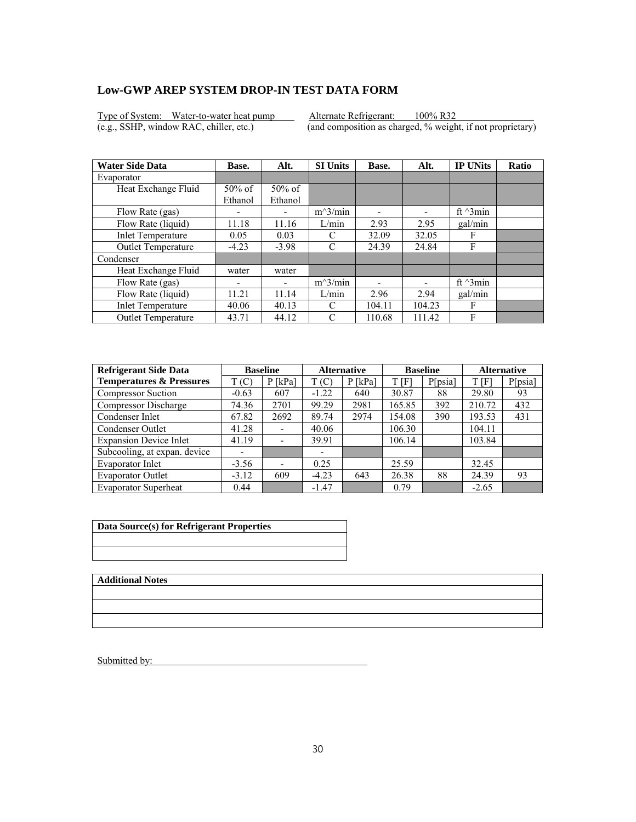Type of System: Water-to-water heat pump Alternate Refrigerant: 100% R32<br>(e.g., SSHP, window RAC, chiller, etc.) (and composition as charged, % weight

 $\overline{(and composition as charged, % weight, if not proprietary)}$ 

| <b>Water Side Data</b>    | Base.     | Alt.      | <b>SI Units</b> | Base.  | Alt.   | <b>IP UNits</b>  | <b>Ratio</b> |
|---------------------------|-----------|-----------|-----------------|--------|--------|------------------|--------------|
| Evaporator                |           |           |                 |        |        |                  |              |
| Heat Exchange Fluid       | $50\%$ of | $50\%$ of |                 |        |        |                  |              |
|                           | Ethanol   | Ethanol   |                 |        |        |                  |              |
| Flow Rate (gas)           | ٠         |           | $m^3/min$       | -      | ۰      | ft $\gamma$ 3min |              |
| Flow Rate (liquid)        | 11.18     | 11.16     | L/min           | 2.93   | 2.95   | gal/min          |              |
| <b>Inlet Temperature</b>  | 0.05      | 0.03      | C               | 32.09  | 32.05  | F                |              |
| Outlet Temperature        | $-4.23$   | $-3.98$   | C               | 24.39  | 24.84  | F                |              |
| Condenser                 |           |           |                 |        |        |                  |              |
| Heat Exchange Fluid       | water     | water     |                 |        |        |                  |              |
| Flow Rate (gas)           | -         |           | $m^3/min$       |        |        | ft $\gamma$ 3min |              |
| Flow Rate (liquid)        | 11.21     | 11.14     | L/min           | 2.96   | 2.94   | gal/min          |              |
| <b>Inlet Temperature</b>  | 40.06     | 40.13     | C               | 104.11 | 104.23 | F                |              |
| <b>Outlet Temperature</b> | 43.71     | 44.12     | C               | 110.68 | 111.42 | F                |              |

| <b>Refrigerant Side Data</b>        | <b>Baseline</b>          |                              | <b>Alternative</b> |           | <b>Baseline</b> |         | <b>Alternative</b> |         |
|-------------------------------------|--------------------------|------------------------------|--------------------|-----------|-----------------|---------|--------------------|---------|
| <b>Temperatures &amp; Pressures</b> | T(C)                     | $P$ [kPa]                    | T(C)               | $P$ [kPa] | T[F]            | P[psia] | T[F]               | P[psia] |
| <b>Compressor Suction</b>           | $-0.63$                  | 607                          | $-1.22$            | 640       | 30.87           | 88      | 29.80              | 93      |
| <b>Compressor Discharge</b>         | 74.36                    | 2701                         | 99.29              | 2981      | 165.85          | 392     | 210.72             | 432     |
| Condenser Inlet                     | 67.82                    | 2692                         | 89.74              | 2974      | 154.08          | 390     | 193.53             | 431     |
| Condenser Outlet                    | 41.28                    |                              | 40.06              |           | 106.30          |         | 104.11             |         |
| <b>Expansion Device Inlet</b>       | 41.19                    |                              | 39.91              |           | 106.14          |         | 103.84             |         |
| Subcooling, at expan. device        | $\overline{\phantom{0}}$ |                              | ۰                  |           |                 |         |                    |         |
| Evaporator Inlet                    | $-3.56$                  | $\qquad \qquad \blacksquare$ | 0.25               |           | 25.59           |         | 32.45              |         |
| <b>Evaporator Outlet</b>            | $-3.12$                  | 609                          | $-4.23$            | 643       | 26.38           | 88      | 24.39              | 93      |
| <b>Evaporator Superheat</b>         | 0.44                     |                              | $-1.47$            |           | 0.79            |         | $-2.65$            |         |

| Data Source(s) for Refrigerant Properties |
|-------------------------------------------|
|                                           |
|                                           |

**Additional Notes**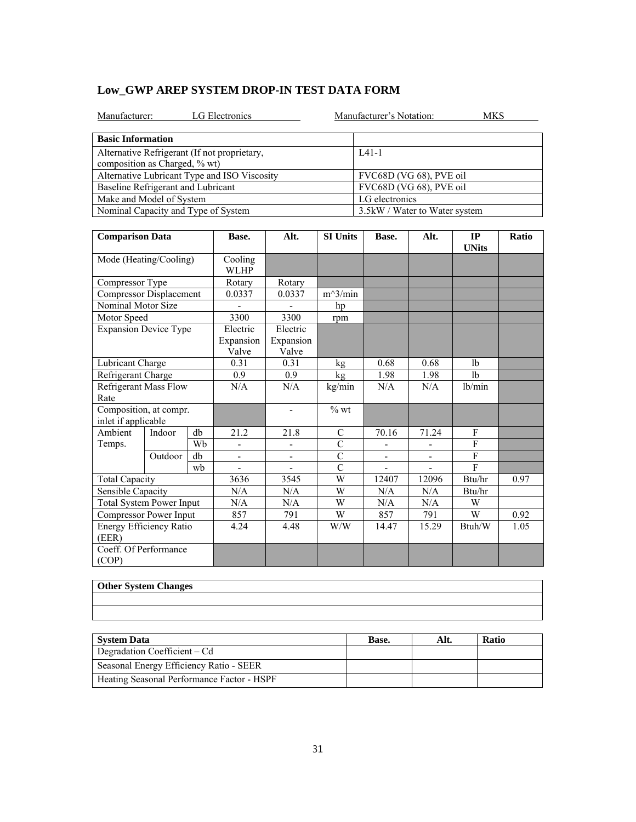|  | Low GWP AREP SYSTEM DROP-IN TEST DATA FORM |  |
|--|--------------------------------------------|--|
|--|--------------------------------------------|--|

| LG Electronics<br>Manufacturer:                                               | Manufacturer's Notation:<br>MKS |
|-------------------------------------------------------------------------------|---------------------------------|
| <b>Basic Information</b>                                                      |                                 |
| Alternative Refrigerant (If not proprietary,<br>composition as Charged, % wt) | $IA1-1$                         |
| Alternative Lubricant Type and ISO Viscosity                                  | FVC68D (VG 68), PVE oil         |
| Baseline Refrigerant and Lubricant                                            | FVC68D (VG 68), PVE oil         |
| Make and Model of System                                                      | LG electronics                  |
| Nominal Capacity and Type of System                                           | 3.5kW / Water to Water system   |

| <b>Comparison Data</b>                        |         |    | Base.                          | Alt.                           | <b>SI Units</b> | Base.                    | Alt.                     | IP<br><b>UNits</b> | Ratio |
|-----------------------------------------------|---------|----|--------------------------------|--------------------------------|-----------------|--------------------------|--------------------------|--------------------|-------|
| Mode (Heating/Cooling)                        |         |    | Cooling<br><b>WLHP</b>         |                                |                 |                          |                          |                    |       |
| Compressor Type                               |         |    | Rotary                         | Rotary                         |                 |                          |                          |                    |       |
| Compressor Displacement                       |         |    | 0.0337                         | 0.0337                         | $m^3/min$       |                          |                          |                    |       |
| Nominal Motor Size                            |         |    |                                |                                | hp              |                          |                          |                    |       |
| Motor Speed                                   |         |    | 3300                           | 3300                           | rpm             |                          |                          |                    |       |
| <b>Expansion Device Type</b>                  |         |    | Electric<br>Expansion<br>Valve | Electric<br>Expansion<br>Valve |                 |                          |                          |                    |       |
| Lubricant Charge                              |         |    | 0.31                           | 0.31                           | kg              | 0.68                     | 0.68                     | 1 <sub>b</sub>     |       |
| Refrigerant Charge                            |         |    | 0.9                            | 0.9                            | kg              | 1.98                     | 1.98                     | 1 <sub>b</sub>     |       |
| <b>Refrigerant Mass Flow</b><br>Rate          |         |    | N/A                            | N/A                            | kg/min          | N/A                      | N/A                      | lb/min             |       |
| Composition, at compr.<br>inlet if applicable |         |    |                                | $\overline{\phantom{0}}$       | $%$ wt          |                          |                          |                    |       |
| Ambient                                       | Indoor  | db | 21.2                           | 21.8                           | $\mathcal{C}$   | 70.16                    | 71.24                    | F                  |       |
| Temps.                                        |         | Wh | ÷,                             | $\overline{a}$                 | $\overline{C}$  |                          |                          | F                  |       |
|                                               | Outdoor | db | ÷,                             | ÷,                             | $\overline{C}$  | $\overline{\phantom{a}}$ | $\overline{\phantom{a}}$ | F                  |       |
|                                               |         | wh |                                |                                | $\overline{C}$  |                          |                          | F                  |       |
| <b>Total Capacity</b>                         |         |    | 3636                           | 3545                           | W               | 12407                    | 12096                    | Btu/hr             | 0.97  |
| Sensible Capacity                             |         |    | N/A                            | N/A                            | W               | N/A                      | N/A                      | Btu/hr             |       |
| <b>Total System Power Input</b>               |         |    | N/A                            | N/A                            | W               | N/A                      | N/A                      | W                  |       |
| Compressor Power Input                        |         |    | 857                            | 791                            | W               | 857                      | 791                      | W                  | 0.92  |
| Energy Efficiency Ratio<br>(EER)              |         |    | 4.24                           | 4.48                           | W/W             | 14.47                    | 15.29                    | Btuh/W             | 1.05  |
| Coeff. Of Performance<br>(COP)                |         |    |                                |                                |                 |                          |                          |                    |       |

| Other System Changes |
|----------------------|
|                      |
|                      |
|                      |
|                      |
|                      |

| <b>System Data</b>                         | Base. | Alt. | <b>Ratio</b> |
|--------------------------------------------|-------|------|--------------|
| Degradation Coefficient – Cd               |       |      |              |
| Seasonal Energy Efficiency Ratio - SEER    |       |      |              |
| Heating Seasonal Performance Factor - HSPF |       |      |              |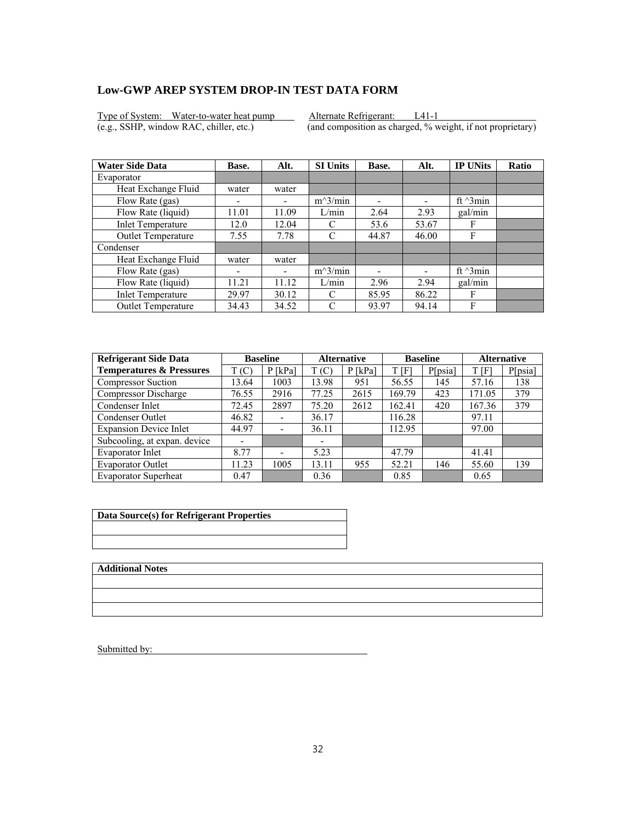Type of System: Water-to-water heat pump Alternate Refrigerant: L41-1<br>(e.g., SSHP, window RAC, chiller, etc.) (and composition as charged, % wei

 $\overline{(and composition as charged, % weight, if not proprietary)}$ 

| <b>Water Side Data</b>    | Base.                    | Alt.  | <b>SI Units</b> | Base. | Alt.                     | <b>IP UNits</b>  | <b>Ratio</b> |
|---------------------------|--------------------------|-------|-----------------|-------|--------------------------|------------------|--------------|
| Evaporator                |                          |       |                 |       |                          |                  |              |
| Heat Exchange Fluid       | water                    | water |                 |       |                          |                  |              |
| Flow Rate (gas)           | -                        |       | $m^3/min$       | ۰     | $\overline{\phantom{0}}$ | ft $\gamma$ 3min |              |
| Flow Rate (liquid)        | 11.01                    | 11.09 | L/min           | 2.64  | 2.93                     | gal/min          |              |
| <b>Inlet Temperature</b>  | 12.0                     | 12.04 | C               | 53.6  | 53.67                    | F                |              |
| Outlet Temperature        | 7.55                     | 7.78  | C               | 44.87 | 46.00                    | F                |              |
| Condenser                 |                          |       |                 |       |                          |                  |              |
| Heat Exchange Fluid       | water                    | water |                 |       |                          |                  |              |
| Flow Rate (gas)           | $\overline{\phantom{0}}$ | ٠     | $m^3/min$       |       |                          | ft $\gamma$ 3min |              |
| Flow Rate (liquid)        | 11.21                    | 11.12 | L/min           | 2.96  | 2.94                     | gal/min          |              |
| <b>Inlet Temperature</b>  | 29.97                    | 30.12 | C               | 85.95 | 86.22                    | F                |              |
| <b>Outlet Temperature</b> | 34.43                    | 34.52 | C               | 93.97 | 94.14                    | F                |              |

| <b>Refrigerant Side Data</b>        | <b>Baseline</b> |                          | <b>Alternative</b> |           | <b>Baseline</b> |         | <b>Alternative</b> |         |
|-------------------------------------|-----------------|--------------------------|--------------------|-----------|-----------------|---------|--------------------|---------|
| <b>Temperatures &amp; Pressures</b> | T(C)            | $P$ [kPa]                | T(C)               | $P$ [kPa] | t [F]           | P[psia] | T[F]               | P[psia] |
| <b>Compressor Suction</b>           | 13.64           | 1003                     | 13.98              | 951       | 56.55           | 145     | 57.16              | 138     |
| Compressor Discharge                | 76.55           | 2916                     | 77.25              | 2615      | 169.79          | 423     | 171.05             | 379     |
| Condenser Inlet                     | 72.45           | 2897                     | 75.20              | 2612      | 162.41          | 420     | 167.36             | 379     |
| Condenser Outlet                    | 46.82           | $\overline{\phantom{a}}$ | 36.17              |           | 116.28          |         | 97.11              |         |
| <b>Expansion Device Inlet</b>       | 44.97           | $\overline{\phantom{a}}$ | 36.11              |           | 112.95          |         | 97.00              |         |
| Subcooling, at expan. device        |                 |                          | -                  |           |                 |         |                    |         |
| Evaporator Inlet                    | 8.77            | $\overline{\phantom{0}}$ | 5.23               |           | 47.79           |         | 41.41              |         |
| <b>Evaporator Outlet</b>            | 11.23           | 1005                     | 13.11              | 955       | 52.21           | 146     | 55.60              | 139     |
| <b>Evaporator Superheat</b>         | 0.47            |                          | 0.36               |           | 0.85            |         | 0.65               |         |

| Data Source(s) for Refrigerant Properties |
|-------------------------------------------|
|                                           |
|                                           |

**Additional Notes**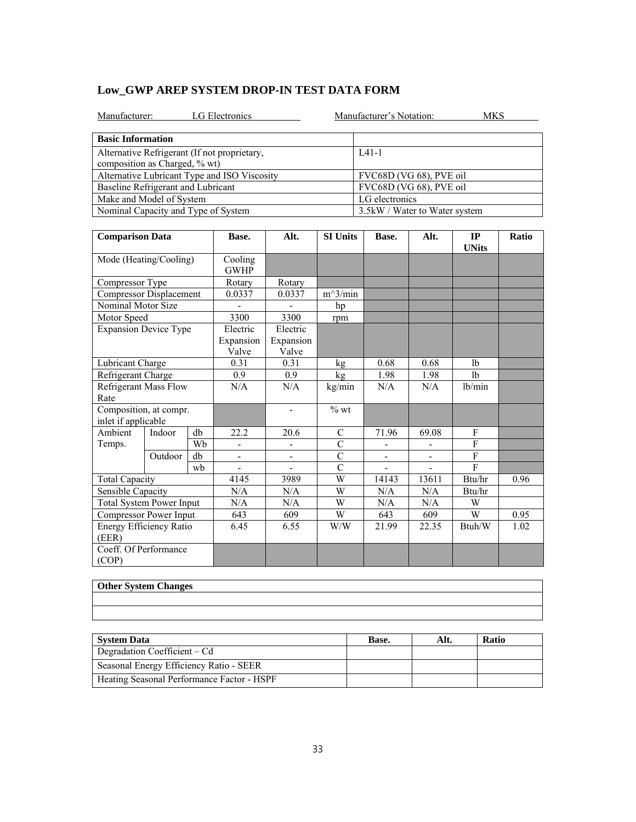|  | Low GWP AREP SYSTEM DROP-IN TEST DATA FORM |  |
|--|--------------------------------------------|--|
|--|--------------------------------------------|--|

| LG Electronics<br>Manufacturer:                                               | Manufacturer's Notation:<br>MKS |
|-------------------------------------------------------------------------------|---------------------------------|
| <b>Basic Information</b>                                                      |                                 |
| Alternative Refrigerant (If not proprietary,<br>composition as Charged, % wt) | $IA1-1$                         |
| Alternative Lubricant Type and ISO Viscosity                                  | FVC68D (VG 68), PVE oil         |
|                                                                               |                                 |
| Baseline Refrigerant and Lubricant                                            | FVC68D (VG 68), PVE oil         |
| Make and Model of System                                                      | LG electronics                  |
| Nominal Capacity and Type of System                                           | 3.5kW / Water to Water system   |

| <b>Comparison Data</b>                        |         | Base.                          | Alt.                           | <b>SI Units</b>          | Base.          | Alt.                     | IP<br><b>UNits</b>       | Ratio          |      |
|-----------------------------------------------|---------|--------------------------------|--------------------------------|--------------------------|----------------|--------------------------|--------------------------|----------------|------|
| Mode (Heating/Cooling)                        |         |                                | Cooling<br><b>GWHP</b>         |                          |                |                          |                          |                |      |
| Compressor Type                               |         |                                | Rotary                         | Rotary                   |                |                          |                          |                |      |
| Compressor Displacement                       |         |                                | 0.0337                         | 0.0337                   | $m^3/min$      |                          |                          |                |      |
| Nominal Motor Size                            |         |                                |                                |                          | hp             |                          |                          |                |      |
| Motor Speed                                   |         |                                | 3300                           | 3300                     | rpm            |                          |                          |                |      |
| <b>Expansion Device Type</b>                  |         | Electric<br>Expansion<br>Valve | Electric<br>Expansion<br>Valve |                          |                |                          |                          |                |      |
| Lubricant Charge                              |         | 0.31                           | 0.31                           | kg                       | 0.68           | 0.68                     | 1 <sub>b</sub>           |                |      |
| Refrigerant Charge                            |         |                                | 0.9                            | 0.9                      | kg             | 1.98                     | 1.98                     | 1 <sub>b</sub> |      |
| <b>Refrigerant Mass Flow</b><br>Rate          |         | N/A                            | N/A                            | kg/min                   | N/A            | N/A                      | lb/min                   |                |      |
| Composition, at compr.<br>inlet if applicable |         |                                |                                | $\overline{\phantom{0}}$ | $%$ wt         |                          |                          |                |      |
| Ambient                                       | Indoor  | db                             | 22.2                           | 20.6                     | $\mathcal{C}$  | 71.96                    | 69.08                    | F              |      |
| Temps.                                        |         | Wh                             | ÷,                             | $\overline{a}$           | $\overline{C}$ |                          |                          | F              |      |
|                                               | Outdoor | db                             | ÷,                             | ÷,                       | $\overline{C}$ | $\overline{\phantom{a}}$ | $\overline{\phantom{a}}$ | F              |      |
|                                               |         | wh                             |                                |                          | $\overline{C}$ |                          |                          | F              |      |
| <b>Total Capacity</b>                         |         |                                | 4145                           | 3989                     | W              | 14143                    | 13611                    | Btu/hr         | 0.96 |
| Sensible Capacity                             |         |                                | N/A                            | N/A                      | W              | N/A                      | N/A                      | Btu/hr         |      |
| <b>Total System Power Input</b>               |         |                                | N/A                            | N/A                      | W              | N/A                      | N/A                      | W              |      |
| Compressor Power Input                        |         |                                | 643                            | 609                      | W              | 643                      | 609                      | W              | 0.95 |
| Energy Efficiency Ratio<br>(EER)              |         |                                | 6.45                           | 6.55                     | W/W            | 21.99                    | 22.35                    | Btuh/W         | 1.02 |
| Coeff. Of Performance<br>(COP)                |         |                                |                                |                          |                |                          |                          |                |      |

| Other System Changes |
|----------------------|
|                      |
|                      |
|                      |
|                      |
|                      |

| <b>System Data</b>                         | Base. | Alt. | <b>Ratio</b> |
|--------------------------------------------|-------|------|--------------|
| Degradation Coefficient – Cd               |       |      |              |
| Seasonal Energy Efficiency Ratio - SEER    |       |      |              |
| Heating Seasonal Performance Factor - HSPF |       |      |              |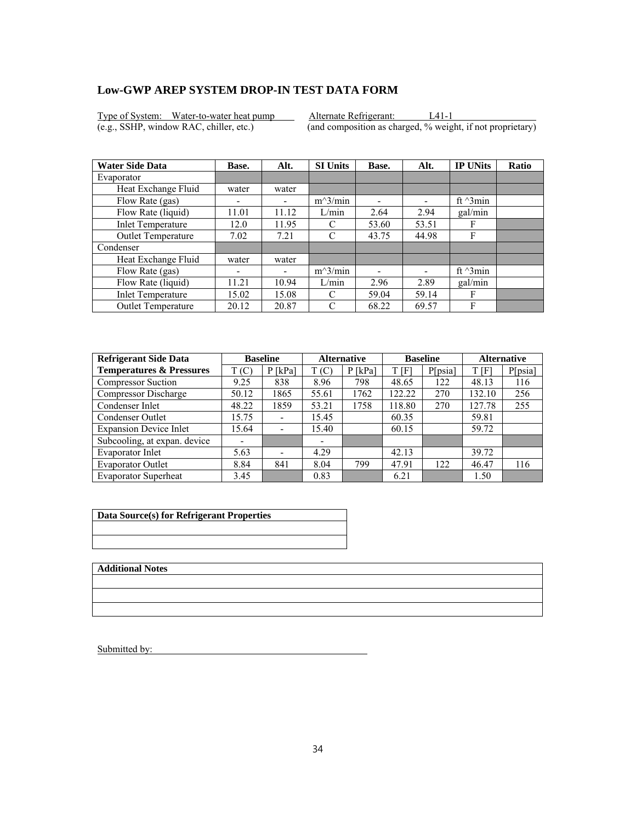Type of System: Water-to-water heat pump Alternate Refrigerant: L41-1<br>(e.g., SSHP, window RAC, chiller, etc.) (and composition as charged, % weight

 $\overline{(and composition as charged, % weight, if not proprietary)}$ 

| <b>Water Side Data</b>    | Base.                    | Alt.  | <b>SI Units</b> | Base. | Alt.                     | <b>IP UNits</b>  | <b>Ratio</b> |
|---------------------------|--------------------------|-------|-----------------|-------|--------------------------|------------------|--------------|
| Evaporator                |                          |       |                 |       |                          |                  |              |
| Heat Exchange Fluid       | water                    | water |                 |       |                          |                  |              |
| Flow Rate (gas)           | -                        |       | $m^3/min$       | -     | $\overline{\phantom{0}}$ | ft $\gamma$ 3min |              |
| Flow Rate (liquid)        | 11.01                    | 11.12 | L/min           | 2.64  | 2.94                     | gal/min          |              |
| <b>Inlet Temperature</b>  | 12.0                     | 11.95 | C               | 53.60 | 53.51                    | F                |              |
| Outlet Temperature        | 7.02                     | 7.21  | C               | 43.75 | 44.98                    | F                |              |
| Condenser                 |                          |       |                 |       |                          |                  |              |
| Heat Exchange Fluid       | water                    | water |                 |       |                          |                  |              |
| Flow Rate (gas)           | $\overline{\phantom{0}}$ | ۰     | $m^3/min$       |       |                          | ft $\gamma$ 3min |              |
| Flow Rate (liquid)        | 11.21                    | 10.94 | L/min           | 2.96  | 2.89                     | gal/min          |              |
| <b>Inlet Temperature</b>  | 15.02                    | 15.08 | C               | 59.04 | 59.14                    | F                |              |
| <b>Outlet Temperature</b> | 20.12                    | 20.87 | C               | 68.22 | 69.57                    | F                |              |

| <b>Refrigerant Side Data</b>        | <b>Baseline</b> |                          | <b>Alternative</b> |           |        | <b>Baseline</b> | <b>Alternative</b> |         |
|-------------------------------------|-----------------|--------------------------|--------------------|-----------|--------|-----------------|--------------------|---------|
| <b>Temperatures &amp; Pressures</b> | T(C)            | $P$ [kPa]                | T(C)               | $P$ [kPa] | t [f]  | P[psia]         | T[F]               | P[psia] |
| <b>Compressor Suction</b>           | 9.25            | 838                      | 8.96               | 798       | 48.65  | 122             | 48.13              | 116     |
| Compressor Discharge                | 50.12           | 1865                     | 55.61              | 1762      | 122.22 | 270             | 132.10             | 256     |
| Condenser Inlet                     | 48.22           | 1859                     | 53.21              | 1758      | 118.80 | 270             | 127.78             | 255     |
| Condenser Outlet                    | 15.75           | $\overline{\phantom{a}}$ | 15.45              |           | 60.35  |                 | 59.81              |         |
| <b>Expansion Device Inlet</b>       | 15.64           | $\overline{\phantom{a}}$ | 15.40              |           | 60.15  |                 | 59.72              |         |
| Subcooling, at expan. device        |                 |                          | -                  |           |        |                 |                    |         |
| Evaporator Inlet                    | 5.63            | $\overline{\phantom{0}}$ | 4.29               |           | 42.13  |                 | 39.72              |         |
| <b>Evaporator Outlet</b>            | 8.84            | 841                      | 8.04               | 799       | 47.91  | 122             | 46.47              | 116     |
| <b>Evaporator Superheat</b>         | 3.45            |                          | 0.83               |           | 6.21   |                 | 1.50               |         |

| Data Source(s) for Refrigerant Properties |
|-------------------------------------------|
|                                           |
|                                           |

**Additional Notes**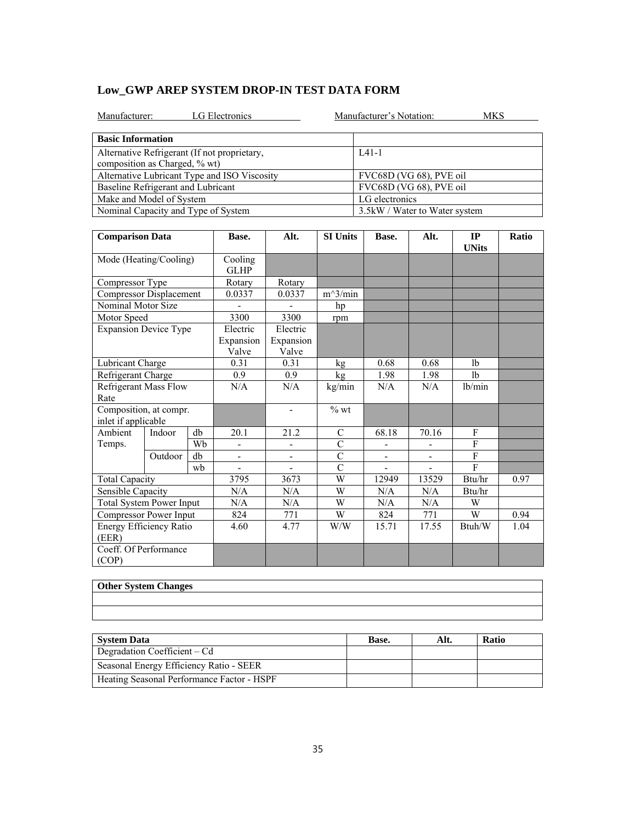|  | Low GWP AREP SYSTEM DROP-IN TEST DATA FORM |  |
|--|--------------------------------------------|--|
|--|--------------------------------------------|--|

| LG Electronics<br>Manufacturer:                                               | Manufacturer's Notation:<br>MKS |
|-------------------------------------------------------------------------------|---------------------------------|
| <b>Basic Information</b>                                                      |                                 |
| Alternative Refrigerant (If not proprietary,<br>composition as Charged, % wt) | $IA1-1$                         |
| Alternative Lubricant Type and ISO Viscosity                                  | FVC68D (VG 68), PVE oil         |
| Baseline Refrigerant and Lubricant                                            | FVC68D (VG 68), PVE oil         |
| Make and Model of System                                                      | LG electronics                  |
| Nominal Capacity and Type of System                                           | 3.5kW / Water to Water system   |

| <b>Comparison Data</b>                        |         | Base.                          | Alt.                           | <b>SI Units</b>              | Base.          | Alt.                     | IP<br><b>UNits</b>       | Ratio          |      |
|-----------------------------------------------|---------|--------------------------------|--------------------------------|------------------------------|----------------|--------------------------|--------------------------|----------------|------|
| Mode (Heating/Cooling)                        |         |                                | Cooling<br><b>GLHP</b>         |                              |                |                          |                          |                |      |
| Compressor Type                               |         |                                | Rotary                         | Rotary                       |                |                          |                          |                |      |
| <b>Compressor Displacement</b>                |         |                                | 0.0337                         | 0.0337                       | $m^3/min$      |                          |                          |                |      |
| Nominal Motor Size                            |         |                                |                                |                              | hp             |                          |                          |                |      |
| Motor Speed                                   |         |                                | 3300                           | 3300                         | rpm            |                          |                          |                |      |
| <b>Expansion Device Type</b>                  |         | Electric<br>Expansion<br>Valve | Electric<br>Expansion<br>Valve |                              |                |                          |                          |                |      |
| Lubricant Charge                              |         |                                | 0.31                           | 0.31                         | kg             | 0.68                     | 0.68                     | 1 <sub>b</sub> |      |
| Refrigerant Charge                            |         | 0.9                            | 0.9                            | kg                           | 1.98           | 1.98                     | 1 <sub>b</sub>           |                |      |
| <b>Refrigerant Mass Flow</b><br>Rate          |         | N/A                            | N/A                            | kg/min                       | N/A            | N/A                      | lb/min                   |                |      |
| Composition, at compr.<br>inlet if applicable |         |                                |                                | $\qquad \qquad \blacksquare$ | $%$ wt         |                          |                          |                |      |
| Ambient                                       | Indoor  | db                             | 20.1                           | 21.2                         | $\mathcal{C}$  | 68.18                    | 70.16                    | F              |      |
| Temps.                                        |         | Wh                             |                                |                              | $\overline{C}$ |                          |                          | F              |      |
|                                               | Outdoor | db                             | $\overline{\phantom{0}}$       | ÷,                           | $\overline{C}$ | $\overline{\phantom{a}}$ | $\overline{\phantom{a}}$ | F              |      |
|                                               |         | wh                             |                                |                              | $\overline{C}$ |                          |                          | F              |      |
| <b>Total Capacity</b>                         |         |                                | 3795                           | 3673                         | W              | 12949                    | 13529                    | Btu/hr         | 0.97 |
| Sensible Capacity                             |         |                                | N/A                            | N/A                          | W              | N/A                      | N/A                      | Btu/hr         |      |
| <b>Total System Power Input</b>               |         |                                | N/A                            | N/A                          | W              | N/A                      | N/A                      | W              |      |
| Compressor Power Input                        |         |                                | 824                            | 771                          | W              | 824                      | 771                      | W              | 0.94 |
| Energy Efficiency Ratio<br>(EER)              |         |                                | 4.60                           | 4.77                         | W/W            | 15.71                    | 17.55                    | Btuh/W         | 1.04 |
| Coeff. Of Performance<br>(COP)                |         |                                |                                |                              |                |                          |                          |                |      |

| Other System Changes |
|----------------------|
|                      |
|                      |
|                      |
|                      |
|                      |

| <b>System Data</b>                         | Base. | Alt. | <b>Ratio</b> |
|--------------------------------------------|-------|------|--------------|
| Degradation Coefficient – Cd               |       |      |              |
| Seasonal Energy Efficiency Ratio - SEER    |       |      |              |
| Heating Seasonal Performance Factor - HSPF |       |      |              |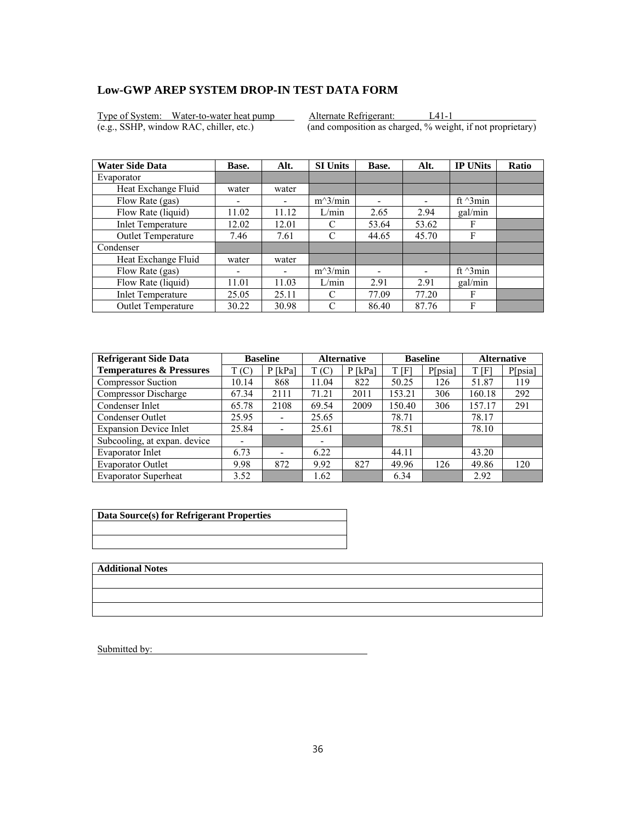Type of System: Water-to-water heat pump Alternate Refrigerant: L41-1 (e.g., SSHP, window RAC, chiller, etc.) (and composition as charged, % weight, if not proprietary)

| <b>Water Side Data</b>   | Base. | Alt.  | <b>SI Units</b> | Base. | Alt.                     | <b>IP UNits</b>  | <b>Ratio</b> |
|--------------------------|-------|-------|-----------------|-------|--------------------------|------------------|--------------|
| Evaporator               |       |       |                 |       |                          |                  |              |
| Heat Exchange Fluid      | water | water |                 |       |                          |                  |              |
| Flow Rate (gas)          |       |       | $m^3/min$       | ۰     | $\overline{\phantom{0}}$ | ft $\gamma$ 3min |              |
| Flow Rate (liquid)       | 11.02 | 11.12 | L/min           | 2.65  | 2.94                     | gal/min          |              |
| <b>Inlet Temperature</b> | 12.02 | 12.01 | C               | 53.64 | 53.62                    | F                |              |
| Outlet Temperature       | 7.46  | 7.61  | C               | 44.65 | 45.70                    | F                |              |
| Condenser                |       |       |                 |       |                          |                  |              |
| Heat Exchange Fluid      | water | water |                 |       |                          |                  |              |
| Flow Rate (gas)          | ٠     | -     | $m^3/min$       |       |                          | ft $\gamma$ 3min |              |
| Flow Rate (liquid)       | 11.01 | 11.03 | L/min           | 2.91  | 2.91                     | gal/min          |              |
| <b>Inlet Temperature</b> | 25.05 | 25.11 | C               | 77.09 | 77.20                    | F                |              |
| Outlet Temperature       | 30.22 | 30.98 | C               | 86.40 | 87.76                    | F                |              |

| <b>Refrigerant Side Data</b>        | <b>Baseline</b> |                          |                          | <b>Alternative</b> | <b>Baseline</b> |         | <b>Alternative</b> |         |
|-------------------------------------|-----------------|--------------------------|--------------------------|--------------------|-----------------|---------|--------------------|---------|
| <b>Temperatures &amp; Pressures</b> | T(C)            | $P$ [kPa]                | T(C)                     | $P$ [kPa]          | T [F]           | P[psia] | T [F]              | P[psia] |
| <b>Compressor Suction</b>           | 10.14           | 868                      | 11.04                    | 822                | 50.25           | 126     | 51.87              | 119     |
| Compressor Discharge                | 67.34           | 2111                     | 71.21                    | 2011               | 153.21          | 306     | 160.18             | 292     |
| Condenser Inlet                     | 65.78           | 2108                     | 69.54                    | 2009               | 150.40          | 306     | 157.17             | 291     |
| Condenser Outlet                    | 25.95           | $\overline{\phantom{a}}$ | 25.65                    |                    | 78.71           |         | 78.17              |         |
| <b>Expansion Device Inlet</b>       | 25.84           |                          | 25.61                    |                    | 78.51           |         | 78.10              |         |
| Subcooling, at expan. device        | -               |                          | $\overline{\phantom{0}}$ |                    |                 |         |                    |         |
| Evaporator Inlet                    | 6.73            |                          | 6.22                     |                    | 44.11           |         | 43.20              |         |
| <b>Evaporator Outlet</b>            | 9.98            | 872                      | 9.92                     | 827                | 49.96           | 126     | 49.86              | 120     |
| <b>Evaporator Superheat</b>         | 3.52            |                          | 1.62                     |                    | 6.34            |         | 2.92               |         |

| Data Source(s) for Refrigerant Properties |  |  |  |  |
|-------------------------------------------|--|--|--|--|
|                                           |  |  |  |  |
|                                           |  |  |  |  |

**Additional Notes**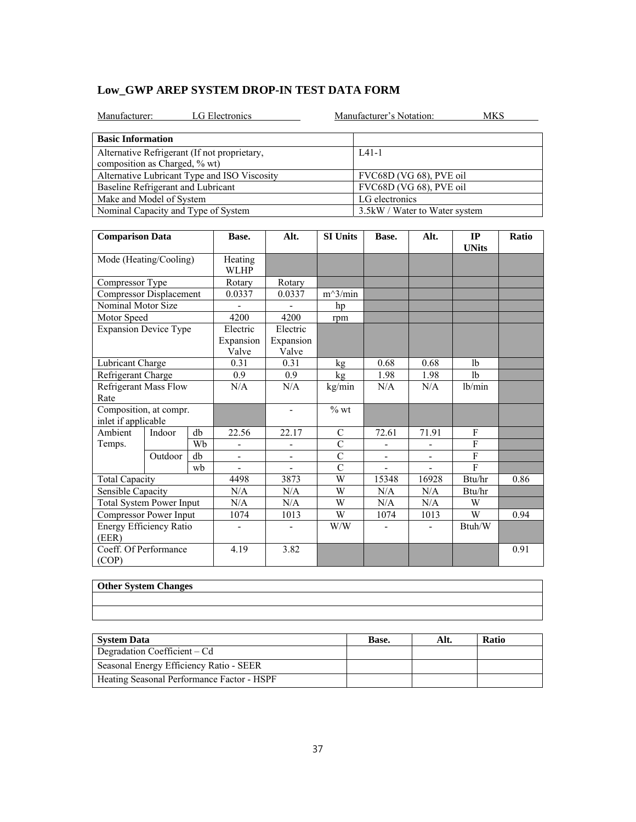|  |  | Low GWP AREP SYSTEM DROP-IN TEST DATA FORM |
|--|--|--------------------------------------------|
|--|--|--------------------------------------------|

| LG Electronics<br>Manufacturer:                                               | Manufacturer's Notation:       | MKS |
|-------------------------------------------------------------------------------|--------------------------------|-----|
| <b>Basic Information</b>                                                      |                                |     |
| Alternative Refrigerant (If not proprietary,<br>composition as Charged, % wt) | $IA1-1$                        |     |
| Alternative Lubricant Type and ISO Viscosity                                  | FVC68D (VG 68), PVE oil        |     |
| Baseline Refrigerant and Lubricant                                            | FVC68D (VG 68), PVE oil        |     |
| Make and Model of System                                                      | LG electronics                 |     |
| Nominal Capacity and Type of System                                           | 3.5 kW / Water to Water system |     |

| <b>Comparison Data</b>                        |                       |                        | Base.                          | Alt.                           | <b>SI Units</b> | Base.                    | Alt.                     | IP<br><b>UNits</b> | Ratio |
|-----------------------------------------------|-----------------------|------------------------|--------------------------------|--------------------------------|-----------------|--------------------------|--------------------------|--------------------|-------|
| Mode (Heating/Cooling)                        |                       | Heating<br><b>WLHP</b> |                                |                                |                 |                          |                          |                    |       |
| Compressor Type                               |                       |                        | Rotary                         | Rotary                         |                 |                          |                          |                    |       |
| <b>Compressor Displacement</b>                |                       |                        | 0.0337                         | 0.0337                         | $m^3/min$       |                          |                          |                    |       |
| Nominal Motor Size                            |                       |                        |                                |                                | hp              |                          |                          |                    |       |
| Motor Speed                                   |                       |                        | 4200                           | 4200                           | rpm             |                          |                          |                    |       |
| <b>Expansion Device Type</b>                  |                       |                        | Electric<br>Expansion<br>Valve | Electric<br>Expansion<br>Valve |                 |                          |                          |                    |       |
| Lubricant Charge                              |                       |                        | 0.31                           | 0.31                           | kg              | 0.68                     | 0.68                     | 1 <sub>b</sub>     |       |
| Refrigerant Charge                            |                       |                        | 0.9                            | 0.9                            | kg              | 1.98                     | 1.98                     | 1 <sub>b</sub>     |       |
| <b>Refrigerant Mass Flow</b><br>Rate          |                       |                        | N/A                            | N/A                            | kg/min          | N/A                      | N/A                      | lb/min             |       |
| Composition, at compr.<br>inlet if applicable |                       |                        |                                | $\qquad \qquad \blacksquare$   | $%$ wt          |                          |                          |                    |       |
| Ambient                                       | Indoor                | db                     | 22.56                          | 22.17                          | $\mathcal{C}$   | 72.61                    | 71.91                    | F                  |       |
| Temps.                                        |                       | Wh                     |                                | $\overline{a}$                 | $\overline{C}$  |                          |                          | F                  |       |
|                                               | Outdoor               | db                     | ÷,                             | ÷,                             | $\overline{C}$  | $\overline{\phantom{a}}$ | $\overline{\phantom{a}}$ | F                  |       |
|                                               |                       | wh                     |                                |                                | $\overline{C}$  |                          |                          | F                  |       |
|                                               | <b>Total Capacity</b> |                        | 4498                           | 3873                           | W               | 15348                    | 16928                    | Btu/hr             | 0.86  |
| Sensible Capacity                             |                       |                        | N/A                            | N/A                            | W               | N/A                      | N/A                      | Btu/hr             |       |
| <b>Total System Power Input</b>               |                       | N/A                    | N/A                            | W                              | N/A             | N/A                      | W                        |                    |       |
| Compressor Power Input                        |                       |                        | 1074                           | 1013                           | W               | 1074                     | 1013                     | W                  | 0.94  |
| Energy Efficiency Ratio<br>(EER)              |                       |                        | $\qquad \qquad \blacksquare$   | -                              | W/W             |                          |                          | Btuh/W             |       |
| Coeff. Of Performance<br>(COP)                |                       |                        | 4.19                           | 3.82                           |                 |                          |                          |                    | 0.91  |

| Other System Changes |  |  |
|----------------------|--|--|
|                      |  |  |
|                      |  |  |
|                      |  |  |
|                      |  |  |
|                      |  |  |

| <b>System Data</b>                         | Base. | Alt. | <b>Ratio</b> |
|--------------------------------------------|-------|------|--------------|
| Degradation Coefficient – Cd               |       |      |              |
| Seasonal Energy Efficiency Ratio - SEER    |       |      |              |
| Heating Seasonal Performance Factor - HSPF |       |      |              |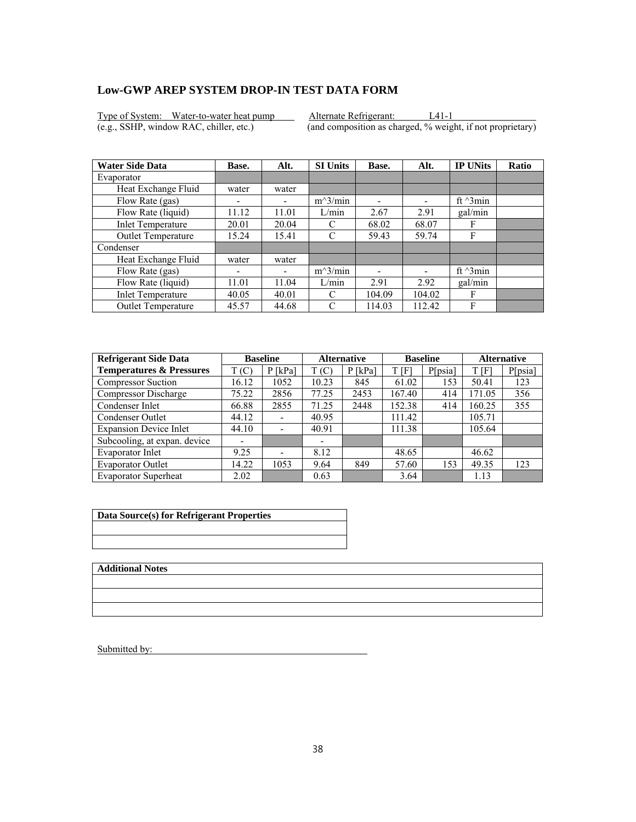Type of System: Water-to-water heat pump Alternate Refrigerant: L41-1<br>(e.g., SSHP, window RAC, chiller, etc.) (and composition as charged, % weight

 $\overline{(and composition as charged, % weight, if not proprietary)}$ 

| <b>Water Side Data</b>    | Base.                    | Alt.  | <b>SI Units</b> | Base.  | Alt.                     | <b>IP UNits</b>  | <b>Ratio</b> |
|---------------------------|--------------------------|-------|-----------------|--------|--------------------------|------------------|--------------|
| Evaporator                |                          |       |                 |        |                          |                  |              |
| Heat Exchange Fluid       | water                    | water |                 |        |                          |                  |              |
| Flow Rate (gas)           | $\overline{\phantom{0}}$ |       | $m^3/min$       | ۰      | $\overline{\phantom{0}}$ | ft $\gamma$ 3min |              |
| Flow Rate (liquid)        | 11.12                    | 11.01 | L/min           | 2.67   | 2.91                     | gal/min          |              |
| <b>Inlet Temperature</b>  | 20.01                    | 20.04 | C               | 68.02  | 68.07                    | F                |              |
| Outlet Temperature        | 15.24                    | 15.41 | C               | 59.43  | 59.74                    | F                |              |
| Condenser                 |                          |       |                 |        |                          |                  |              |
| Heat Exchange Fluid       | water                    | water |                 |        |                          |                  |              |
| Flow Rate (gas)           | ۰                        | -     | $m^3/min$       |        |                          | ft $\gamma$ 3min |              |
| Flow Rate (liquid)        | 11.01                    | 11.04 | L/min           | 2.91   | 2.92                     | gal/min          |              |
| <b>Inlet Temperature</b>  | 40.05                    | 40.01 | C               | 104.09 | 104.02                   | F                |              |
| <b>Outlet Temperature</b> | 45.57                    | 44.68 | C               | 114.03 | 112.42                   | F                |              |

| <b>Refrigerant Side Data</b>        | <b>Baseline</b> |                          | <b>Alternative</b> |           |        | <b>Baseline</b> | <b>Alternative</b> |         |
|-------------------------------------|-----------------|--------------------------|--------------------|-----------|--------|-----------------|--------------------|---------|
| <b>Temperatures &amp; Pressures</b> | T(C)            | P [kPa]                  | T(C)               | $P$ [kPa] | T[F]   | P[psia]         | T[F]               | P[psia] |
| <b>Compressor Suction</b>           | 16.12           | 1052                     | 10.23              | 845       | 61.02  | 153             | 50.41              | 123     |
| Compressor Discharge                | 75.22           | 2856                     | 77.25              | 2453      | 167.40 | 414             | 171.05             | 356     |
| Condenser Inlet                     | 66.88           | 2855                     | 71.25              | 2448      | 152.38 | 414             | 160.25             | 355     |
| Condenser Outlet                    | 44.12           | $\overline{\phantom{a}}$ | 40.95              |           | 111.42 |                 | 105.71             |         |
| <b>Expansion Device Inlet</b>       | 44.10           | ٠                        | 40.91              |           | 111.38 |                 | 105.64             |         |
| Subcooling, at expan. device        |                 |                          | -                  |           |        |                 |                    |         |
| Evaporator Inlet                    | 9.25            | $\overline{\phantom{0}}$ | 8.12               |           | 48.65  |                 | 46.62              |         |
| <b>Evaporator Outlet</b>            | 14.22           | 1053                     | 9.64               | 849       | 57.60  | 153             | 49.35              | 123     |
| <b>Evaporator Superheat</b>         | 2.02            |                          | 0.63               |           | 3.64   |                 | 1.13               |         |

| Data Source(s) for Refrigerant Properties |  |  |  |  |
|-------------------------------------------|--|--|--|--|
|                                           |  |  |  |  |
|                                           |  |  |  |  |

**Additional Notes**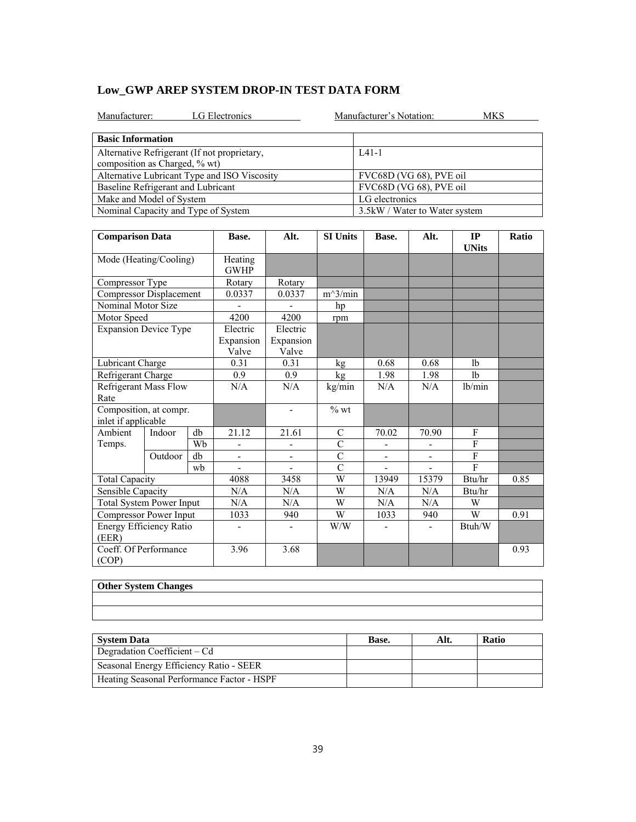|  | Low GWP AREP SYSTEM DROP-IN TEST DATA FORM |  |
|--|--------------------------------------------|--|
|--|--------------------------------------------|--|

| LG Electronics<br>Manufacturer:                                               | Manufacturer's Notation:       | MKS |
|-------------------------------------------------------------------------------|--------------------------------|-----|
| <b>Basic Information</b>                                                      |                                |     |
| Alternative Refrigerant (If not proprietary,<br>composition as Charged, % wt) | $IA1-1$                        |     |
| Alternative Lubricant Type and ISO Viscosity                                  | FVC68D (VG 68), PVE oil        |     |
| Baseline Refrigerant and Lubricant                                            | FVC68D (VG 68), PVE oil        |     |
| Make and Model of System                                                      | LG electronics                 |     |
| Nominal Capacity and Type of System                                           | 3.5 kW / Water to Water system |     |

| <b>Comparison Data</b>                        |         |      | Base.                          | Alt.                           | <b>SI Units</b> | Base.                    | Alt.                         | IP<br><b>UNits</b> | Ratio |
|-----------------------------------------------|---------|------|--------------------------------|--------------------------------|-----------------|--------------------------|------------------------------|--------------------|-------|
| Mode (Heating/Cooling)                        |         |      | Heating<br><b>GWHP</b>         |                                |                 |                          |                              |                    |       |
| Compressor Type                               |         |      | Rotary                         | Rotary                         |                 |                          |                              |                    |       |
| <b>Compressor Displacement</b>                |         |      | 0.0337                         | 0.0337                         | $m^3/min$       |                          |                              |                    |       |
| Nominal Motor Size                            |         |      |                                |                                | hp              |                          |                              |                    |       |
| Motor Speed                                   |         |      | 4200                           | 4200                           | rpm             |                          |                              |                    |       |
| <b>Expansion Device Type</b>                  |         |      | Electric<br>Expansion<br>Valve | Electric<br>Expansion<br>Valve |                 |                          |                              |                    |       |
| Lubricant Charge                              |         |      | 0.31                           | 0.31                           | kg              | 0.68                     | 0.68                         | 1 <sub>b</sub>     |       |
| Refrigerant Charge                            |         |      | 0.9                            | 0.9                            | kg              | 1.98                     | 1.98                         | 1 <sub>b</sub>     |       |
| <b>Refrigerant Mass Flow</b><br>Rate          |         |      | N/A                            | N/A                            | kg/min          | N/A                      | N/A                          | lb/min             |       |
| Composition, at compr.<br>inlet if applicable |         |      |                                | $\overline{\phantom{a}}$       | $%$ wt          |                          |                              |                    |       |
| Ambient                                       | Indoor  | db   | 21.12                          | 21.61                          | $\mathcal{C}$   | 70.02                    | 70.90                        | F                  |       |
| Temps.                                        |         | Wb   | ÷,                             | $\overline{\phantom{0}}$       | $\overline{C}$  | $\overline{\phantom{a}}$ |                              | $\overline{F}$     |       |
|                                               | Outdoor | db   | $\overline{\phantom{0}}$       | $\overline{\phantom{0}}$       | $\overline{C}$  | $\overline{\phantom{a}}$ | $\overline{\phantom{a}}$     | $\overline{F}$     |       |
|                                               |         | wb   |                                |                                | $\overline{C}$  |                          |                              | $\mathbf{F}$       |       |
| <b>Total Capacity</b>                         |         |      | 4088                           | 3458                           | W               | 13949                    | 15379                        | Btu/hr             | 0.85  |
| Sensible Capacity                             |         |      | N/A                            | N/A                            | W               | N/A                      | N/A                          | Btu/hr             |       |
| <b>Total System Power Input</b>               |         | N/A  | N/A                            | W                              | N/A             | N/A                      | W                            |                    |       |
| Compressor Power Input                        |         | 1033 | 940                            | W                              | 1033            | 940                      | W                            | 0.91               |       |
| Energy Efficiency Ratio<br>(EER)              |         |      | $\qquad \qquad \blacksquare$   | $\overline{\phantom{0}}$       | W/W             |                          | $\qquad \qquad \blacksquare$ | Btuh/W             |       |
| Coeff. Of Performance<br>(COP)                |         |      | 3.96                           | 3.68                           |                 |                          |                              |                    | 0.93  |

| Other System Changes |  |  |
|----------------------|--|--|
|                      |  |  |
|                      |  |  |
|                      |  |  |
|                      |  |  |
|                      |  |  |

| <b>System Data</b>                         | Base. | Alt. | <b>Ratio</b> |
|--------------------------------------------|-------|------|--------------|
| Degradation Coefficient $-Cd$              |       |      |              |
| Seasonal Energy Efficiency Ratio - SEER    |       |      |              |
| Heating Seasonal Performance Factor - HSPF |       |      |              |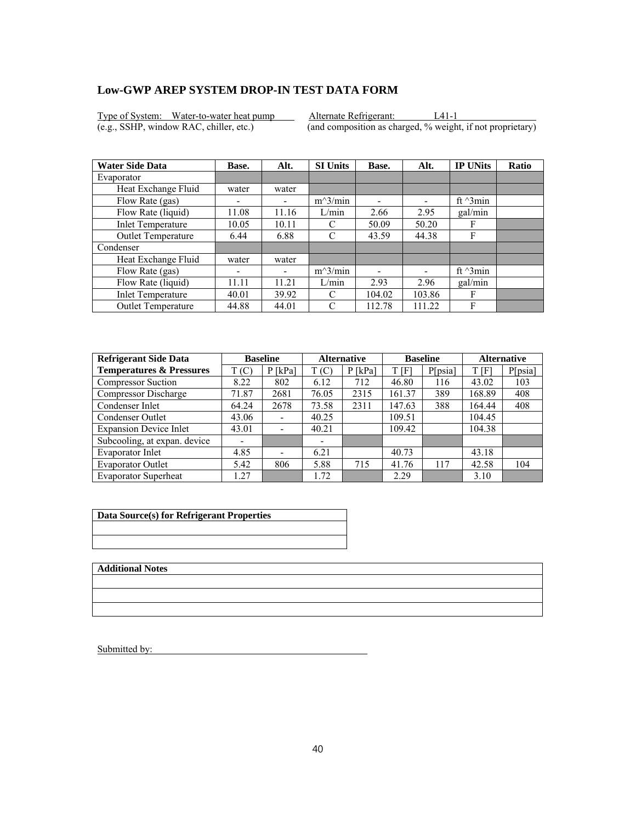Type of System: Water-to-water heat pump Alternate Refrigerant: L41-1<br>
(e.g., SSHP, window RAC, chiller, etc.) (and composition as charged, % weight

 $\overline{(and composition as charged, % weight, if not proprietary)}$ 

| <b>Water Side Data</b>    | Base.                    | Alt.  | <b>SI Units</b> | Base.  | Alt.                     | <b>IP UNits</b>  | <b>Ratio</b> |
|---------------------------|--------------------------|-------|-----------------|--------|--------------------------|------------------|--------------|
| Evaporator                |                          |       |                 |        |                          |                  |              |
| Heat Exchange Fluid       | water                    | water |                 |        |                          |                  |              |
| Flow Rate (gas)           | $\overline{\phantom{0}}$ |       | $m^3/min$       | ۰      | $\overline{\phantom{0}}$ | ft $\gamma$ 3min |              |
| Flow Rate (liquid)        | 11.08                    | 11.16 | L/min           | 2.66   | 2.95                     | gal/min          |              |
| <b>Inlet Temperature</b>  | 10.05                    | 10.11 | C               | 50.09  | 50.20                    | F                |              |
| Outlet Temperature        | 6.44                     | 6.88  | C               | 43.59  | 44.38                    | F                |              |
| Condenser                 |                          |       |                 |        |                          |                  |              |
| Heat Exchange Fluid       | water                    | water |                 |        |                          |                  |              |
| Flow Rate (gas)           | ۰                        | -     | $m^3/min$       |        |                          | ft $\gamma$ 3min |              |
| Flow Rate (liquid)        | 11.11                    | 11.21 | L/min           | 2.93   | 2.96                     | gal/min          |              |
| <b>Inlet Temperature</b>  | 40.01                    | 39.92 | C               | 104.02 | 103.86                   | F                |              |
| <b>Outlet Temperature</b> | 44.88                    | 44.01 | C               | 112.78 | 111.22                   | F                |              |

| <b>Refrigerant Side Data</b>        |       | <b>Baseline</b>              | <b>Alternative</b> |           | <b>Baseline</b> |         | <b>Alternative</b> |         |
|-------------------------------------|-------|------------------------------|--------------------|-----------|-----------------|---------|--------------------|---------|
| <b>Temperatures &amp; Pressures</b> | T(C)  | $P$ [kPa]                    | T(C)               | $P$ [kPa] | t [F]           | P[psia] | T[F]               | P[psia] |
| <b>Compressor Suction</b>           | 8.22  | 802                          | 6.12               | 712       | 46.80           | 116     | 43.02              | 103     |
| Compressor Discharge                | 71.87 | 2681                         | 76.05              | 2315      | 161.37          | 389     | 168.89             | 408     |
| Condenser Inlet                     | 64.24 | 2678                         | 73.58              | 2311      | 147.63          | 388     | 164.44             | 408     |
| Condenser Outlet                    | 43.06 | $\qquad \qquad \blacksquare$ | 40.25              |           | 109.51          |         | 104.45             |         |
| <b>Expansion Device Inlet</b>       | 43.01 | $\overline{\phantom{a}}$     | 40.21              |           | 109.42          |         | 104.38             |         |
| Subcooling, at expan. device        |       |                              |                    |           |                 |         |                    |         |
| Evaporator Inlet                    | 4.85  | $\overline{\phantom{0}}$     | 6.21               |           | 40.73           |         | 43.18              |         |
| <b>Evaporator Outlet</b>            | 5.42  | 806                          | 5.88               | 715       | 41.76           | 117     | 42.58              | 104     |
| <b>Evaporator Superheat</b>         | .27   |                              | 1.72               |           | 2.29            |         | 3.10               |         |

| Data Source(s) for Refrigerant Properties |
|-------------------------------------------|
|                                           |
|                                           |

**Additional Notes**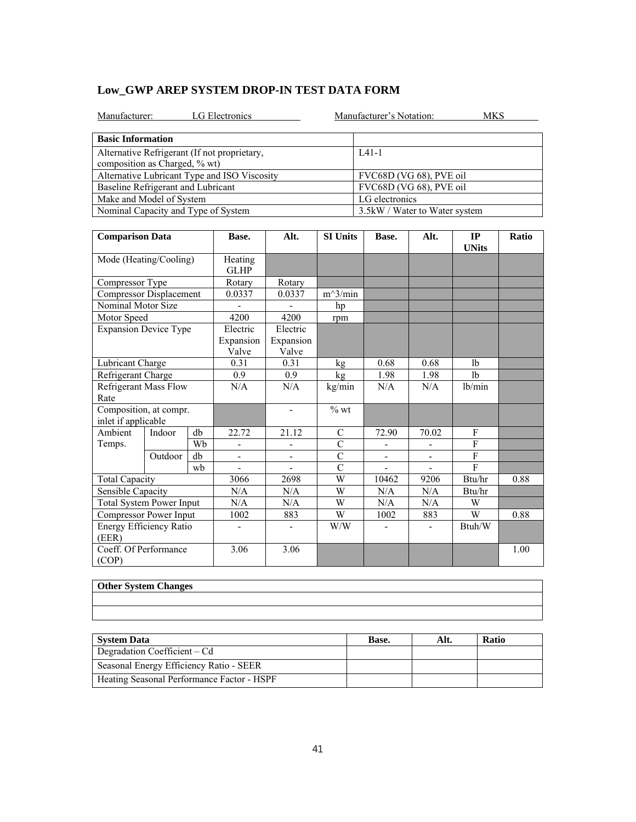|  | Low GWP AREP SYSTEM DROP-IN TEST DATA FORM |  |
|--|--------------------------------------------|--|
|--|--------------------------------------------|--|

| LG Electronics<br>Manufacturer:                                               | Manufacturer's Notation:<br>MKS |
|-------------------------------------------------------------------------------|---------------------------------|
| <b>Basic Information</b>                                                      |                                 |
| Alternative Refrigerant (If not proprietary,<br>composition as Charged, % wt) | $IA1-1$                         |
| Alternative Lubricant Type and ISO Viscosity                                  | FVC68D (VG 68), PVE oil         |
| Baseline Refrigerant and Lubricant                                            | FVC68D (VG 68), PVE oil         |
| Make and Model of System                                                      | LG electronics                  |
| Nominal Capacity and Type of System                                           | 3.5 kW / Water to Water system  |

| <b>Comparison Data</b>                        |         |    | Base.                          | Alt.                           | <b>SI Units</b>    | Base.                    | Alt.                     | IP<br><b>UNits</b> | Ratio |
|-----------------------------------------------|---------|----|--------------------------------|--------------------------------|--------------------|--------------------------|--------------------------|--------------------|-------|
| Mode (Heating/Cooling)                        |         |    | Heating<br><b>GLHP</b>         |                                |                    |                          |                          |                    |       |
| Compressor Type                               |         |    | Rotary                         | Rotary                         |                    |                          |                          |                    |       |
| Compressor Displacement                       |         |    | 0.0337                         | 0.0337                         | $m^3/min$          |                          |                          |                    |       |
| Nominal Motor Size                            |         |    |                                |                                | hp                 |                          |                          |                    |       |
| Motor Speed                                   |         |    | 4200                           | 4200                           | rpm                |                          |                          |                    |       |
| <b>Expansion Device Type</b>                  |         |    | Electric<br>Expansion<br>Valve | Electric<br>Expansion<br>Valve |                    |                          |                          |                    |       |
| Lubricant Charge                              |         |    | 0.31                           | 0.31                           | kg                 | 0.68                     | 0.68                     | 1 <sub>b</sub>     |       |
| Refrigerant Charge                            |         |    | 0.9                            | 0.9                            | kg                 | 1.98                     | 1.98                     | 1 <sub>b</sub>     |       |
| <b>Refrigerant Mass Flow</b><br>Rate          |         |    | N/A                            | N/A                            | kg/min             | N/A                      | N/A                      | lb/min             |       |
| Composition, at compr.<br>inlet if applicable |         |    |                                | $\overline{\phantom{a}}$       | $\%$ wt            |                          |                          |                    |       |
| Ambient                                       | Indoor  | db | 22.72                          | 21.12                          | C                  | 72.90                    | 70.02                    | F                  |       |
| Temps.                                        |         | Wh |                                |                                | $\overline{C}$     |                          |                          | $\mathbf{F}$       |       |
|                                               | Outdoor | db | $\overline{\phantom{a}}$       | $\blacksquare$                 | $\overline{C}$     | $\overline{\phantom{a}}$ | $\overline{\phantom{a}}$ | $\mathbf{F}$       |       |
|                                               |         | wh |                                |                                | $\overline{\rm C}$ |                          |                          | F                  |       |
| <b>Total Capacity</b>                         |         |    | 3066                           | 2698                           | W                  | 10462                    | 9206                     | Btu/hr             | 0.88  |
| Sensible Capacity                             |         |    | N/A                            | N/A                            | W                  | N/A                      | N/A                      | Btu/hr             |       |
| <b>Total System Power Input</b>               |         |    | N/A                            | N/A                            | W                  | N/A                      | N/A                      | W                  |       |
| Compressor Power Input                        |         |    | 1002                           | 883                            | W                  | 1002                     | 883                      | W                  | 0.88  |
| Energy Efficiency Ratio<br>(EER)              |         |    | $\qquad \qquad \blacksquare$   | $\overline{\phantom{a}}$       | W/W                |                          |                          | Btuh/W             |       |
| Coeff. Of Performance<br>(COP)                |         |    | 3.06                           | 3.06                           |                    |                          |                          |                    | 1.00  |

| <b>Other System Changes</b> |  |  |
|-----------------------------|--|--|
|                             |  |  |
|                             |  |  |
|                             |  |  |
|                             |  |  |
|                             |  |  |

| System Data                                | <b>Base.</b> | Alt. | <b>Ratio</b> |
|--------------------------------------------|--------------|------|--------------|
| Degradation Coefficient $-Cd$              |              |      |              |
| Seasonal Energy Efficiency Ratio - SEER    |              |      |              |
| Heating Seasonal Performance Factor - HSPF |              |      |              |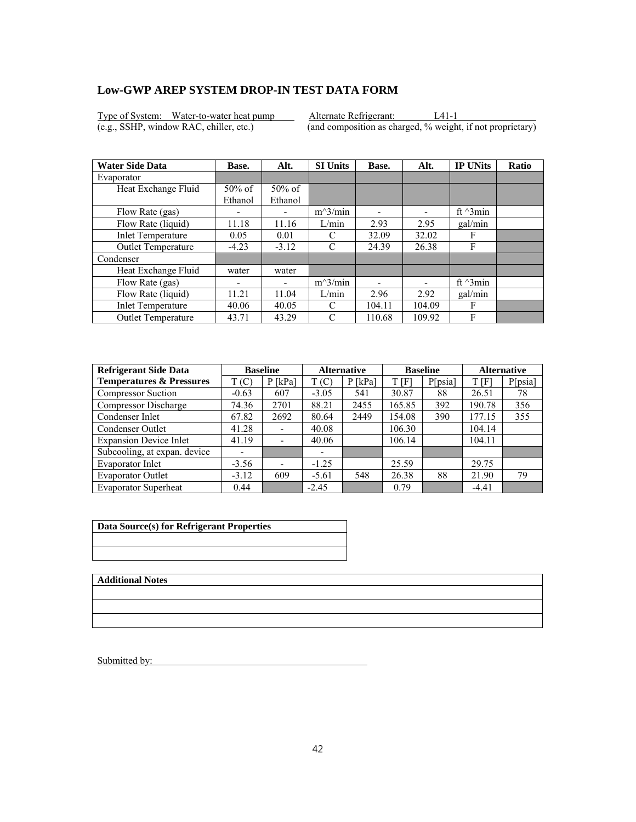Type of System: Water-to-water heat pump Alternate Refrigerant: L41-1<br>
(e.g., SSHP, window RAC, chiller, etc.) (and composition as charged, % weight

 $\overline{(and composition as charged, % weight, if not proprietary)}$ 

| <b>Water Side Data</b>    | Base.                    | Alt.      | <b>SI Units</b> | Base.                    | Alt.                     | <b>IP UNits</b>  | <b>Ratio</b> |
|---------------------------|--------------------------|-----------|-----------------|--------------------------|--------------------------|------------------|--------------|
| Evaporator                |                          |           |                 |                          |                          |                  |              |
| Heat Exchange Fluid       | $50\%$ of                | $50\%$ of |                 |                          |                          |                  |              |
|                           | Ethanol                  | Ethanol   |                 |                          |                          |                  |              |
| Flow Rate (gas)           | ۰                        |           | $m^3/min$       | $\overline{\phantom{0}}$ |                          | ft $\gamma$ 3min |              |
| Flow Rate (liquid)        | 11.18                    | 11.16     | L/min           | 2.93                     | 2.95                     | gal/min          |              |
| <b>Inlet Temperature</b>  | 0.05                     | 0.01      | C               | 32.09                    | 32.02                    | F                |              |
| <b>Outlet Temperature</b> | $-4.23$                  | $-3.12$   | C               | 24.39                    | 26.38                    | F                |              |
| Condenser                 |                          |           |                 |                          |                          |                  |              |
| Heat Exchange Fluid       | water                    | water     |                 |                          |                          |                  |              |
| Flow Rate (gas)           | $\overline{\phantom{0}}$ |           | $m^3/min$       |                          | $\overline{\phantom{0}}$ | ft $\gamma$ 3min |              |
| Flow Rate (liquid)        | 11.21                    | 11.04     | L/min           | 2.96                     | 2.92                     | gal/min          |              |
| <b>Inlet Temperature</b>  | 40.06                    | 40.05     | C               | 104.11                   | 104.09                   | F                |              |
| <b>Outlet Temperature</b> | 43.71                    | 43.29     | C               | 110.68                   | 109.92                   | F                |              |

| <b>Refrigerant Side Data</b>        |                          | <b>Baseline</b>              | <b>Alternative</b> |           | <b>Baseline</b> |         | <b>Alternative</b> |         |
|-------------------------------------|--------------------------|------------------------------|--------------------|-----------|-----------------|---------|--------------------|---------|
| <b>Temperatures &amp; Pressures</b> | T(C)                     | $P$ [kPa]                    | T(C)               | $P$ [kPa] | T[F]            | P[psia] | T[F]               | P[psia] |
| <b>Compressor Suction</b>           | $-0.63$                  | 607                          | $-3.05$            | 541       | 30.87           | 88      | 26.51              | 78      |
| <b>Compressor Discharge</b>         | 74.36                    | 2701                         | 88.21              | 2455      | 165.85          | 392     | 190.78             | 356     |
| Condenser Inlet                     | 67.82                    | 2692                         | 80.64              | 2449      | 154.08          | 390     | 177.15             | 355     |
| Condenser Outlet                    | 41.28                    |                              | 40.08              |           | 106.30          |         | 104.14             |         |
| <b>Expansion Device Inlet</b>       | 41.19                    |                              | 40.06              |           | 106.14          |         | 104.11             |         |
| Subcooling, at expan. device        | $\overline{\phantom{0}}$ |                              | ۰                  |           |                 |         |                    |         |
| Evaporator Inlet                    | $-3.56$                  | $\qquad \qquad \blacksquare$ | $-1.25$            |           | 25.59           |         | 29.75              |         |
| <b>Evaporator Outlet</b>            | $-3.12$                  | 609                          | $-5.61$            | 548       | 26.38           | 88      | 21.90              | 79      |
| <b>Evaporator Superheat</b>         | 0.44                     |                              | $-2.45$            |           | 0.79            |         | $-4.41$            |         |

| Data Source(s) for Refrigerant Properties |
|-------------------------------------------|
|                                           |
|                                           |

**Additional Notes**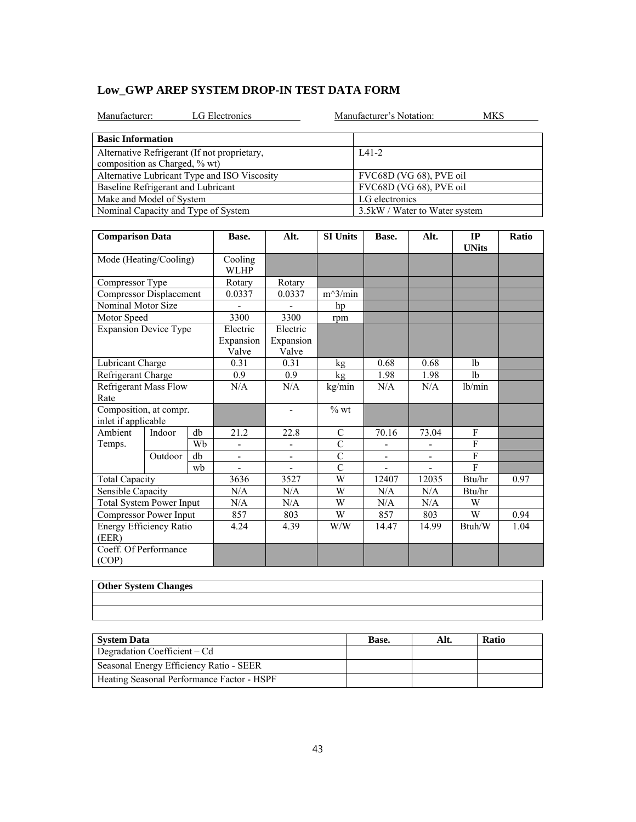|  | Low GWP AREP SYSTEM DROP-IN TEST DATA FORM |  |
|--|--------------------------------------------|--|
|--|--------------------------------------------|--|

| LG Electronics<br>Manufacturer:                                               | Manufacturer's Notation:      | MKS |
|-------------------------------------------------------------------------------|-------------------------------|-----|
| <b>Basic Information</b>                                                      |                               |     |
| Alternative Refrigerant (If not proprietary,<br>composition as Charged, % wt) | $IA1-2$                       |     |
| Alternative Lubricant Type and ISO Viscosity                                  | FVC68D (VG 68), PVE oil       |     |
| Baseline Refrigerant and Lubricant                                            | FVC68D (VG 68), PVE oil       |     |
| Make and Model of System                                                      | LG electronics                |     |
| Nominal Capacity and Type of System                                           | 3.5kW / Water to Water system |     |

|                                               | <b>Comparison Data</b> |                        | Base.                          | Alt.                           | <b>SI Units</b> | Base.                    | Alt.                     | IP<br><b>UNits</b> | Ratio |
|-----------------------------------------------|------------------------|------------------------|--------------------------------|--------------------------------|-----------------|--------------------------|--------------------------|--------------------|-------|
| Mode (Heating/Cooling)                        |                        | Cooling<br><b>WLHP</b> |                                |                                |                 |                          |                          |                    |       |
| Compressor Type                               |                        |                        | Rotary                         | Rotary                         |                 |                          |                          |                    |       |
| Compressor Displacement                       |                        |                        | 0.0337                         | 0.0337                         | $m^3/min$       |                          |                          |                    |       |
| Nominal Motor Size                            |                        |                        |                                |                                | hp              |                          |                          |                    |       |
| Motor Speed                                   |                        |                        | 3300                           | 3300                           | rpm             |                          |                          |                    |       |
| <b>Expansion Device Type</b>                  |                        |                        | Electric<br>Expansion<br>Valve | Electric<br>Expansion<br>Valve |                 |                          |                          |                    |       |
| Lubricant Charge                              |                        |                        | 0.31                           | 0.31                           | kg              | 0.68                     | 0.68                     | 1 <sub>b</sub>     |       |
| Refrigerant Charge                            |                        |                        | 0.9                            | 0.9                            | kg              | 1.98                     | 1.98                     | 1 <sub>b</sub>     |       |
| <b>Refrigerant Mass Flow</b><br>Rate          |                        |                        | N/A                            | N/A                            | kg/min          | N/A                      | N/A                      | lb/min             |       |
| Composition, at compr.<br>inlet if applicable |                        |                        |                                | $\qquad \qquad \blacksquare$   | $%$ wt          |                          |                          |                    |       |
| Ambient                                       | Indoor                 | db                     | 21.2                           | 22.8                           | $\mathcal{C}$   | 70.16                    | 73.04                    | F                  |       |
| Temps.                                        |                        | Wh                     | ÷,                             | -                              | $\overline{C}$  |                          |                          | $\overline{F}$     |       |
|                                               | Outdoor                | db                     | ÷,                             | ÷,                             | $\overline{C}$  | $\overline{\phantom{a}}$ | $\overline{\phantom{a}}$ | F                  |       |
|                                               |                        | wh                     |                                |                                | $\overline{C}$  |                          |                          | F                  |       |
| <b>Total Capacity</b>                         |                        |                        | 3636                           | 3527                           | W               | 12407                    | 12035                    | Btu/hr             | 0.97  |
| Sensible Capacity                             |                        |                        | N/A                            | N/A                            | W               | N/A                      | N/A                      | Btu/hr             |       |
| <b>Total System Power Input</b>               |                        | N/A                    | N/A                            | W                              | N/A             | N/A                      | W                        |                    |       |
| Compressor Power Input                        |                        |                        | 857                            | 803                            | W               | 857                      | 803                      | W                  | 0.94  |
| Energy Efficiency Ratio<br>(EER)              |                        | 4.24                   | 4.39                           | W/W                            | 14.47           | 14.99                    | Btuh/W                   | 1.04               |       |
| Coeff. Of Performance<br>(COP)                |                        |                        |                                |                                |                 |                          |                          |                    |       |

| Other System Changes |
|----------------------|
|                      |
|                      |
|                      |
|                      |
|                      |

| <b>System Data</b>                         | Base. | Alt. | <b>Ratio</b> |
|--------------------------------------------|-------|------|--------------|
| Degradation Coefficient – Cd               |       |      |              |
| Seasonal Energy Efficiency Ratio - SEER    |       |      |              |
| Heating Seasonal Performance Factor - HSPF |       |      |              |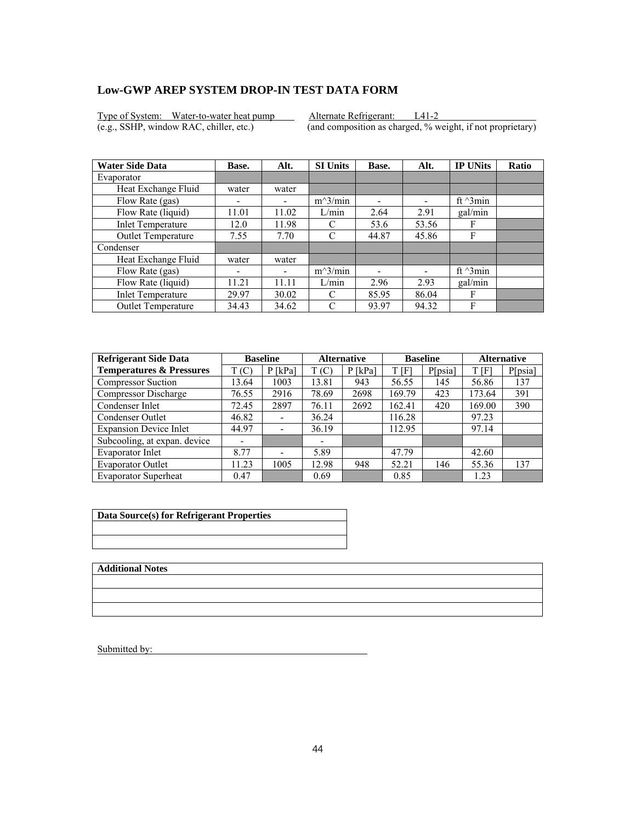Type of System: Water-to-water heat pump Alternate Refrigerant: L41-2<br>
(e.g., SSHP, window RAC, chiller, etc.) (and composition as charged, % we

 $\overline{(and composition as charged, % weight, if not proprietary)}$ 

| <b>Water Side Data</b>    | Base.                    | Alt.  | <b>SI Units</b> | Base. | Alt.                     | <b>IP UNits</b>  | Ratio |
|---------------------------|--------------------------|-------|-----------------|-------|--------------------------|------------------|-------|
| Evaporator                |                          |       |                 |       |                          |                  |       |
| Heat Exchange Fluid       | water                    | water |                 |       |                          |                  |       |
| Flow Rate (gas)           | ۰                        |       | $m^3/min$       | -     | $\overline{\phantom{0}}$ | ft $\gamma$ 3min |       |
| Flow Rate (liquid)        | 11.01                    | 11.02 | L/min           | 2.64  | 2.91                     | gal/min          |       |
| <b>Inlet Temperature</b>  | 12.0                     | 11.98 | C               | 53.6  | 53.56                    | F                |       |
| Outlet Temperature        | 7.55                     | 7.70  | C               | 44.87 | 45.86                    | F                |       |
| Condenser                 |                          |       |                 |       |                          |                  |       |
| Heat Exchange Fluid       | water                    | water |                 |       |                          |                  |       |
| Flow Rate (gas)           | $\overline{\phantom{0}}$ | ۰     | $m^3/min$       | -     |                          | ft $\gamma$ 3min |       |
| Flow Rate (liquid)        | 11.21                    | 11.11 | L/min           | 2.96  | 2.93                     | gal/min          |       |
| <b>Inlet Temperature</b>  | 29.97                    | 30.02 | C               | 85.95 | 86.04                    | F                |       |
| <b>Outlet Temperature</b> | 34.43                    | 34.62 | C               | 93.97 | 94.32                    | F                |       |

| <b>Refrigerant Side Data</b>        | <b>Baseline</b> |                              | <b>Alternative</b> |           | <b>Baseline</b> |         | <b>Alternative</b> |         |
|-------------------------------------|-----------------|------------------------------|--------------------|-----------|-----------------|---------|--------------------|---------|
| <b>Temperatures &amp; Pressures</b> | T(C)            | $P$ [kPa]                    | T(C)               | $P$ [kPa] | t [F]           | P[psia] | T[F]               | P[psia] |
| <b>Compressor Suction</b>           | 13.64           | 1003                         | 13.81              | 943       | 56.55           | 145     | 56.86              | 137     |
| Compressor Discharge                | 76.55           | 2916                         | 78.69              | 2698      | 169.79          | 423     | 173.64             | 391     |
| Condenser Inlet                     | 72.45           | 2897                         | 76.11              | 2692      | 162.41          | 420     | 169.00             | 390     |
| Condenser Outlet                    | 46.82           | $\qquad \qquad \blacksquare$ | 36.24              |           | 116.28          |         | 97.23              |         |
| <b>Expansion Device Inlet</b>       | 44.97           | $\overline{\phantom{a}}$     | 36.19              |           | 112.95          |         | 97.14              |         |
| Subcooling, at expan. device        |                 |                              |                    |           |                 |         |                    |         |
| Evaporator Inlet                    | 8.77            | $\overline{\phantom{0}}$     | 5.89               |           | 47.79           |         | 42.60              |         |
| <b>Evaporator Outlet</b>            | 11.23           | 1005                         | 12.98              | 948       | 52.21           | 146     | 55.36              | 137     |
| <b>Evaporator Superheat</b>         | 0.47            |                              | 0.69               |           | 0.85            |         | 1.23               |         |

| Data Source(s) for Refrigerant Properties |
|-------------------------------------------|
|                                           |
|                                           |

**Additional Notes**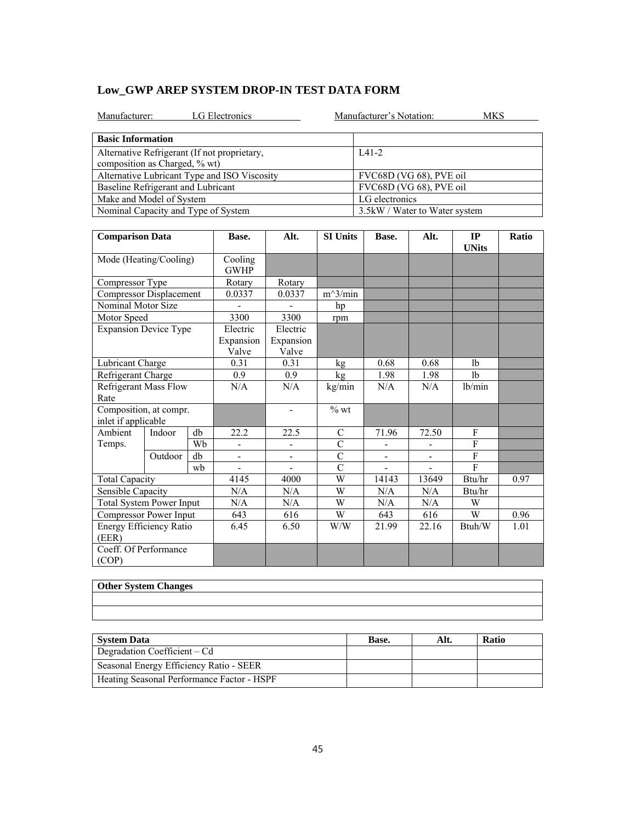|  |  | Low GWP AREP SYSTEM DROP-IN TEST DATA FORM |
|--|--|--------------------------------------------|
|--|--|--------------------------------------------|

| LG Electronics<br>Manufacturer:                                               | Manufacturer's Notation:<br>MKS |
|-------------------------------------------------------------------------------|---------------------------------|
| <b>Basic Information</b>                                                      |                                 |
| Alternative Refrigerant (If not proprietary,<br>composition as Charged, % wt) | $IA1-2$                         |
| Alternative Lubricant Type and ISO Viscosity                                  | FVC68D (VG 68), PVE oil         |
| Baseline Refrigerant and Lubricant                                            | FVC68D (VG 68), PVE oil         |
| Make and Model of System                                                      | LG electronics                  |
| Nominal Capacity and Type of System                                           | 3.5 kW / Water to Water system  |

| <b>Comparison Data</b>                        |         | Base.                          | Alt.                           | <b>SI Units</b>              | Base.          | Alt.           | IP<br><b>UNits</b>       | Ratio          |      |
|-----------------------------------------------|---------|--------------------------------|--------------------------------|------------------------------|----------------|----------------|--------------------------|----------------|------|
| Mode (Heating/Cooling)                        |         | Cooling<br><b>GWHP</b>         |                                |                              |                |                |                          |                |      |
| Compressor Type                               |         |                                | Rotary                         | Rotary                       |                |                |                          |                |      |
| Compressor Displacement                       |         |                                | 0.0337                         | 0.0337                       | $m^3/min$      |                |                          |                |      |
| Nominal Motor Size                            |         |                                |                                |                              | hp             |                |                          |                |      |
| Motor Speed                                   |         |                                | 3300                           | 3300                         | rpm            |                |                          |                |      |
| <b>Expansion Device Type</b>                  |         | Electric<br>Expansion<br>Valve | Electric<br>Expansion<br>Valve |                              |                |                |                          |                |      |
| Lubricant Charge                              |         |                                | 0.31                           | 0.31                         | kg             | 0.68           | 0.68                     | 1 <sub>b</sub> |      |
| Refrigerant Charge                            |         |                                | 0.9                            | 0.9                          | kg             | 1.98           | 1.98                     | 1 <sub>b</sub> |      |
| <b>Refrigerant Mass Flow</b><br>Rate          |         |                                | N/A                            | N/A                          | kg/min         | N/A            | N/A                      | lb/min         |      |
| Composition, at compr.<br>inlet if applicable |         |                                |                                | $\qquad \qquad \blacksquare$ | $%$ wt         |                |                          |                |      |
| Ambient                                       | Indoor  | db                             | 22.2                           | 22.5                         | $\mathcal{C}$  | 71.96          | 72.50                    | F              |      |
| Temps.                                        |         | Wh                             | ÷,                             | $\overline{a}$               | $\overline{C}$ |                |                          | F              |      |
|                                               | Outdoor | db                             | ÷,                             | ÷,                           | $\overline{C}$ | $\blacksquare$ | $\overline{\phantom{a}}$ | F              |      |
|                                               |         | wh                             |                                |                              | $\overline{C}$ |                |                          | F              |      |
| <b>Total Capacity</b>                         |         |                                | 4145                           | 4000                         | W              | 14143          | 13649                    | Btu/hr         | 0.97 |
| Sensible Capacity                             |         | N/A                            | N/A                            | W                            | N/A            | N/A            | Btu/hr                   |                |      |
| <b>Total System Power Input</b>               |         | N/A                            | N/A                            | W                            | N/A            | N/A            | W                        |                |      |
| Compressor Power Input                        |         |                                | 643                            | 616                          | W              | 643            | 616                      | W              | 0.96 |
| Energy Efficiency Ratio<br>(EER)              |         | 6.45                           | 6.50                           | W/W                          | 21.99          | 22.16          | Btuh/W                   | 1.01           |      |
| Coeff. Of Performance<br>(COP)                |         |                                |                                |                              |                |                |                          |                |      |

| Other System Changes |
|----------------------|
|                      |
|                      |
|                      |
|                      |
|                      |

| <b>System Data</b>                         | Base. | Alt. | <b>Ratio</b> |
|--------------------------------------------|-------|------|--------------|
| Degradation Coefficient – Cd               |       |      |              |
| Seasonal Energy Efficiency Ratio - SEER    |       |      |              |
| Heating Seasonal Performance Factor - HSPF |       |      |              |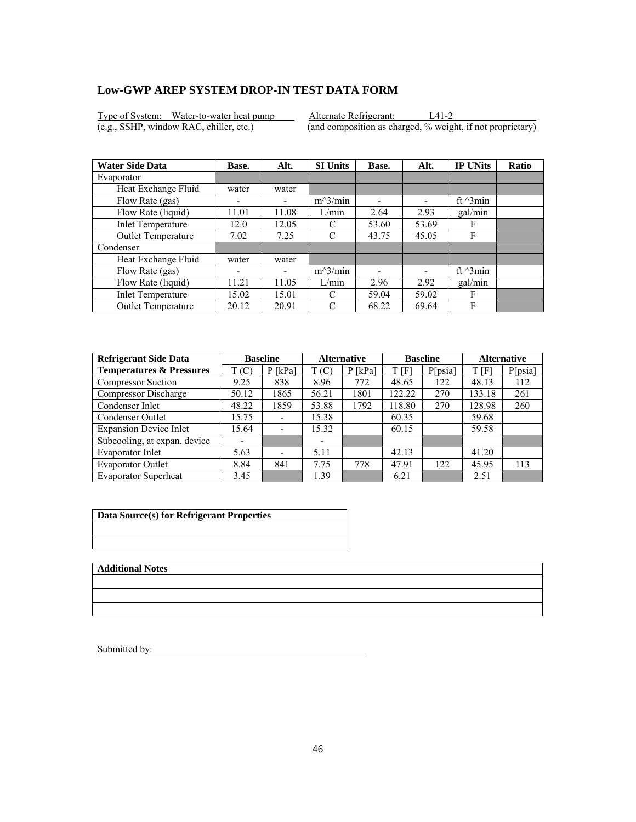Type of System: Water-to-water heat pump Alternate Refrigerant: L41-2<br>(e.g., SSHP, window RAC, chiller, etc.) (and composition as charged, % weight

 $\overline{(and composition as charged, % weight, if not proprietary)}$ 

| <b>Water Side Data</b>   | Base.                    | Alt.  | <b>SI Units</b> | Base. | Alt.                     | <b>IP UNits</b>  | <b>Ratio</b> |
|--------------------------|--------------------------|-------|-----------------|-------|--------------------------|------------------|--------------|
| Evaporator               |                          |       |                 |       |                          |                  |              |
| Heat Exchange Fluid      | water                    | water |                 |       |                          |                  |              |
| Flow Rate (gas)          | $\overline{\phantom{0}}$ |       | $m^3/min$       | ۰     | $\overline{\phantom{0}}$ | ft $\gamma$ 3min |              |
| Flow Rate (liquid)       | 11.01                    | 11.08 | L/min           | 2.64  | 2.93                     | gal/min          |              |
| <b>Inlet Temperature</b> | 12.0                     | 12.05 | C               | 53.60 | 53.69                    | F                |              |
| Outlet Temperature       | 7.02                     | 7.25  | C               | 43.75 | 45.05                    | F                |              |
| Condenser                |                          |       |                 |       |                          |                  |              |
| Heat Exchange Fluid      | water                    | water |                 |       |                          |                  |              |
| Flow Rate (gas)          | ۰                        | -     | $m^3/min$       |       |                          | ft $\gamma$ 3min |              |
| Flow Rate (liquid)       | 11.21                    | 11.05 | L/min           | 2.96  | 2.92                     | gal/min          |              |
| <b>Inlet Temperature</b> | 15.02                    | 15.01 | C               | 59.04 | 59.02                    | F                |              |
| Outlet Temperature       | 20.12                    | 20.91 | C               | 68.22 | 69.64                    | F                |              |

| <b>Refrigerant Side Data</b>        |       | <b>Baseline</b>              | <b>Baseline</b><br><b>Alternative</b> |           |        | <b>Alternative</b> |        |         |
|-------------------------------------|-------|------------------------------|---------------------------------------|-----------|--------|--------------------|--------|---------|
| <b>Temperatures &amp; Pressures</b> | T(C)  | $P$ [kPa]                    | T(C)                                  | $P$ [kPa] | t [f]  | P[psia]            | T[F]   | P[psia] |
| <b>Compressor Suction</b>           | 9.25  | 838                          | 8.96                                  | 772       | 48.65  | 122                | 48.13  | 112     |
| Compressor Discharge                | 50.12 | 1865                         | 56.21                                 | 1801      | 122.22 | 270                | 133.18 | 261     |
| Condenser Inlet                     | 48.22 | 1859                         | 53.88                                 | 1792      | 118.80 | 270                | 128.98 | 260     |
| Condenser Outlet                    | 15.75 | $\qquad \qquad \blacksquare$ | 15.38                                 |           | 60.35  |                    | 59.68  |         |
| <b>Expansion Device Inlet</b>       | 15.64 | $\overline{\phantom{a}}$     | 15.32                                 |           | 60.15  |                    | 59.58  |         |
| Subcooling, at expan. device        |       |                              |                                       |           |        |                    |        |         |
| Evaporator Inlet                    | 5.63  | $\overline{\phantom{0}}$     | 5.11                                  |           | 42.13  |                    | 41.20  |         |
| <b>Evaporator Outlet</b>            | 8.84  | 841                          | 7.75                                  | 778       | 47.91  | 122                | 45.95  | 113     |
| <b>Evaporator Superheat</b>         | 3.45  |                              | 1.39                                  |           | 6.21   |                    | 2.51   |         |

| Data Source(s) for Refrigerant Properties |
|-------------------------------------------|
|                                           |
|                                           |

**Additional Notes**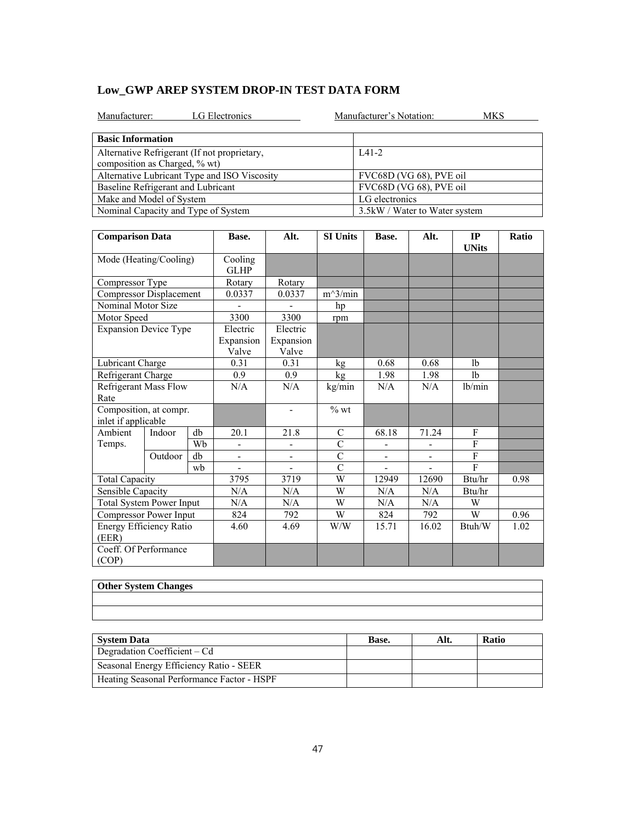|  | Low GWP AREP SYSTEM DROP-IN TEST DATA FORM |  |
|--|--------------------------------------------|--|
|--|--------------------------------------------|--|

| LG Electronics<br>Manufacturer:                                               | Manufacturer's Notation:<br>MKS |  |
|-------------------------------------------------------------------------------|---------------------------------|--|
| <b>Basic Information</b>                                                      |                                 |  |
| Alternative Refrigerant (If not proprietary,<br>composition as Charged, % wt) | $IA1-2$                         |  |
| Alternative Lubricant Type and ISO Viscosity                                  | FVC68D (VG 68), PVE oil         |  |
| Baseline Refrigerant and Lubricant                                            | FVC68D (VG 68), PVE oil         |  |
| Make and Model of System                                                      | LG electronics                  |  |
| Nominal Capacity and Type of System                                           | 3.5 kW / Water to Water system  |  |

| <b>Comparison Data</b>                        |              |    | Base.                          | Alt.                           | <b>SI Units</b><br>Base. |                | Alt.                     | IP<br><b>UNits</b> | Ratio |
|-----------------------------------------------|--------------|----|--------------------------------|--------------------------------|--------------------------|----------------|--------------------------|--------------------|-------|
| Mode (Heating/Cooling)                        |              |    | Cooling<br><b>GLHP</b>         |                                |                          |                |                          |                    |       |
| Compressor Type                               |              |    | Rotary                         | Rotary                         |                          |                |                          |                    |       |
| <b>Compressor Displacement</b>                |              |    | 0.0337                         | 0.0337                         | $m^3/min$                |                |                          |                    |       |
| Nominal Motor Size                            |              |    |                                |                                | hp                       |                |                          |                    |       |
| Motor Speed                                   |              |    | 3300                           | 3300                           | rpm                      |                |                          |                    |       |
| <b>Expansion Device Type</b>                  |              |    | Electric<br>Expansion<br>Valve | Electric<br>Expansion<br>Valve |                          |                |                          |                    |       |
| Lubricant Charge                              |              |    | 0.31                           | 0.31                           | kg                       | 0.68           | 0.68                     | 1 <sub>b</sub>     |       |
| Refrigerant Charge                            |              |    | 0.9                            | 0.9                            | kg                       | 1.98           | 1.98                     | 1 <sub>b</sub>     |       |
| <b>Refrigerant Mass Flow</b><br>Rate          |              |    | N/A                            | N/A                            | kg/min                   | N/A            | N/A                      | lb/min             |       |
| Composition, at compr.<br>inlet if applicable |              |    |                                | $\qquad \qquad \blacksquare$   | $%$ wt                   |                |                          |                    |       |
| Ambient                                       | db<br>Indoor |    | 20.1                           | 21.8                           | $\mathcal{C}$            | 68.18          | 71.24                    | F                  |       |
| Temps.                                        |              | Wh |                                | $\overline{a}$                 | $\overline{C}$           |                |                          | $\overline{F}$     |       |
|                                               | Outdoor      | db | $\overline{\phantom{0}}$       | ÷,                             | $\overline{C}$           | $\blacksquare$ | $\overline{\phantom{a}}$ | F                  |       |
|                                               |              | wh |                                |                                | $\overline{C}$           |                |                          | F                  |       |
| <b>Total Capacity</b>                         |              |    | 3795                           | 3719                           | W                        | 12949          | 12690                    | Btu/hr             | 0.98  |
| Sensible Capacity                             |              |    | N/A                            | N/A                            | W                        | N/A            | N/A                      | Btu/hr             |       |
| <b>Total System Power Input</b>               |              |    | N/A                            | N/A                            | W                        | N/A            | N/A                      | W                  |       |
| Compressor Power Input                        |              |    | 824                            | 792                            | W                        | 824            | 792                      | W                  | 0.96  |
| Energy Efficiency Ratio<br>(EER)              |              |    | 4.60                           | 4.69                           | W/W                      | 15.71          | 16.02                    | Btuh/W             | 1.02  |
| Coeff. Of Performance<br>(COP)                |              |    |                                |                                |                          |                |                          |                    |       |

| Other System Changes |
|----------------------|
|                      |
|                      |
|                      |
|                      |
|                      |

| <b>System Data</b>                         | Base. | Alt. | <b>Ratio</b> |
|--------------------------------------------|-------|------|--------------|
| Degradation Coefficient – Cd               |       |      |              |
| Seasonal Energy Efficiency Ratio - SEER    |       |      |              |
| Heating Seasonal Performance Factor - HSPF |       |      |              |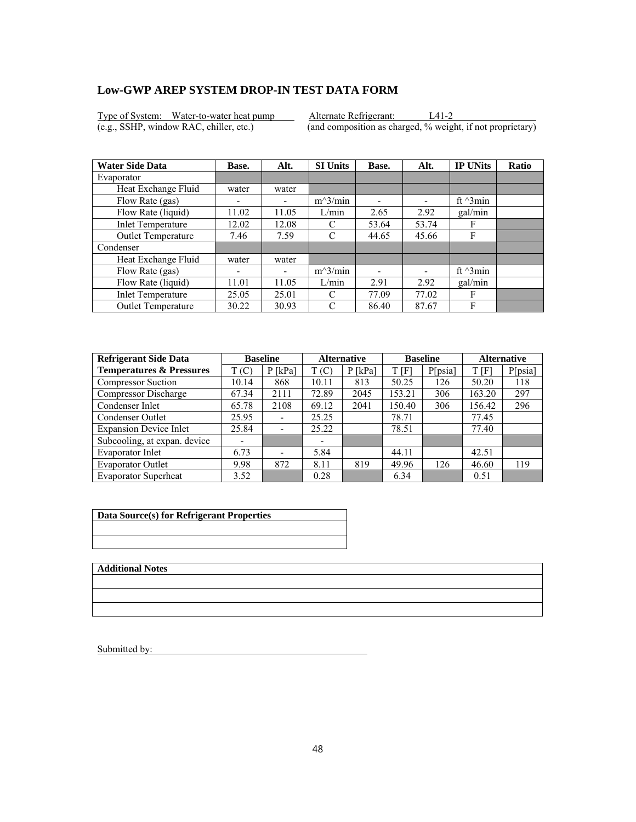Type of System: Water-to-water heat pump Alternate Refrigerant: L41-2<br>(e.g., SSHP, window RAC, chiller, etc.) (and composition as charged, % weight

 $\overline{(and composition as charged, % weight, if not proprietary)}$ 

| <b>Water Side Data</b>   | Base. | Alt.  | <b>SI Units</b> | Base. | Alt.                     | <b>IP UNits</b>  | <b>Ratio</b> |
|--------------------------|-------|-------|-----------------|-------|--------------------------|------------------|--------------|
| Evaporator               |       |       |                 |       |                          |                  |              |
| Heat Exchange Fluid      | water | water |                 |       |                          |                  |              |
| Flow Rate (gas)          |       |       | $m^3/min$       | ۰     | $\overline{\phantom{0}}$ | ft $\gamma$ 3min |              |
| Flow Rate (liquid)       | 11.02 | 11.05 | L/min           | 2.65  | 2.92                     | gal/min          |              |
| <b>Inlet Temperature</b> | 12.02 | 12.08 | C               | 53.64 | 53.74                    | F                |              |
| Outlet Temperature       | 7.46  | 7.59  | C               | 44.65 | 45.66                    | F                |              |
| Condenser                |       |       |                 |       |                          |                  |              |
| Heat Exchange Fluid      | water | water |                 |       |                          |                  |              |
| Flow Rate (gas)          | ۰     | -     | $m^3/min$       |       |                          | ft $\gamma$ 3min |              |
| Flow Rate (liquid)       | 11.01 | 11.05 | L/min           | 2.91  | 2.92                     | gal/min          |              |
| <b>Inlet Temperature</b> | 25.05 | 25.01 | C               | 77.09 | 77.02                    | F                |              |
| Outlet Temperature       | 30.22 | 30.93 | C               | 86.40 | 87.67                    | F                |              |

| <b>Refrigerant Side Data</b>        |       | <b>Baseline</b>          | <b>Alternative</b> |           | <b>Baseline</b> |         | <b>Alternative</b> |         |
|-------------------------------------|-------|--------------------------|--------------------|-----------|-----------------|---------|--------------------|---------|
| <b>Temperatures &amp; Pressures</b> | T(C)  | $P$ [kPa]                | T(C)               | $P$ [kPa] | t [f]           | P[psia] | T[F]               | P[psia] |
| <b>Compressor Suction</b>           | 10.14 | 868                      | 10.11              | 813       | 50.25           | 126     | 50.20              | 118     |
| Compressor Discharge                | 67.34 | 2111                     | 72.89              | 2045      | 153.21          | 306     | 163.20             | 297     |
| Condenser Inlet                     | 65.78 | 2108                     | 69.12              | 2041      | 150.40          | 306     | 156.42             | 296     |
| Condenser Outlet                    | 25.95 | $\overline{\phantom{0}}$ | 25.25              |           | 78.71           |         | 77.45              |         |
| <b>Expansion Device Inlet</b>       | 25.84 | $\overline{\phantom{a}}$ | 25.22              |           | 78.51           |         | 77.40              |         |
| Subcooling, at expan. device        |       |                          | -                  |           |                 |         |                    |         |
| Evaporator Inlet                    | 6.73  | $\overline{\phantom{0}}$ | 5.84               |           | 44.11           |         | 42.51              |         |
| <b>Evaporator Outlet</b>            | 9.98  | 872                      | 8.11               | 819       | 49.96           | 126     | 46.60              | 119     |
| <b>Evaporator Superheat</b>         | 3.52  |                          | 0.28               |           | 6.34            |         | 0.51               |         |

| Data Source(s) for Refrigerant Properties |
|-------------------------------------------|
|                                           |
|                                           |

**Additional Notes**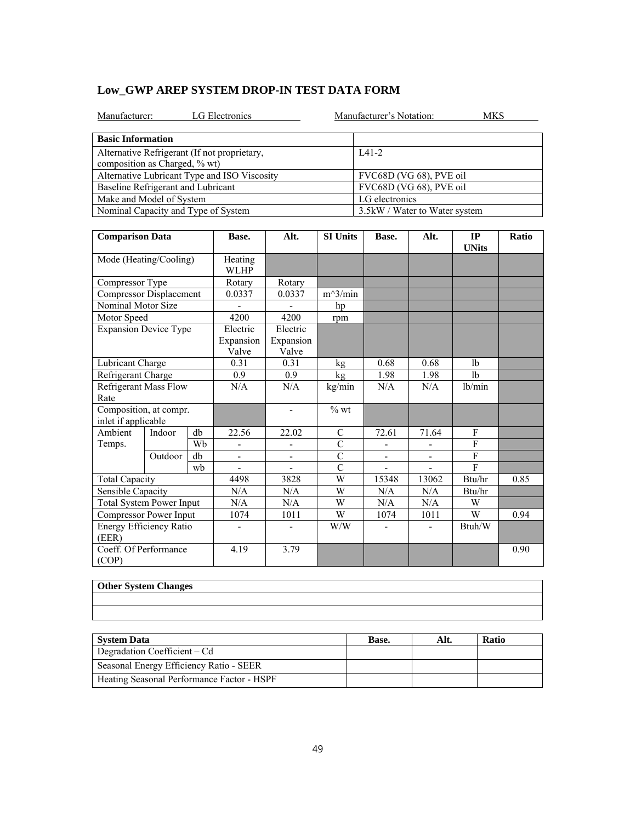|  | Low GWP AREP SYSTEM DROP-IN TEST DATA FORM |  |
|--|--------------------------------------------|--|
|--|--------------------------------------------|--|

| LG Electronics<br>Manufacturer:                                               | Manufacturer's Notation:<br>MKS |
|-------------------------------------------------------------------------------|---------------------------------|
| <b>Basic Information</b>                                                      |                                 |
| Alternative Refrigerant (If not proprietary,<br>composition as Charged, % wt) | $IA1-2$                         |
| Alternative Lubricant Type and ISO Viscosity                                  | FVC68D (VG 68), PVE oil         |
| Baseline Refrigerant and Lubricant                                            | FVC68D (VG 68), PVE oil         |
| Make and Model of System                                                      | LG electronics                  |
| Nominal Capacity and Type of System                                           | 3.5 kW / Water to Water system  |

| <b>Comparison Data</b>                        |         |                                | Base.                          | Alt.                     | <b>SI Units</b>    | Base.                    | Alt.                     | IP<br><b>UNits</b> | Ratio |
|-----------------------------------------------|---------|--------------------------------|--------------------------------|--------------------------|--------------------|--------------------------|--------------------------|--------------------|-------|
| Mode (Heating/Cooling)                        |         | Heating<br><b>WLHP</b>         |                                |                          |                    |                          |                          |                    |       |
| Compressor Type                               |         |                                | Rotary                         | Rotary                   |                    |                          |                          |                    |       |
| Compressor Displacement                       |         |                                | 0.0337                         | 0.0337                   | $m^3/min$          |                          |                          |                    |       |
| Nominal Motor Size                            |         |                                |                                |                          | hp                 |                          |                          |                    |       |
| Motor Speed                                   |         |                                | 4200                           | 4200                     | rpm                |                          |                          |                    |       |
| <b>Expansion Device Type</b>                  |         | Electric<br>Expansion<br>Valve | Electric<br>Expansion<br>Valve |                          |                    |                          |                          |                    |       |
| Lubricant Charge                              |         |                                | 0.31                           | 0.31                     | kg                 | 0.68                     | 0.68                     | 1 <sub>b</sub>     |       |
| Refrigerant Charge                            |         |                                | 0.9                            | 0.9                      | kg                 | 1.98                     | 1.98                     | 1 <sub>b</sub>     |       |
| <b>Refrigerant Mass Flow</b><br>Rate          |         |                                | N/A                            | N/A                      | kg/min             | N/A                      | N/A                      | lb/min             |       |
| Composition, at compr.<br>inlet if applicable |         |                                |                                | $\overline{\phantom{a}}$ | $\%$ wt            |                          |                          |                    |       |
| Ambient                                       | Indoor  | db                             | 22.56                          | 22.02                    | C                  | 72.61                    | 71.64                    | F                  |       |
| Temps.                                        |         | Wh                             |                                |                          | $\overline{C}$     |                          |                          | $\mathbf{F}$       |       |
|                                               | Outdoor | db                             | $\overline{\phantom{a}}$       | $\blacksquare$           | $\overline{C}$     | $\overline{\phantom{a}}$ | $\overline{\phantom{a}}$ | $\mathbf{F}$       |       |
|                                               |         | wh                             |                                |                          | $\overline{\rm C}$ |                          |                          | F                  |       |
| <b>Total Capacity</b>                         |         | 4498                           | 3828                           | W                        | 15348              | 13062                    | Btu/hr                   | 0.85               |       |
| Sensible Capacity                             |         | N/A                            | N/A                            | W                        | N/A                | N/A                      | Btu/hr                   |                    |       |
| <b>Total System Power Input</b>               |         | N/A                            | N/A                            | W                        | N/A                | N/A                      | W                        |                    |       |
| Compressor Power Input                        |         | 1074                           | 1011                           | W                        | 1074               | 1011                     | W                        | 0.94               |       |
| Energy Efficiency Ratio<br>(EER)              |         |                                | $\qquad \qquad \blacksquare$   |                          | W/W                |                          |                          | Btuh/W             |       |
| Coeff. Of Performance<br>(COP)                |         |                                | 4.19                           | 3.79                     |                    |                          |                          |                    | 0.90  |

| <b>Other System Changes</b> |  |  |
|-----------------------------|--|--|
|                             |  |  |
|                             |  |  |
|                             |  |  |
|                             |  |  |
|                             |  |  |

| <b>System Data</b>                         | Base. | Alt. | <b>Ratio</b> |
|--------------------------------------------|-------|------|--------------|
| Degradation Coefficient – Cd               |       |      |              |
| Seasonal Energy Efficiency Ratio - SEER    |       |      |              |
| Heating Seasonal Performance Factor - HSPF |       |      |              |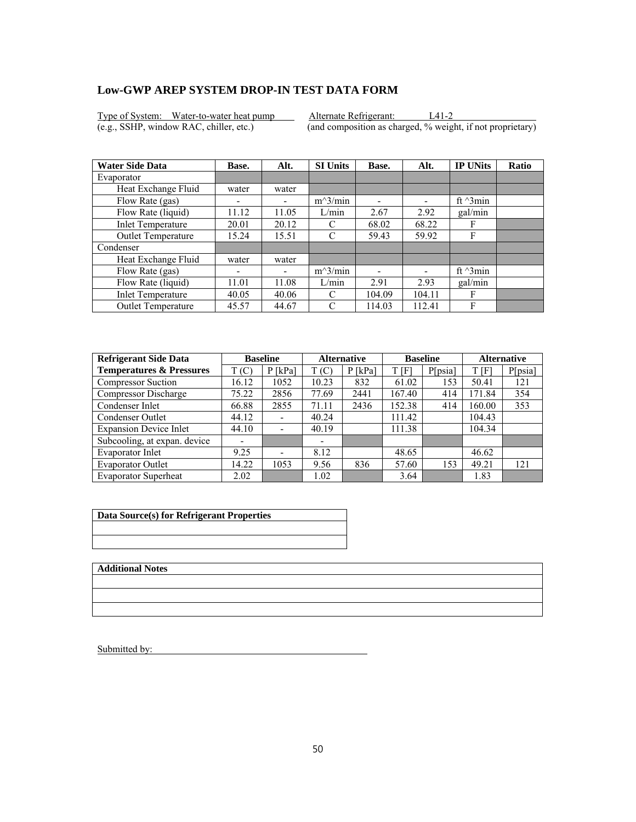Type of System: Water-to-water heat pump Alternate Refrigerant: L41-2 (e.g., SSHP, window RAC, chiller, etc.) (and composition as charged, % weight, if not proprietary)

| <b>Water Side Data</b>    | Base.                    | Alt.  | <b>SI Units</b> | Base.  | Alt.                     | <b>IP UNits</b>  | <b>Ratio</b> |
|---------------------------|--------------------------|-------|-----------------|--------|--------------------------|------------------|--------------|
| Evaporator                |                          |       |                 |        |                          |                  |              |
| Heat Exchange Fluid       | water                    | water |                 |        |                          |                  |              |
| Flow Rate (gas)           | $\overline{\phantom{0}}$ |       | $m^3/min$       | ۰      | $\overline{\phantom{0}}$ | ft $\gamma$ 3min |              |
| Flow Rate (liquid)        | 11.12                    | 11.05 | L/min           | 2.67   | 2.92                     | gal/min          |              |
| <b>Inlet Temperature</b>  | 20.01                    | 20.12 | C               | 68.02  | 68.22                    | F                |              |
| Outlet Temperature        | 15.24                    | 15.51 | C               | 59.43  | 59.92                    | F                |              |
| Condenser                 |                          |       |                 |        |                          |                  |              |
| Heat Exchange Fluid       | water                    | water |                 |        |                          |                  |              |
| Flow Rate (gas)           | ٠                        | -     | $m^3/min$       |        |                          | ft $\gamma$ 3min |              |
| Flow Rate (liquid)        | 11.01                    | 11.08 | L/min           | 2.91   | 2.93                     | gal/min          |              |
| <b>Inlet Temperature</b>  | 40.05                    | 40.06 | C               | 104.09 | 104.11                   | F                |              |
| <b>Outlet Temperature</b> | 45.57                    | 44.67 | C               | 114.03 | 112.41                   | F                |              |

| <b>Refrigerant Side Data</b>        | <b>Baseline</b> |                          | <b>Alternative</b>       |           | <b>Baseline</b> |         | <b>Alternative</b> |         |
|-------------------------------------|-----------------|--------------------------|--------------------------|-----------|-----------------|---------|--------------------|---------|
| <b>Temperatures &amp; Pressures</b> | T(C)            | $P$ [kPa]                | T(C)                     | $P$ [kPa] | T [F]           | P[psia] | T [F]              | P[psia] |
| <b>Compressor Suction</b>           | 16.12           | 1052                     | 10.23                    | 832       | 61.02           | 153     | 50.41              | 121     |
| Compressor Discharge                | 75.22           | 2856                     | 77.69                    | 2441      | 167.40          | 414     | 171.84             | 354     |
| Condenser Inlet                     | 66.88           | 2855                     | 71.11                    | 2436      | 152.38          | 414     | 160.00             | 353     |
| Condenser Outlet                    | 44.12           | $\overline{\phantom{a}}$ | 40.24                    |           | 111.42          |         | 104.43             |         |
| <b>Expansion Device Inlet</b>       | 44.10           |                          | 40.19                    |           | 111.38          |         | 104.34             |         |
| Subcooling, at expan. device        | -               |                          | $\overline{\phantom{0}}$ |           |                 |         |                    |         |
| Evaporator Inlet                    | 9.25            |                          | 8.12                     |           | 48.65           |         | 46.62              |         |
| <b>Evaporator Outlet</b>            | 14.22           | 1053                     | 9.56                     | 836       | 57.60           | 153     | 49.21              | 121     |
| <b>Evaporator Superheat</b>         | 2.02            |                          | 1.02                     |           | 3.64            |         | 1.83               |         |

| Data Source(s) for Refrigerant Properties |
|-------------------------------------------|
|                                           |
|                                           |

**Additional Notes**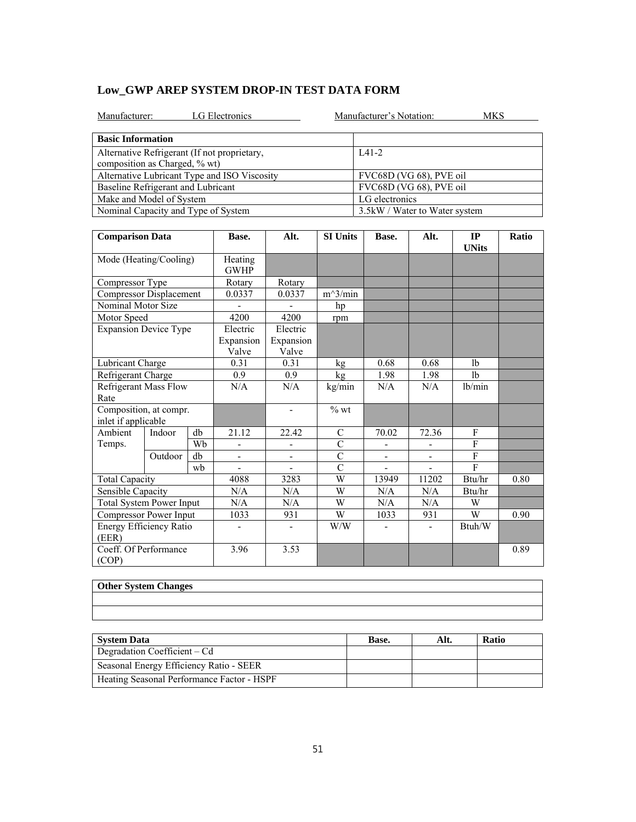|  | Low GWP AREP SYSTEM DROP-IN TEST DATA FORM |  |
|--|--------------------------------------------|--|
|--|--------------------------------------------|--|

| LG Electronics<br>Manufacturer:                                               | Manufacturer's Notation:       | MKS |
|-------------------------------------------------------------------------------|--------------------------------|-----|
| <b>Basic Information</b>                                                      |                                |     |
| Alternative Refrigerant (If not proprietary,<br>composition as Charged, % wt) | $IA1-2$                        |     |
| Alternative Lubricant Type and ISO Viscosity                                  | FVC68D (VG 68), PVE oil        |     |
| Baseline Refrigerant and Lubricant                                            | FVC68D (VG 68), PVE oil        |     |
| Make and Model of System                                                      | LG electronics                 |     |
| Nominal Capacity and Type of System                                           | 3.5 kW / Water to Water system |     |

| <b>Comparison Data</b>                        |         |                        | Base.                          | Alt.                           | <b>SI Units</b> | Base.                    | Alt.                     | IP<br><b>UNits</b> | Ratio |
|-----------------------------------------------|---------|------------------------|--------------------------------|--------------------------------|-----------------|--------------------------|--------------------------|--------------------|-------|
| Mode (Heating/Cooling)                        |         | Heating<br><b>GWHP</b> |                                |                                |                 |                          |                          |                    |       |
| Compressor Type                               |         |                        | Rotary                         | Rotary                         |                 |                          |                          |                    |       |
| Compressor Displacement                       |         |                        | 0.0337                         | 0.0337                         | $m^3/min$       |                          |                          |                    |       |
| Nominal Motor Size                            |         |                        |                                |                                | hp              |                          |                          |                    |       |
| Motor Speed                                   |         |                        | 4200                           | 4200                           | rpm             |                          |                          |                    |       |
| <b>Expansion Device Type</b>                  |         |                        | Electric<br>Expansion<br>Valve | Electric<br>Expansion<br>Valve |                 |                          |                          |                    |       |
| Lubricant Charge                              |         |                        | 0.31                           | 0.31                           | kg              | 0.68                     | 0.68                     | 1 <sub>b</sub>     |       |
| Refrigerant Charge                            |         |                        | 0.9                            | 0.9                            | kg              | 1.98                     | 1.98                     | 1 <sub>b</sub>     |       |
| <b>Refrigerant Mass Flow</b><br>Rate          |         | N/A                    | N/A                            | kg/min                         | N/A             | N/A                      | lb/min                   |                    |       |
| Composition, at compr.<br>inlet if applicable |         |                        |                                | $\blacksquare$                 | $%$ wt          |                          |                          |                    |       |
| Ambient                                       | Indoor  | db                     | 21.12                          | 22.42                          | C               | 70.02                    | 72.36                    | F                  |       |
| Temps.                                        |         | Wb                     | ÷,                             | $\overline{\phantom{a}}$       | $\overline{C}$  | $\overline{\phantom{a}}$ |                          | $\overline{F}$     |       |
|                                               | Outdoor | db                     | $\overline{\phantom{a}}$       | $\overline{\phantom{a}}$       | $\overline{C}$  | $\overline{\phantom{a}}$ | $\overline{\phantom{a}}$ | $\overline{F}$     |       |
|                                               |         | wb                     |                                |                                | $\overline{C}$  |                          |                          | $\mathbf{F}$       |       |
| <b>Total Capacity</b>                         |         | 4088                   | 3283                           | W                              | 13949           | 11202                    | Btu/hr                   | 0.80               |       |
| Sensible Capacity                             |         | N/A                    | N/A                            | W                              | N/A             | N/A                      | Btu/hr                   |                    |       |
| <b>Total System Power Input</b>               |         | N/A                    | N/A                            | W                              | N/A             | N/A                      | W                        |                    |       |
| Compressor Power Input                        |         | 1033                   | 931                            | W                              | 1033            | 931                      | W                        | 0.90               |       |
| Energy Efficiency Ratio<br>(EER)              |         |                        | ۰                              | $\overline{\phantom{a}}$       | W/W             |                          |                          | Btuh/W             |       |
| Coeff. Of Performance                         |         |                        | 3.96                           | 3.53                           |                 |                          |                          |                    | 0.89  |
| (COP)                                         |         |                        |                                |                                |                 |                          |                          |                    |       |

| <b>Other System Changes</b> |  |  |
|-----------------------------|--|--|
|                             |  |  |
|                             |  |  |
|                             |  |  |
|                             |  |  |
|                             |  |  |

| System Data                                | <b>Base.</b> | Alt. | <b>Ratio</b> |
|--------------------------------------------|--------------|------|--------------|
| Degradation Coefficient $-Cd$              |              |      |              |
| Seasonal Energy Efficiency Ratio - SEER    |              |      |              |
| Heating Seasonal Performance Factor - HSPF |              |      |              |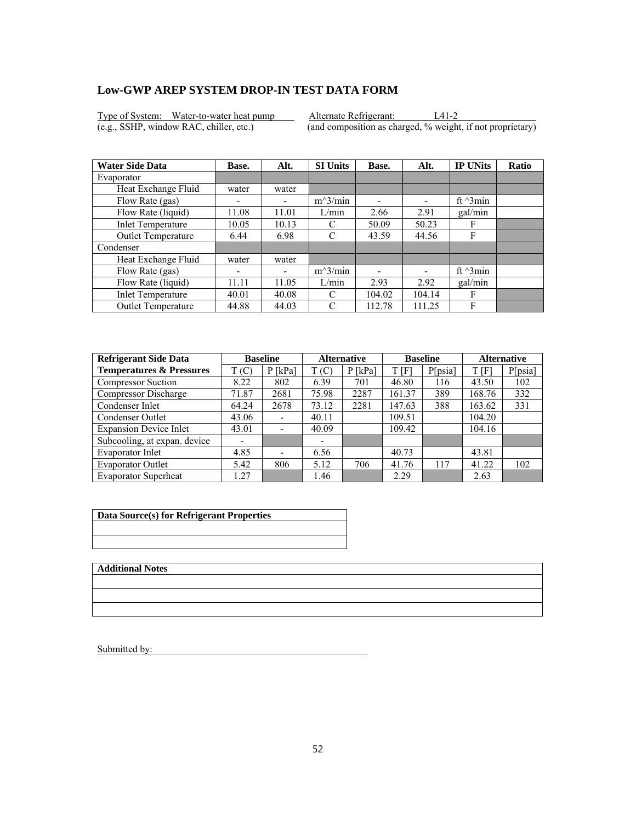Type of System: Water-to-water heat pump Alternate Refrigerant: L41-2<br>
(e.g., SSHP, window RAC, chiller, etc.) (and composition as charged, % weight

 $\overline{(and composition as charged, % weight, if not proprietary)}$ 

| <b>Water Side Data</b>    | Base.                    | Alt.  | <b>SI Units</b> | Base.  | Alt.                     | <b>IP UNits</b>  | <b>Ratio</b> |
|---------------------------|--------------------------|-------|-----------------|--------|--------------------------|------------------|--------------|
| Evaporator                |                          |       |                 |        |                          |                  |              |
| Heat Exchange Fluid       | water                    | water |                 |        |                          |                  |              |
| Flow Rate (gas)           | $\overline{\phantom{0}}$ |       | $m^3/min$       | ۰      | $\overline{\phantom{0}}$ | ft $\gamma$ 3min |              |
| Flow Rate (liquid)        | 11.08                    | 11.01 | L/min           | 2.66   | 2.91                     | gal/min          |              |
| <b>Inlet Temperature</b>  | 10.05                    | 10.13 | C               | 50.09  | 50.23                    | F                |              |
| Outlet Temperature        | 6.44                     | 6.98  | C               | 43.59  | 44.56                    | F                |              |
| Condenser                 |                          |       |                 |        |                          |                  |              |
| Heat Exchange Fluid       | water                    | water |                 |        |                          |                  |              |
| Flow Rate (gas)           | ٠                        | -     | $m^3/min$       |        |                          | ft $\gamma$ 3min |              |
| Flow Rate (liquid)        | 11.11                    | 11.05 | L/min           | 2.93   | 2.92                     | gal/min          |              |
| <b>Inlet Temperature</b>  | 40.01                    | 40.08 | C               | 104.02 | 104.14                   | F                |              |
| <b>Outlet Temperature</b> | 44.88                    | 44.03 | C               | 112.78 | 111.25                   | F                |              |

| <b>Refrigerant Side Data</b>        |       | <b>Baseline</b>              |       | <b>Baseline</b><br><b>Alternative</b> |        | <b>Alternative</b> |        |         |
|-------------------------------------|-------|------------------------------|-------|---------------------------------------|--------|--------------------|--------|---------|
| <b>Temperatures &amp; Pressures</b> | T(C)  | $P$ [kPa]                    | T(C)  | $P$ [kPa]                             | t [F]  | P[psia]            | T[F]   | P[psia] |
| <b>Compressor Suction</b>           | 8.22  | 802                          | 6.39  | 701                                   | 46.80  | 116                | 43.50  | 102     |
| Compressor Discharge                | 71.87 | 2681                         | 75.98 | 2287                                  | 161.37 | 389                | 168.76 | 332     |
| Condenser Inlet                     | 64.24 | 2678                         | 73.12 | 2281                                  | 147.63 | 388                | 163.62 | 331     |
| Condenser Outlet                    | 43.06 | $\qquad \qquad \blacksquare$ | 40.11 |                                       | 109.51 |                    | 104.20 |         |
| <b>Expansion Device Inlet</b>       | 43.01 | $\overline{\phantom{a}}$     | 40.09 |                                       | 109.42 |                    | 104.16 |         |
| Subcooling, at expan. device        |       |                              |       |                                       |        |                    |        |         |
| Evaporator Inlet                    | 4.85  | $\overline{\phantom{0}}$     | 6.56  |                                       | 40.73  |                    | 43.81  |         |
| <b>Evaporator Outlet</b>            | 5.42  | 806                          | 5.12  | 706                                   | 41.76  | 117                | 41.22  | 102     |
| <b>Evaporator Superheat</b>         | .27   |                              | 1.46  |                                       | 2.29   |                    | 2.63   |         |

| Data Source(s) for Refrigerant Properties |
|-------------------------------------------|
|                                           |
|                                           |

**Additional Notes**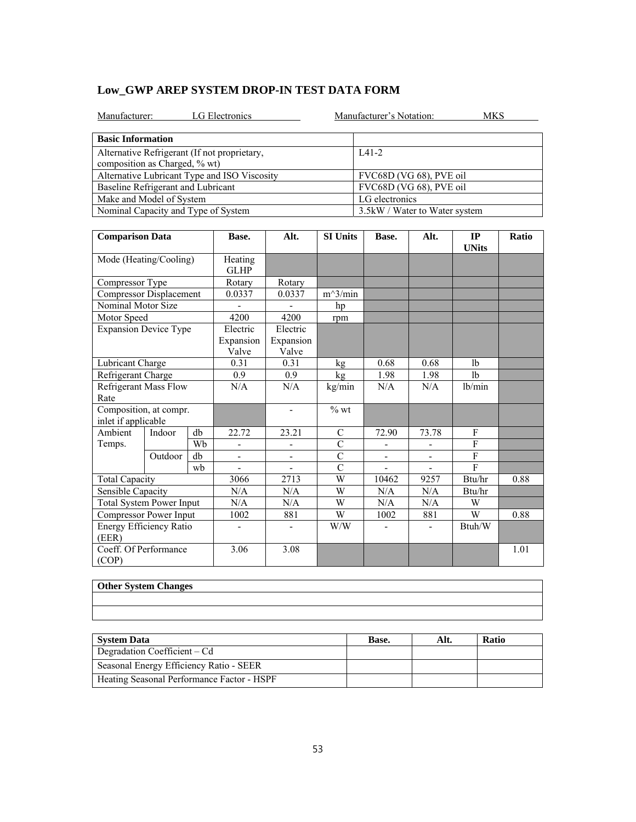|  | Low GWP AREP SYSTEM DROP-IN TEST DATA FORM |  |
|--|--------------------------------------------|--|
|--|--------------------------------------------|--|

| LG Electronics<br>Manufacturer:                                               | Manufacturer's Notation:<br>MKS |
|-------------------------------------------------------------------------------|---------------------------------|
| <b>Basic Information</b>                                                      |                                 |
| Alternative Refrigerant (If not proprietary,<br>composition as Charged, % wt) | $IA1-2$                         |
| Alternative Lubricant Type and ISO Viscosity                                  | FVC68D (VG 68), PVE oil         |
| Baseline Refrigerant and Lubricant                                            | FVC68D (VG 68), PVE oil         |
| Make and Model of System                                                      | LG electronics                  |
| Nominal Capacity and Type of System                                           | 3.5 kW / Water to Water system  |

| <b>Comparison Data</b>                        |         |                        | Base.                          | Alt.                           | <b>SI Units</b> | Base.                    | Alt.                     | IP<br><b>UNits</b> | Ratio |
|-----------------------------------------------|---------|------------------------|--------------------------------|--------------------------------|-----------------|--------------------------|--------------------------|--------------------|-------|
| Mode (Heating/Cooling)                        |         | Heating<br><b>GLHP</b> |                                |                                |                 |                          |                          |                    |       |
| Compressor Type                               |         |                        | Rotary                         | Rotary                         |                 |                          |                          |                    |       |
| Compressor Displacement                       |         |                        | 0.0337                         | 0.0337                         | $m^3/m$ in      |                          |                          |                    |       |
| Nominal Motor Size                            |         |                        |                                |                                | hp              |                          |                          |                    |       |
| Motor Speed                                   |         |                        | 4200                           | 4200                           | rpm             |                          |                          |                    |       |
| <b>Expansion Device Type</b>                  |         |                        | Electric<br>Expansion<br>Valve | Electric<br>Expansion<br>Valve |                 |                          |                          |                    |       |
| Lubricant Charge                              |         |                        | 0.31                           | 0.31                           | kg              | 0.68                     | 0.68                     | 1 <sub>b</sub>     |       |
| Refrigerant Charge                            |         |                        | 0.9                            | 0.9                            | kg              | 1.98                     | 1.98                     | 1 <sub>b</sub>     |       |
| <b>Refrigerant Mass Flow</b><br>Rate          |         |                        | N/A                            | N/A                            | kg/min          | N/A                      | N/A                      | lb/min             |       |
| Composition, at compr.<br>inlet if applicable |         |                        |                                | $\overline{\phantom{a}}$       | $%$ wt          |                          |                          |                    |       |
| Ambient                                       | Indoor  | db                     | 22.72                          | 23.21                          | $\mathcal{C}$   | 72.90                    | 73.78                    | F                  |       |
| Temps.                                        |         | Wh                     |                                |                                | $\overline{C}$  |                          |                          | F                  |       |
|                                               | Outdoor | db                     | $\overline{\phantom{0}}$       | $\blacksquare$                 | $\overline{C}$  | $\overline{\phantom{a}}$ | $\overline{\phantom{a}}$ | $\mathbf{F}$       |       |
|                                               |         | wh                     |                                |                                | $\overline{C}$  |                          |                          | $\mathbf{F}$       |       |
| <b>Total Capacity</b>                         |         |                        | 3066                           | 2713                           | W               | 10462                    | 9257                     | Btu/hr             | 0.88  |
| Sensible Capacity                             |         |                        | N/A                            | N/A                            | W               | N/A                      | N/A                      | Btu/hr             |       |
| <b>Total System Power Input</b>               |         |                        | N/A                            | N/A                            | W               | N/A                      | N/A                      | W                  |       |
| Compressor Power Input                        |         |                        | 1002                           | 881                            | W               | 1002                     | 881                      | W                  | 0.88  |
| Energy Efficiency Ratio<br>(EER)              |         |                        | $\qquad \qquad \blacksquare$   |                                | W/W             |                          |                          | Btuh/W             |       |
| Coeff. Of Performance<br>(COP)                |         |                        | 3.06                           | 3.08                           |                 |                          |                          |                    | 1.01  |

| Other System Changes |
|----------------------|
|                      |
|                      |
|                      |
|                      |
|                      |

| <b>System Data</b>                         | Base. | Alt. | <b>Ratio</b> |
|--------------------------------------------|-------|------|--------------|
| Degradation Coefficient – Cd               |       |      |              |
| Seasonal Energy Efficiency Ratio - SEER    |       |      |              |
| Heating Seasonal Performance Factor - HSPF |       |      |              |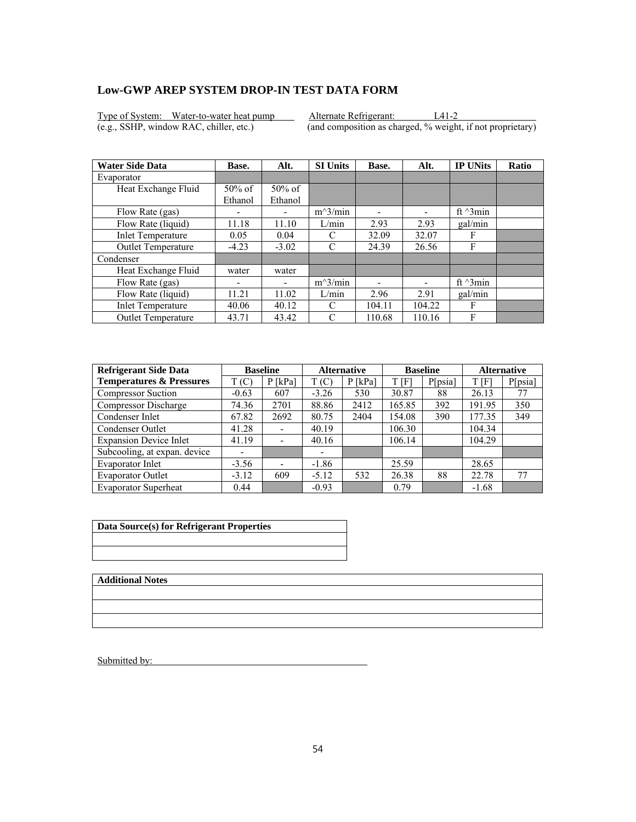Type of System: Water-to-water heat pump Alternate Refrigerant: L41-2<br>
(e.g., SSHP, window RAC, chiller, etc.) (and composition as charged, % weight

 $\overline{(and composition as charged, % weight, if not proprietary)}$ 

| <b>Water Side Data</b>    | Base.     | Alt.      | <b>SI Units</b> | Base.  | Alt.   | <b>IP UNits</b>  | Ratio |
|---------------------------|-----------|-----------|-----------------|--------|--------|------------------|-------|
| Evaporator                |           |           |                 |        |        |                  |       |
| Heat Exchange Fluid       | $50\%$ of | $50\%$ of |                 |        |        |                  |       |
|                           | Ethanol   | Ethanol   |                 |        |        |                  |       |
| Flow Rate (gas)           | ٠         |           | $m^3/min$       | ٠      |        | ft $\gamma$ 3min |       |
| Flow Rate (liquid)        | 11.18     | 11.10     | L/min           | 2.93   | 2.93   | gal/min          |       |
| <b>Inlet Temperature</b>  | 0.05      | 0.04      | C               | 32.09  | 32.07  | F                |       |
| <b>Outlet Temperature</b> | $-4.23$   | $-3.02$   | C               | 24.39  | 26.56  | F                |       |
| Condenser                 |           |           |                 |        |        |                  |       |
| Heat Exchange Fluid       | water     | water     |                 |        |        |                  |       |
| Flow Rate (gas)           |           |           | $m^3/min$       |        |        | ft $\gamma$ 3min |       |
| Flow Rate (liquid)        | 11.21     | 11.02     | L/min           | 2.96   | 2.91   | gal/min          |       |
| <b>Inlet Temperature</b>  | 40.06     | 40.12     | C               | 104.11 | 104.22 | F                |       |
| <b>Outlet Temperature</b> | 43.71     | 43.42     | C               | 110.68 | 110.16 | F                |       |

| <b>Refrigerant Side Data</b>        |         | <b>Baseline</b>              | <b>Alternative</b> |           |        | <b>Baseline</b> |         | <b>Alternative</b> |
|-------------------------------------|---------|------------------------------|--------------------|-----------|--------|-----------------|---------|--------------------|
| <b>Temperatures &amp; Pressures</b> | T (C)   | $P$ [kPa]                    | T(C)               | $P$ [kPa] | T[F]   | P[psia]         | T[F]    | P[psia]            |
| <b>Compressor Suction</b>           | $-0.63$ | 607                          | $-3.26$            | 530       | 30.87  | 88              | 26.13   | 77                 |
| <b>Compressor Discharge</b>         | 74.36   | 2701                         | 88.86              | 2412      | 165.85 | 392             | 191.95  | 350                |
| Condenser Inlet                     | 67.82   | 2692                         | 80.75              | 2404      | 154.08 | 390             | 177.35  | 349                |
| Condenser Outlet                    | 41.28   | $\overline{\phantom{a}}$     | 40.19              |           | 106.30 |                 | 104.34  |                    |
| <b>Expansion Device Inlet</b>       | 41.19   |                              | 40.16              |           | 106.14 |                 | 104.29  |                    |
| Subcooling, at expan. device        | ۰       |                              | ۰                  |           |        |                 |         |                    |
| Evaporator Inlet                    | $-3.56$ | $\qquad \qquad \blacksquare$ | $-1.86$            |           | 25.59  |                 | 28.65   |                    |
| <b>Evaporator Outlet</b>            | $-3.12$ | 609                          | $-5.12$            | 532       | 26.38  | 88              | 22.78   | 77                 |
| <b>Evaporator Superheat</b>         | 0.44    |                              | $-0.93$            |           | 0.79   |                 | $-1.68$ |                    |

| Data Source(s) for Refrigerant Properties |
|-------------------------------------------|
|                                           |
|                                           |

**Additional Notes**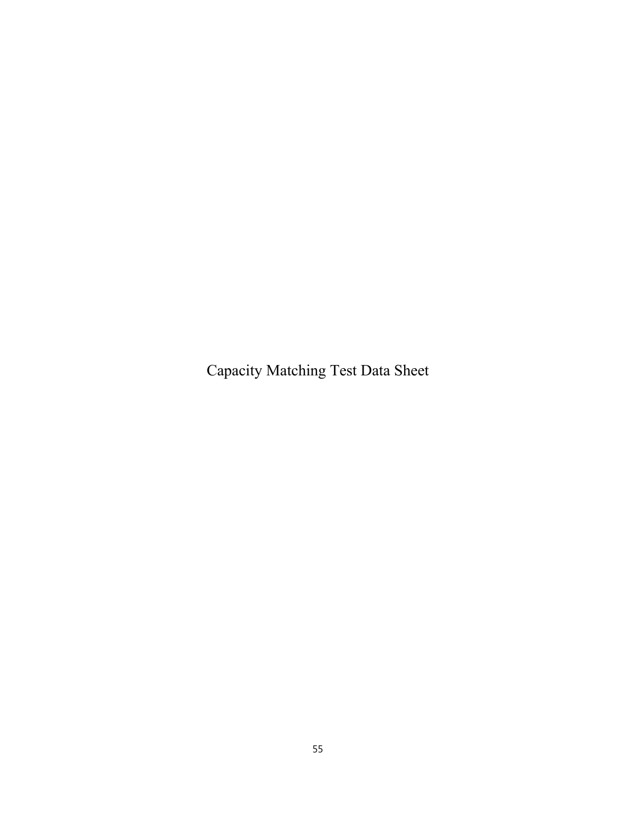Capacity Matching Test Data Sheet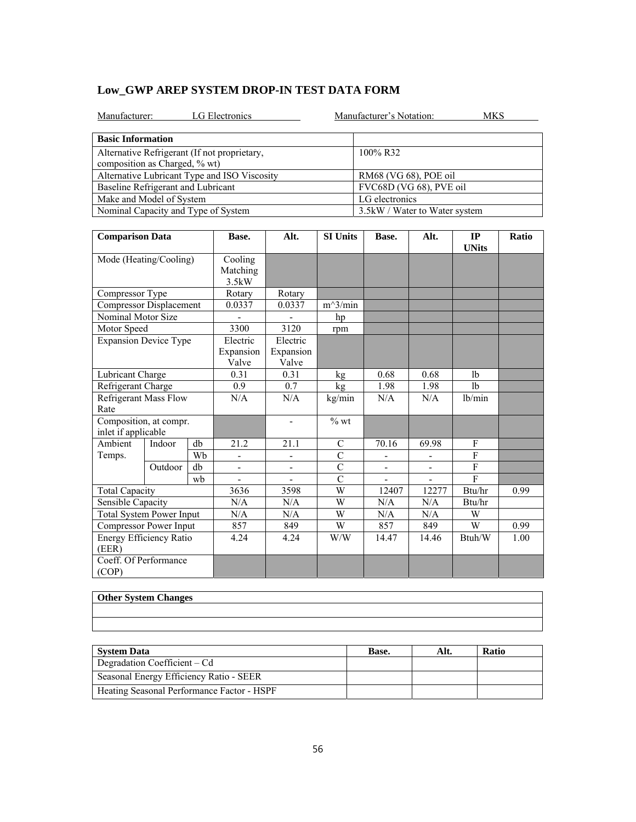| LG Electronics<br>Manufacturer:                                               | Manufacturer's Notation:<br><b>MKS</b> |
|-------------------------------------------------------------------------------|----------------------------------------|
| <b>Basic Information</b>                                                      |                                        |
| Alternative Refrigerant (If not proprietary,<br>composition as Charged, % wt) | 100% R32                               |
| Alternative Lubricant Type and ISO Viscosity                                  | RM68 (VG 68), POE oil                  |
| Baseline Refrigerant and Lubricant                                            | FVC68D (VG 68), PVE oil                |
| Make and Model of System                                                      | LG electronics                         |
| Nominal Capacity and Type of System                                           | 3.5kW / Water to Water system          |

| <b>Comparison Data</b>                              |         |                                | Base.                          | Alt.           | <b>SI Units</b> | Base. | Alt.   | IP<br><b>UNits</b> | Ratio |
|-----------------------------------------------------|---------|--------------------------------|--------------------------------|----------------|-----------------|-------|--------|--------------------|-------|
| Mode (Heating/Cooling)                              |         | Cooling<br>Matching<br>3.5kW   |                                |                |                 |       |        |                    |       |
| Compressor Type                                     |         |                                | Rotary                         | Rotary         |                 |       |        |                    |       |
| <b>Compressor Displacement</b>                      |         |                                | 0.0337                         | 0.0337         | $m^3/min$       |       |        |                    |       |
| Nominal Motor Size                                  |         |                                |                                |                | hp              |       |        |                    |       |
| Motor Speed                                         |         |                                | 3300                           | 3120           | rpm             |       |        |                    |       |
| <b>Expansion Device Type</b>                        |         | Electric<br>Expansion<br>Valve | Electric<br>Expansion<br>Valve |                |                 |       |        |                    |       |
| Lubricant Charge                                    |         |                                | 0.31                           | 0.31           | kg              | 0.68  | 0.68   | 1 <sub>b</sub>     |       |
|                                                     |         |                                | 0.9                            | 0.7            | kg              | 1.98  | 1.98   | 1 <sub>b</sub>     |       |
| Refrigerant Charge<br>Refrigerant Mass Flow<br>Rate |         | N/A                            | N/A                            | kg/min         | $\rm N/A$       | N/A   | lb/min |                    |       |
| Composition, at compr.<br>inlet if applicable       |         |                                |                                | $\overline{a}$ | $%$ wt          |       |        |                    |       |
| Ambient                                             | Indoor  | db                             | 21.2                           | 21.1           | $\mathcal{C}$   | 70.16 | 69.98  | F                  |       |
| Temps.                                              |         | Wb                             | -                              | -              | $\overline{C}$  |       | -      | $\overline{F}$     |       |
|                                                     | Outdoor | db                             | $\overline{\phantom{a}}$       | -              | $\overline{C}$  |       |        | ${\rm F}$          |       |
|                                                     |         | wb                             |                                |                | $\overline{C}$  |       |        | F                  |       |
| <b>Total Capacity</b>                               |         |                                | 3636                           | 3598           | W               | 12407 | 12277  | Btu/hr             | 0.99  |
| Sensible Capacity                                   |         | N/A                            | N/A                            | W              | N/A             | N/A   | Btu/hr |                    |       |
| Total System Power Input                            |         | N/A                            | N/A                            | W              | N/A             | N/A   | W      |                    |       |
| Compressor Power Input                              |         | 857                            | 849                            | W              | 857             | 849   | W      | 0.99               |       |
| Energy Efficiency Ratio<br>(EER)                    |         |                                | 4.24                           | 4.24           | W/W             | 14.47 | 14.46  | Btuh/W             | 1.00  |
| Coeff. Of Performance<br>(COP)                      |         |                                |                                |                |                 |       |        |                    |       |

| <b>Other System Changes</b> |  |  |
|-----------------------------|--|--|
|                             |  |  |
|                             |  |  |

| <b>System Data</b>                         | Base. | Alt. | <b>Ratio</b> |
|--------------------------------------------|-------|------|--------------|
| Degradation Coefficient – Cd               |       |      |              |
| Seasonal Energy Efficiency Ratio - SEER    |       |      |              |
| Heating Seasonal Performance Factor - HSPF |       |      |              |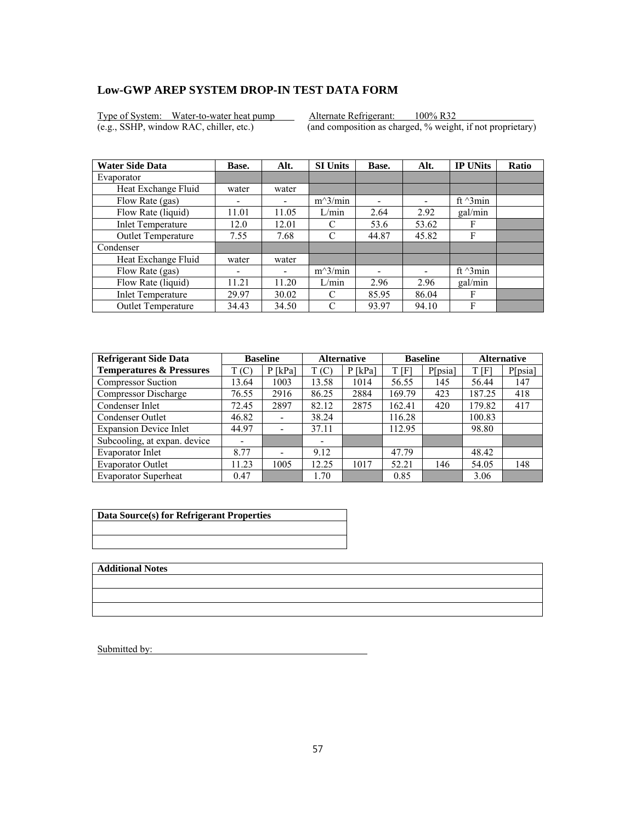Type of System: Water-to-water heat pump Alternate Refrigerant: 100% R32<br>(e.g., SSHP, window RAC, chiller, etc.) (and composition as charged, % weight

 $\overline{(and composition as charged, % weight, if not proprietary)}$ 

| <b>Water Side Data</b>   | Base.                    | Alt.  | <b>SI Units</b> | Base. | Alt.                     | <b>IP UNits</b>  | <b>Ratio</b> |
|--------------------------|--------------------------|-------|-----------------|-------|--------------------------|------------------|--------------|
| Evaporator               |                          |       |                 |       |                          |                  |              |
| Heat Exchange Fluid      | water                    | water |                 |       |                          |                  |              |
| Flow Rate (gas)          | $\overline{\phantom{0}}$ |       | $m^3/min$       | ۰     | $\overline{\phantom{0}}$ | ft $\gamma$ 3min |              |
| Flow Rate (liquid)       | 11.01                    | 11.05 | L/min           | 2.64  | 2.92                     | gal/min          |              |
| <b>Inlet Temperature</b> | 12.0                     | 12.01 | C               | 53.6  | 53.62                    | F                |              |
| Outlet Temperature       | 7.55                     | 7.68  | C               | 44.87 | 45.82                    | F                |              |
| Condenser                |                          |       |                 |       |                          |                  |              |
| Heat Exchange Fluid      | water                    | water |                 |       |                          |                  |              |
| Flow Rate (gas)          | ٠                        | -     | $m^3/min$       |       |                          | ft $\gamma$ 3min |              |
| Flow Rate (liquid)       | 11.21                    | 11.20 | L/min           | 2.96  | 2.96                     | gal/min          |              |
| <b>Inlet Temperature</b> | 29.97                    | 30.02 | C               | 85.95 | 86.04                    | F                |              |
| Outlet Temperature       | 34.43                    | 34.50 | C               | 93.97 | 94.10                    | F                |              |

| <b>Refrigerant Side Data</b>        | <b>Baseline</b> |                              | <b>Alternative</b> |           | <b>Baseline</b> |         | <b>Alternative</b> |         |
|-------------------------------------|-----------------|------------------------------|--------------------|-----------|-----------------|---------|--------------------|---------|
| <b>Temperatures &amp; Pressures</b> | T(C)            | $P$ [kPa]                    | T(C)               | $P$ [kPa] | t [F]           | P[psia] | T[F]               | P[psia] |
| <b>Compressor Suction</b>           | 13.64           | 1003                         | 13.58              | 1014      | 56.55           | 145     | 56.44              | 147     |
| Compressor Discharge                | 76.55           | 2916                         | 86.25              | 2884      | 169.79          | 423     | 187.25             | 418     |
| Condenser Inlet                     | 72.45           | 2897                         | 82.12              | 2875      | 162.41          | 420     | 179.82             | 417     |
| Condenser Outlet                    | 46.82           | $\qquad \qquad \blacksquare$ | 38.24              |           | 116.28          |         | 100.83             |         |
| <b>Expansion Device Inlet</b>       | 44.97           | $\overline{\phantom{a}}$     | 37.11              |           | 112.95          |         | 98.80              |         |
| Subcooling, at expan. device        |                 |                              | -                  |           |                 |         |                    |         |
| Evaporator Inlet                    | 8.77            | $\overline{\phantom{0}}$     | 9.12               |           | 47.79           |         | 48.42              |         |
| <b>Evaporator Outlet</b>            | 11.23           | 1005                         | 12.25              | 1017      | 52.21           | 146     | 54.05              | 148     |
| <b>Evaporator Superheat</b>         | 0.47            |                              | 1.70               |           | 0.85            |         | 3.06               |         |

| Data Source(s) for Refrigerant Properties |  |  |  |  |
|-------------------------------------------|--|--|--|--|
|                                           |  |  |  |  |
|                                           |  |  |  |  |

**Additional Notes**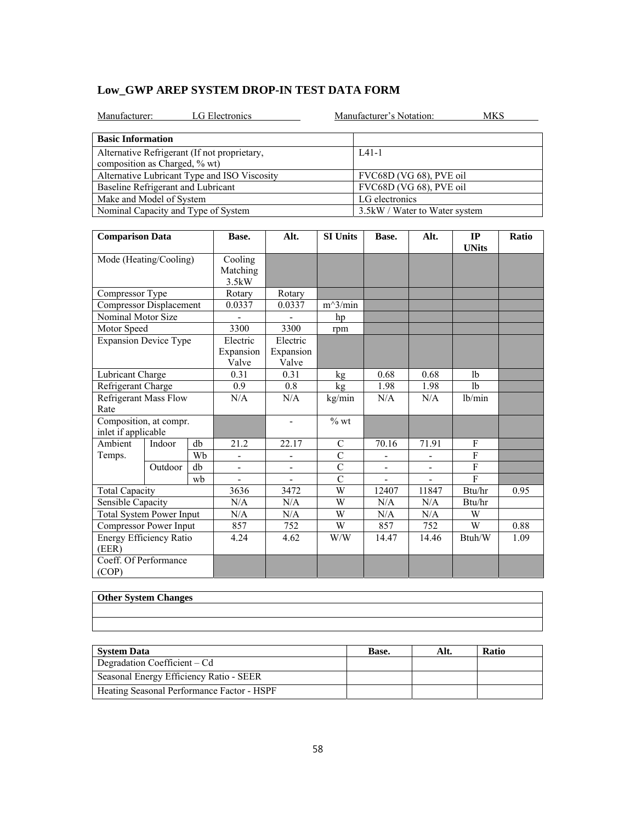|  | Low GWP AREP SYSTEM DROP-IN TEST DATA FORM |  |  |
|--|--------------------------------------------|--|--|
|--|--------------------------------------------|--|--|

| LG Electronics<br>Manufacturer:                                               | Manufacturer's Notation:<br>MKS |
|-------------------------------------------------------------------------------|---------------------------------|
| <b>Basic Information</b>                                                      |                                 |
| Alternative Refrigerant (If not proprietary,<br>composition as Charged, % wt) | $IA1-1$                         |
| Alternative Lubricant Type and ISO Viscosity                                  | FVC68D (VG 68), PVE oil         |
| Baseline Refrigerant and Lubricant                                            | FVC68D (VG 68), PVE oil         |
| Make and Model of System                                                      | LG electronics                  |
| Nominal Capacity and Type of System                                           | 3.5 kW / Water to Water system  |

| <b>Comparison Data</b>                        |         |                              | Base.                    | Alt.               | <b>SI Units</b> | Base. | Alt.   | IP<br><b>UNits</b> | Ratio |
|-----------------------------------------------|---------|------------------------------|--------------------------|--------------------|-----------------|-------|--------|--------------------|-------|
| Mode (Heating/Cooling)                        |         | Cooling<br>Matching<br>3.5kW |                          |                    |                 |       |        |                    |       |
| Compressor Type                               |         |                              | Rotary                   | Rotary             |                 |       |        |                    |       |
| Compressor Displacement                       |         |                              | 0.0337                   | 0.0337             | $m^3/min$       |       |        |                    |       |
| Nominal Motor Size                            |         |                              |                          |                    | hp              |       |        |                    |       |
| Motor Speed                                   |         |                              | 3300                     | 3300               | rpm             |       |        |                    |       |
| <b>Expansion Device Type</b>                  |         |                              | Electric                 | Electric           |                 |       |        |                    |       |
|                                               |         |                              | Expansion<br>Valve       | Expansion<br>Valve |                 |       |        |                    |       |
| Lubricant Charge                              |         |                              | 0.31                     | 0.31               | kg              | 0.68  | 0.68   | 1 <sub>b</sub>     |       |
| Refrigerant Charge                            |         |                              | 0.9                      | 0.8                | kg              | 1.98  | 1.98   | 1 <sub>b</sub>     |       |
| Refrigerant Mass Flow<br>Rate                 |         |                              | N/A                      | N/A                | kg/min          | N/A   | N/A    | lb/min             |       |
| Composition, at compr.<br>inlet if applicable |         |                              |                          | $\blacksquare$     | $%$ wt          |       |        |                    |       |
| Ambient                                       | Indoor  | db                           | 21.2                     | 22.17              | C               | 70.16 | 71.91  | F                  |       |
| Temps.                                        |         | Wb                           |                          |                    | $\overline{C}$  |       |        | $\overline{F}$     |       |
|                                               | Outdoor | db                           | $\overline{\phantom{0}}$ | -                  | $\overline{C}$  |       |        | ${\bf F}$          |       |
|                                               |         | wb                           |                          |                    | $\mathcal{C}$   |       |        | $\mathbf{F}$       |       |
| <b>Total Capacity</b>                         |         |                              | 3636                     | 3472               | $\overline{W}$  | 12407 | 11847  | Btu/hr             | 0.95  |
| Sensible Capacity                             |         | N/A                          | N/A                      | W                  | N/A             | N/A   | Btu/hr |                    |       |
| <b>Total System Power Input</b>               |         | N/A                          | N/A                      | W                  | N/A             | N/A   | W      |                    |       |
| Compressor Power Input                        |         | 857                          | 752                      | W                  | 857             | 752   | W      | 0.88               |       |
| Energy Efficiency Ratio<br>(EER)              |         |                              | 4.24                     | 4.62               | W/W             | 14.47 | 14.46  | Btuh/W             | 1.09  |
| Coeff. Of Performance<br>(COP)                |         |                              |                          |                    |                 |       |        |                    |       |

| <b>Other System Changes</b> |  |  |
|-----------------------------|--|--|
|                             |  |  |
|                             |  |  |

| <b>System Data</b>                         | Base. | Alt. | <b>Ratio</b> |
|--------------------------------------------|-------|------|--------------|
| Degradation Coefficient – Cd               |       |      |              |
| Seasonal Energy Efficiency Ratio - SEER    |       |      |              |
| Heating Seasonal Performance Factor - HSPF |       |      |              |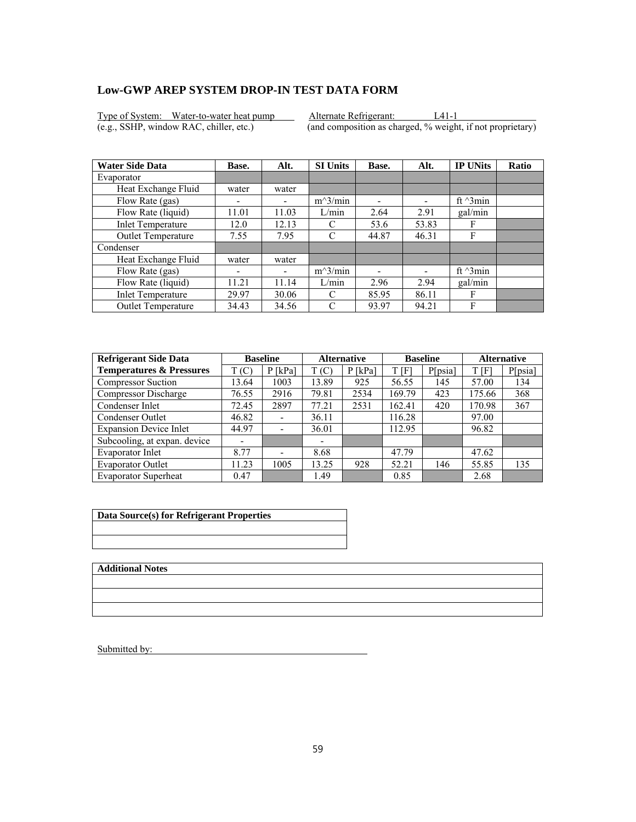Type of System: Water-to-water heat pump Alternate Refrigerant: L41-1<br>
(e.g., SSHP, window RAC, chiller, etc.) (and composition as charged, % weight

 $\overline{(and composition as charged, % weight, if not proprietary)}$ 

| <b>Water Side Data</b>    | Base.                    | Alt.  | <b>SI Units</b> | Base. | Alt.                     | <b>IP UNits</b>  | <b>Ratio</b> |
|---------------------------|--------------------------|-------|-----------------|-------|--------------------------|------------------|--------------|
| Evaporator                |                          |       |                 |       |                          |                  |              |
| Heat Exchange Fluid       | water                    | water |                 |       |                          |                  |              |
| Flow Rate (gas)           | -                        |       | $m^3/min$       | -     | $\overline{\phantom{0}}$ | ft $\gamma$ 3min |              |
| Flow Rate (liquid)        | 11.01                    | 11.03 | L/min           | 2.64  | 2.91                     | gal/min          |              |
| <b>Inlet Temperature</b>  | 12.0                     | 12.13 | C               | 53.6  | 53.83                    | F                |              |
| Outlet Temperature        | 7.55                     | 7.95  | C               | 44.87 | 46.31                    | F                |              |
| Condenser                 |                          |       |                 |       |                          |                  |              |
| Heat Exchange Fluid       | water                    | water |                 |       |                          |                  |              |
| Flow Rate (gas)           | $\overline{\phantom{0}}$ | -     | $m^3/min$       |       |                          | ft $\gamma$ 3min |              |
| Flow Rate (liquid)        | 11.21                    | 11.14 | L/min           | 2.96  | 2.94                     | gal/min          |              |
| <b>Inlet Temperature</b>  | 29.97                    | 30.06 | C               | 85.95 | 86.11                    | F                |              |
| <b>Outlet Temperature</b> | 34.43                    | 34.56 | C               | 93.97 | 94.21                    | F                |              |

| <b>Refrigerant Side Data</b>        |       | <b>Baseline</b>              | <b>Alternative</b> |           | <b>Baseline</b> |         | <b>Alternative</b> |         |
|-------------------------------------|-------|------------------------------|--------------------|-----------|-----------------|---------|--------------------|---------|
| <b>Temperatures &amp; Pressures</b> | T(C)  | $P$ [kPa]                    | T(C)               | $P$ [kPa] | t [F]           | P[psia] | T[F]               | P[psia] |
| <b>Compressor Suction</b>           | 13.64 | 1003                         | 13.89              | 925       | 56.55           | 145     | 57.00              | 134     |
| Compressor Discharge                | 76.55 | 2916                         | 79.81              | 2534      | 169.79          | 423     | 175.66             | 368     |
| Condenser Inlet                     | 72.45 | 2897                         | 77.21              | 2531      | 162.41          | 420     | 170.98             | 367     |
| Condenser Outlet                    | 46.82 | $\qquad \qquad \blacksquare$ | 36.11              |           | 116.28          |         | 97.00              |         |
| <b>Expansion Device Inlet</b>       | 44.97 | $\overline{\phantom{a}}$     | 36.01              |           | 112.95          |         | 96.82              |         |
| Subcooling, at expan. device        |       |                              | -                  |           |                 |         |                    |         |
| Evaporator Inlet                    | 8.77  | $\overline{\phantom{0}}$     | 8.68               |           | 47.79           |         | 47.62              |         |
| <b>Evaporator Outlet</b>            | 11.23 | 1005                         | 13.25              | 928       | 52.21           | 146     | 55.85              | 135     |
| <b>Evaporator Superheat</b>         | 0.47  |                              | 1.49               |           | 0.85            |         | 2.68               |         |

| Data Source(s) for Refrigerant Properties |  |
|-------------------------------------------|--|
|                                           |  |
|                                           |  |
|                                           |  |
|                                           |  |

**Additional Notes**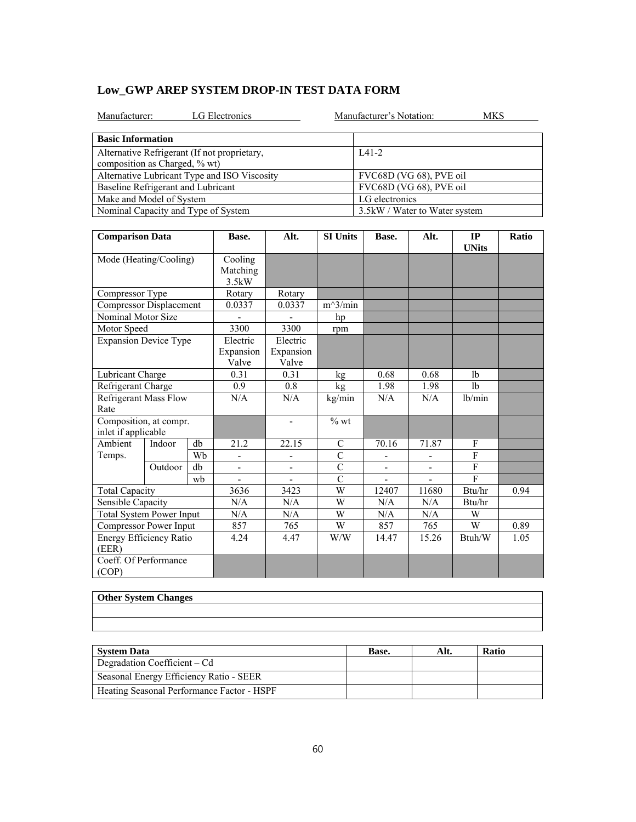|  | Low GWP AREP SYSTEM DROP-IN TEST DATA FORM |  |  |
|--|--------------------------------------------|--|--|
|--|--------------------------------------------|--|--|

| LG Electronics<br>Manufacturer:                                               | Manufacturer's Notation:<br>MKS |
|-------------------------------------------------------------------------------|---------------------------------|
| <b>Basic Information</b>                                                      |                                 |
| Alternative Refrigerant (If not proprietary,<br>composition as Charged, % wt) | $IA1-2$                         |
| Alternative Lubricant Type and ISO Viscosity                                  | FVC68D (VG 68), PVE oil         |
| Baseline Refrigerant and Lubricant                                            | FVC68D (VG 68), PVE oil         |
| Make and Model of System                                                      | LG electronics                  |
| Nominal Capacity and Type of System                                           | 3.5kW / Water to Water system   |

| <b>Comparison Data</b>                        |                              |     | Base.                        | Alt.               | <b>SI Units</b> | Base. | Alt.   | IP<br><b>UNits</b> | Ratio |
|-----------------------------------------------|------------------------------|-----|------------------------------|--------------------|-----------------|-------|--------|--------------------|-------|
| Mode (Heating/Cooling)                        |                              |     | Cooling<br>Matching<br>3.5kW |                    |                 |       |        |                    |       |
| Compressor Type                               |                              |     | Rotary                       | Rotary             |                 |       |        |                    |       |
| Compressor Displacement                       |                              |     | 0.0337                       | 0.0337             | $m^3/min$       |       |        |                    |       |
| Nominal Motor Size                            |                              |     |                              |                    | hp              |       |        |                    |       |
| Motor Speed                                   |                              |     | 3300                         | 3300               | rpm             |       |        |                    |       |
| <b>Expansion Device Type</b>                  |                              |     | Electric                     | Electric           |                 |       |        |                    |       |
|                                               |                              |     | Expansion<br>Valve           | Expansion<br>Valve |                 |       |        |                    |       |
| Lubricant Charge                              |                              |     | 0.31                         | 0.31               | kg              | 0.68  | 0.68   | lb                 |       |
| Refrigerant Charge                            |                              |     | 0.9                          | 0.8                | kg              | 1.98  | 1.98   | 1 <sub>b</sub>     |       |
| Rate                                          | <b>Refrigerant Mass Flow</b> |     | N/A                          | N/A                | kg/min          | N/A   | N/A    | lb/min             |       |
| Composition, at compr.<br>inlet if applicable |                              |     |                              | $\blacksquare$     | $%$ wt          |       |        |                    |       |
| Ambient                                       | Indoor                       | db  | 21.2                         | 22.15              | $\mathbf C$     | 70.16 | 71.87  | F                  |       |
| Temps.                                        |                              | Wb  |                              |                    | $\mathcal{C}$   |       |        | $\mathbf{F}$       |       |
|                                               | Outdoor                      | db  | -                            | -                  | $\overline{C}$  |       |        | F                  |       |
|                                               |                              | wh  |                              |                    | $\mathcal{C}$   |       |        | $\mathbf{F}$       |       |
| <b>Total Capacity</b>                         |                              |     | 3636                         | 3423               | $\overline{W}$  | 12407 | 11680  | Btu/hr             | 0.94  |
| Sensible Capacity                             |                              | N/A | N/A                          | W                  | N/A             | N/A   | Btu/hr |                    |       |
| <b>Total System Power Input</b>               |                              | N/A | N/A                          | W                  | N/A             | N/A   | W      |                    |       |
| Compressor Power Input                        |                              | 857 | 765                          | W                  | 857             | 765   | W      | 0.89               |       |
| Energy Efficiency Ratio<br>(EER)              |                              |     | 4.24                         | 4.47               | W/W             | 14.47 | 15.26  | Btuh/W             | 1.05  |
| Coeff. Of Performance<br>(COP)                |                              |     |                              |                    |                 |       |        |                    |       |

| <b>Other System Changes</b> |  |  |
|-----------------------------|--|--|
|                             |  |  |
|                             |  |  |

| <b>System Data</b>                         | Base. | Alt. | <b>Ratio</b> |
|--------------------------------------------|-------|------|--------------|
| Degradation Coefficient – Cd               |       |      |              |
| Seasonal Energy Efficiency Ratio - SEER    |       |      |              |
| Heating Seasonal Performance Factor - HSPF |       |      |              |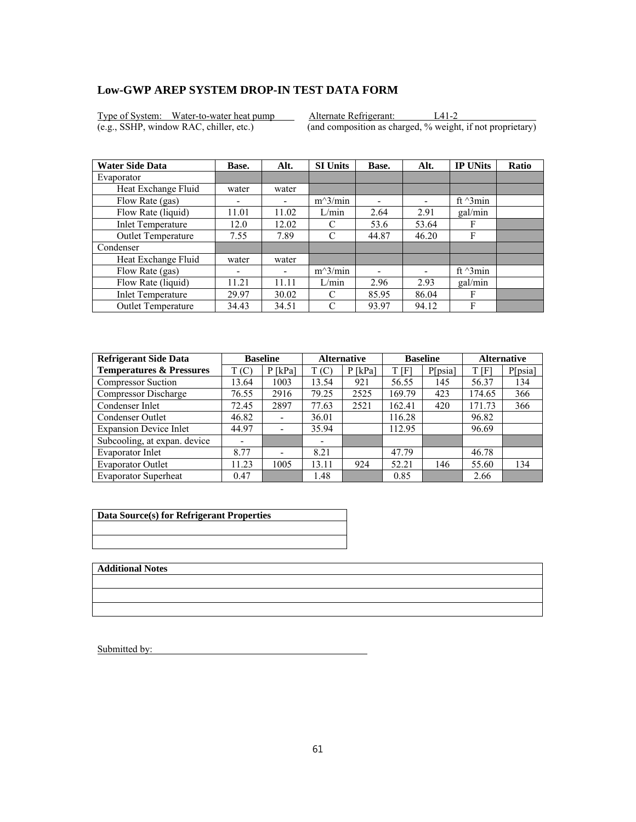Type of System: Water-to-water heat pump Alternate Refrigerant: L41-2<br>
(e.g., SSHP, window RAC, chiller, etc.) (and composition as charged, % weight

 $\overline{(and composition as charged, % weight, if not proprietary)}$ 

| <b>Water Side Data</b>   | Base.                    | Alt.  | <b>SI Units</b> | Base. | Alt.                     | <b>IP UNits</b>  | <b>Ratio</b> |
|--------------------------|--------------------------|-------|-----------------|-------|--------------------------|------------------|--------------|
| Evaporator               |                          |       |                 |       |                          |                  |              |
| Heat Exchange Fluid      | water                    | water |                 |       |                          |                  |              |
| Flow Rate (gas)          | $\overline{\phantom{0}}$ |       | $m^3/min$       | ۰     | $\overline{\phantom{0}}$ | ft $\gamma$ 3min |              |
| Flow Rate (liquid)       | 11.01                    | 11.02 | L/min           | 2.64  | 2.91                     | gal/min          |              |
| <b>Inlet Temperature</b> | 12.0                     | 12.02 | C               | 53.6  | 53.64                    | F                |              |
| Outlet Temperature       | 7.55                     | 7.89  | C               | 44.87 | 46.20                    | F                |              |
| Condenser                |                          |       |                 |       |                          |                  |              |
| Heat Exchange Fluid      | water                    | water |                 |       |                          |                  |              |
| Flow Rate (gas)          | ۰                        | -     | $m^3/min$       |       |                          | ft $\gamma$ 3min |              |
| Flow Rate (liquid)       | 11.21                    | 11.11 | L/min           | 2.96  | 2.93                     | gal/min          |              |
| <b>Inlet Temperature</b> | 29.97                    | 30.02 | C               | 85.95 | 86.04                    | F                |              |
| Outlet Temperature       | 34.43                    | 34.51 | C               | 93.97 | 94.12                    | F                |              |

| <b>Refrigerant Side Data</b>        |       | <b>Baseline</b>              | <b>Alternative</b> |           | <b>Baseline</b> |         | <b>Alternative</b> |         |
|-------------------------------------|-------|------------------------------|--------------------|-----------|-----------------|---------|--------------------|---------|
| <b>Temperatures &amp; Pressures</b> | T(C)  | $P$ [kPa]                    | T(C)               | $P$ [kPa] | t [F]           | P[psia] | T[F]               | P[psia] |
| <b>Compressor Suction</b>           | 13.64 | 1003                         | 13.54              | 921       | 56.55           | 145     | 56.37              | 134     |
| Compressor Discharge                | 76.55 | 2916                         | 79.25              | 2525      | 169.79          | 423     | 174.65             | 366     |
| Condenser Inlet                     | 72.45 | 2897                         | 77.63              | 2521      | 162.41          | 420     | 171.73             | 366     |
| Condenser Outlet                    | 46.82 | $\qquad \qquad \blacksquare$ | 36.01              |           | 116.28          |         | 96.82              |         |
| <b>Expansion Device Inlet</b>       | 44.97 | $\overline{\phantom{a}}$     | 35.94              |           | 112.95          |         | 96.69              |         |
| Subcooling, at expan. device        |       |                              | -                  |           |                 |         |                    |         |
| Evaporator Inlet                    | 8.77  | $\overline{\phantom{0}}$     | 8.21               |           | 47.79           |         | 46.78              |         |
| <b>Evaporator Outlet</b>            | 11.23 | 1005                         | 13.11              | 924       | 52.21           | 146     | 55.60              | 134     |
| <b>Evaporator Superheat</b>         | 0.47  |                              | 1.48               |           | 0.85            |         | 2.66               |         |

| Data Source(s) for Refrigerant Properties |  |
|-------------------------------------------|--|
|                                           |  |
|                                           |  |
|                                           |  |
|                                           |  |

**Additional Notes**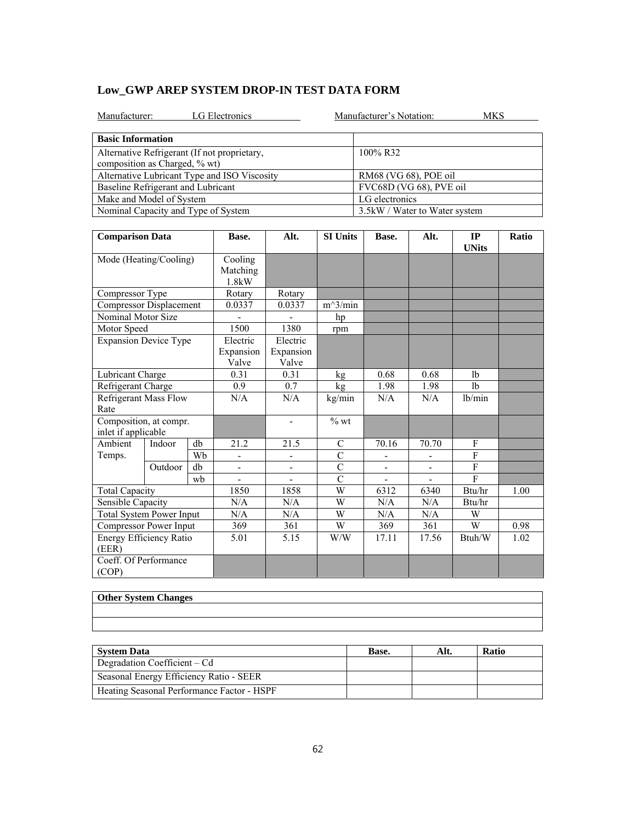| Manufacturer:<br>LG Electronics              | Manufacturer's Notation:      | MKS. |
|----------------------------------------------|-------------------------------|------|
| <b>Basic Information</b>                     |                               |      |
| Alternative Refrigerant (If not proprietary, | 100% R32                      |      |
| composition as Charged, % wt)                |                               |      |
| Alternative Lubricant Type and ISO Viscosity | RM68 (VG 68), POE oil         |      |
| Baseline Refrigerant and Lubricant           | FVC68D (VG 68), PVE oil       |      |
| Make and Model of System                     | LG electronics                |      |
| Nominal Capacity and Type of System          | 3.5kW / Water to Water system |      |

| <b>Comparison Data</b>                        |         |    | Base.                          | Alt.                           | <b>SI Units</b> | Base.                        | Alt.  | IP<br><b>UNits</b> | Ratio |
|-----------------------------------------------|---------|----|--------------------------------|--------------------------------|-----------------|------------------------------|-------|--------------------|-------|
| Mode (Heating/Cooling)                        |         |    | Cooling<br>Matching<br>1.8kW   |                                |                 |                              |       |                    |       |
| Compressor Type                               |         |    | Rotary                         | Rotary                         |                 |                              |       |                    |       |
| Compressor Displacement                       |         |    | 0.0337                         | 0.0337                         | $m^3/min$       |                              |       |                    |       |
| Nominal Motor Size                            |         |    |                                |                                | hp              |                              |       |                    |       |
| Motor Speed                                   |         |    | 1500                           | 1380                           | rpm             |                              |       |                    |       |
| <b>Expansion Device Type</b>                  |         |    | Electric<br>Expansion<br>Valve | Electric<br>Expansion<br>Valve |                 |                              |       |                    |       |
| Lubricant Charge                              |         |    | 0.31                           | 0.31                           | kg              | 0.68                         | 0.68  | 1 <sub>b</sub>     |       |
| Refrigerant Charge                            |         |    | 0.9                            | 0.7                            | kg              | 1.98                         | 1.98  | 1 <sub>b</sub>     |       |
| <b>Refrigerant Mass Flow</b><br>Rate          |         |    | N/A                            | N/A                            | kg/min          | N/A                          | N/A   | lb/min             |       |
| Composition, at compr.<br>inlet if applicable |         |    |                                |                                | $%$ wt          |                              |       |                    |       |
| Ambient                                       | Indoor  | db | 21.2                           | 21.5                           | $\mathcal{C}$   | 70.16                        | 70.70 | F                  |       |
| Temps.                                        |         | Wb | -                              |                                | $\overline{C}$  | $\overline{\phantom{0}}$     |       | $\overline{F}$     |       |
|                                               | Outdoor | db |                                | $\overline{\phantom{0}}$       | $\mathcal{C}$   |                              |       | $\mathbf{F}$       |       |
|                                               |         | wb |                                |                                | $\overline{C}$  | $\qquad \qquad \blacksquare$ |       | $\overline{F}$     |       |
| <b>Total Capacity</b>                         |         |    | 1850                           | 1858                           | W               | 6312                         | 6340  | Btu/hr             | 1.00  |
| Sensible Capacity                             |         |    | N/A                            | N/A                            | W               | N/A                          | N/A   | Btu/hr             |       |
| <b>Total System Power Input</b>               |         |    | N/A                            | N/A                            | W               | N/A                          | N/A   | W                  |       |
| Compressor Power Input                        |         |    | 369                            | 361                            | W               | 369                          | 361   | W                  | 0.98  |
| Energy Efficiency Ratio<br>(EER)              |         |    | 5.01                           | 5.15                           | W/W             | 17.11                        | 17.56 | Btuh/W             | 1.02  |
| Coeff. Of Performance<br>(COP)                |         |    |                                |                                |                 |                              |       |                    |       |

| <b>Other System Changes</b> |  |  |
|-----------------------------|--|--|
|                             |  |  |
|                             |  |  |

| <b>System Data</b>                         | Base. | Alt. | <b>Ratio</b> |
|--------------------------------------------|-------|------|--------------|
| Degradation Coefficient – Cd               |       |      |              |
| Seasonal Energy Efficiency Ratio - SEER    |       |      |              |
| Heating Seasonal Performance Factor - HSPF |       |      |              |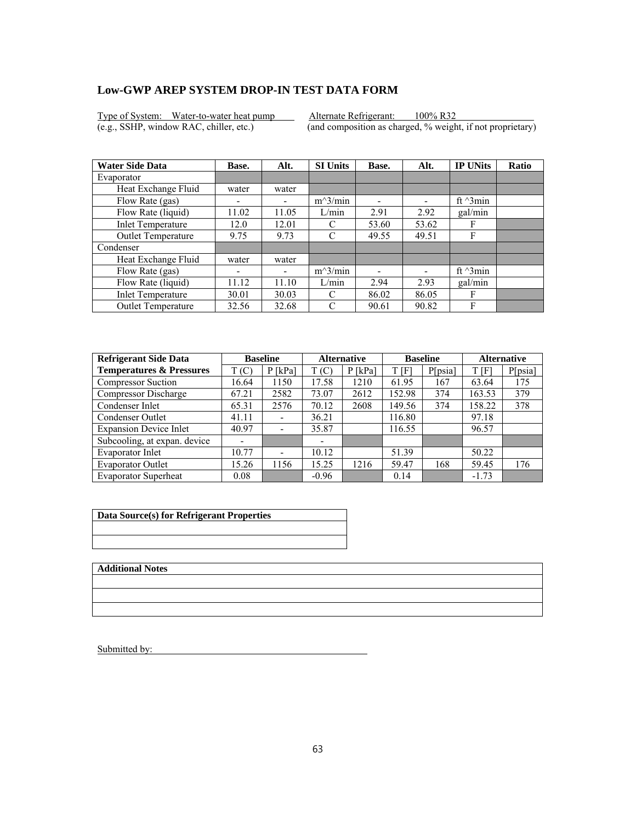Type of System: Water-to-water heat pump Alternate Refrigerant: 100% R32<br>(e.g., SSHP, window RAC, chiller, etc.) (and composition as charged, % weight

 $\overline{(and composition as charged, % weight, if not proprietary)}$ 

| <b>Water Side Data</b>   | Base.                    | Alt.  | <b>SI Units</b> | Base. | Alt.                     | <b>IP UNits</b>  | <b>Ratio</b> |
|--------------------------|--------------------------|-------|-----------------|-------|--------------------------|------------------|--------------|
| Evaporator               |                          |       |                 |       |                          |                  |              |
| Heat Exchange Fluid      | water                    | water |                 |       |                          |                  |              |
| Flow Rate (gas)          | $\overline{\phantom{0}}$ |       | $m^3/min$       | ۰     | $\overline{\phantom{0}}$ | ft $\gamma$ 3min |              |
| Flow Rate (liquid)       | 11.02                    | 11.05 | L/min           | 2.91  | 2.92                     | gal/min          |              |
| <b>Inlet Temperature</b> | 12.0                     | 12.01 | C               | 53.60 | 53.62                    | F                |              |
| Outlet Temperature       | 9.75                     | 9.73  | C               | 49.55 | 49.51                    | F                |              |
| Condenser                |                          |       |                 |       |                          |                  |              |
| Heat Exchange Fluid      | water                    | water |                 |       |                          |                  |              |
| Flow Rate (gas)          | ۰                        | -     | $m^3/min$       |       |                          | ft $\gamma$ 3min |              |
| Flow Rate (liquid)       | 11.12                    | 11.10 | L/min           | 2.94  | 2.93                     | gal/min          |              |
| <b>Inlet Temperature</b> | 30.01                    | 30.03 | C               | 86.02 | 86.05                    | F                |              |
| Outlet Temperature       | 32.56                    | 32.68 | C               | 90.61 | 90.82                    | F                |              |

| <b>Refrigerant Side Data</b>        | <b>Baseline</b> |                          | <b>Alternative</b> |           | <b>Baseline</b> |         | <b>Alternative</b> |         |
|-------------------------------------|-----------------|--------------------------|--------------------|-----------|-----------------|---------|--------------------|---------|
| <b>Temperatures &amp; Pressures</b> | T(C)            | $P$ [kPa]                | T(C)               | $P$ [kPa] | t [F]           | P[psia] | T[F]               | P[psia] |
| <b>Compressor Suction</b>           | 16.64           | 1150                     | 17.58              | 1210      | 61.95           | 167     | 63.64              | 175     |
| Compressor Discharge                | 67.21           | 2582                     | 73.07              | 2612      | 152.98          | 374     | 163.53             | 379     |
| Condenser Inlet                     | 65.31           | 2576                     | 70.12              | 2608      | 149.56          | 374     | 158.22             | 378     |
| Condenser Outlet                    | 41.11           | $\overline{\phantom{0}}$ | 36.21              |           | 116.80          |         | 97.18              |         |
| <b>Expansion Device Inlet</b>       | 40.97           | $\overline{\phantom{a}}$ | 35.87              |           | 116.55          |         | 96.57              |         |
| Subcooling, at expan. device        |                 |                          | -                  |           |                 |         |                    |         |
| Evaporator Inlet                    | 10.77           | $\overline{\phantom{0}}$ | 10.12              |           | 51.39           |         | 50.22              |         |
| <b>Evaporator Outlet</b>            | 15.26           | 1156                     | 15.25              | 1216      | 59.47           | 168     | 59.45              | 176     |
| <b>Evaporator Superheat</b>         | 0.08            |                          | $-0.96$            |           | 0.14            |         | $-1.73$            |         |

| Data Source(s) for Refrigerant Properties |  |  |  |  |  |  |
|-------------------------------------------|--|--|--|--|--|--|
|                                           |  |  |  |  |  |  |
|                                           |  |  |  |  |  |  |

**Additional Notes**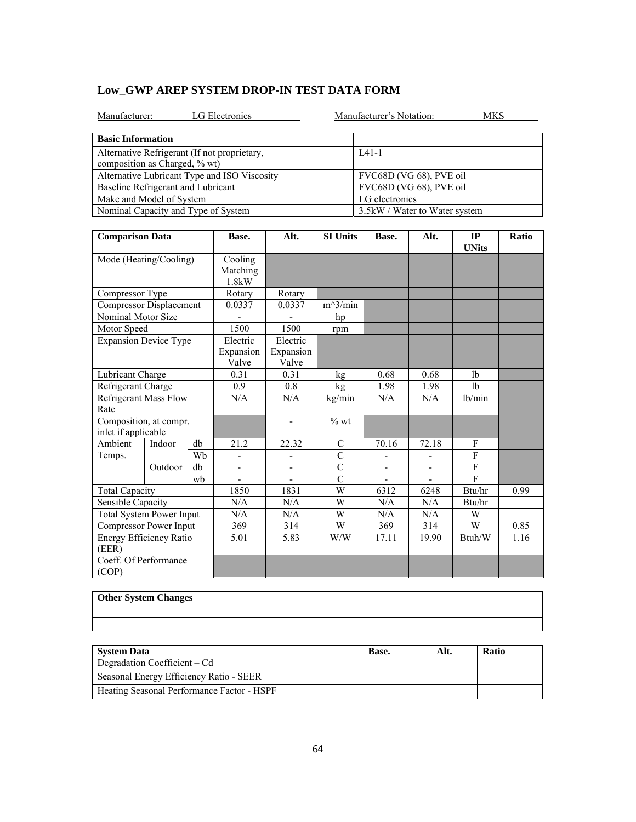|  | Low GWP AREP SYSTEM DROP-IN TEST DATA FORM |  |  |
|--|--------------------------------------------|--|--|
|--|--------------------------------------------|--|--|

| LG Electronics<br>Manufacturer:                                               | Manufacturer's Notation:<br>MKS |
|-------------------------------------------------------------------------------|---------------------------------|
| <b>Basic Information</b>                                                      |                                 |
| Alternative Refrigerant (If not proprietary,<br>composition as Charged, % wt) | $IA1-1$                         |
| Alternative Lubricant Type and ISO Viscosity                                  | FVC68D (VG 68), PVE oil         |
| Baseline Refrigerant and Lubricant                                            | FVC68D (VG 68), PVE oil         |
| Make and Model of System                                                      | LG electronics                  |
| Nominal Capacity and Type of System                                           | 3.5kW / Water to Water system   |

| <b>Comparison Data</b>                        |         |                              | Base.              | Alt.                     | <b>SI Units</b> | Base. | Alt.  | IP<br><b>UNits</b> | Ratio |
|-----------------------------------------------|---------|------------------------------|--------------------|--------------------------|-----------------|-------|-------|--------------------|-------|
| Mode (Heating/Cooling)                        |         | Cooling<br>Matching<br>1.8kW |                    |                          |                 |       |       |                    |       |
| Compressor Type                               |         |                              | Rotary             | Rotary                   |                 |       |       |                    |       |
| Compressor Displacement                       |         |                              | 0.0337             | 0.0337                   | $m^3/min$       |       |       |                    |       |
| Nominal Motor Size                            |         |                              |                    |                          | hp              |       |       |                    |       |
| Motor Speed                                   |         |                              | 1500               | 1500                     | rpm             |       |       |                    |       |
| <b>Expansion Device Type</b>                  |         |                              | Electric           | Electric                 |                 |       |       |                    |       |
|                                               |         |                              | Expansion<br>Valve | Expansion<br>Valve       |                 |       |       |                    |       |
| Lubricant Charge                              |         |                              | 0.31               | 0.31                     | kg              | 0.68  | 0.68  | lb                 |       |
| Refrigerant Charge                            |         |                              | 0.9                | 0.8                      | kg              | 1.98  | 1.98  | 1 <sub>b</sub>     |       |
| <b>Refrigerant Mass Flow</b><br>Rate          |         |                              | N/A                | N/A                      | kg/min          | N/A   | N/A   | lb/min             |       |
| Composition, at compr.<br>inlet if applicable |         |                              |                    | $\overline{\phantom{a}}$ | $%$ wt          |       |       |                    |       |
| Ambient                                       | Indoor  | db                           | 21.2               | 22.32                    | $\mathbf C$     | 70.16 | 72.18 | F                  |       |
| Temps.                                        |         | Wb                           |                    |                          | $\mathcal{C}$   |       |       | $\mathbf{F}$       |       |
|                                               | Outdoor | db                           | -                  | -                        | $\overline{C}$  |       |       | $\mathbf{F}$       |       |
|                                               |         | wh                           |                    |                          | $\mathcal{C}$   |       |       | $\mathbf{F}$       |       |
| <b>Total Capacity</b>                         |         |                              | 1850               | 1831                     | W               | 6312  | 6248  | Btu/hr             | 0.99  |
| Sensible Capacity                             |         |                              | N/A                | N/A                      | W               | N/A   | N/A   | Btu/hr             |       |
| <b>Total System Power Input</b>               |         |                              | N/A                | N/A                      | W               | N/A   | N/A   | W                  |       |
| Compressor Power Input                        |         |                              | 369                | 314                      | W               | 369   | 314   | W                  | 0.85  |
| Energy Efficiency Ratio<br>(EER)              |         |                              | 5.01               | 5.83                     | W/W             | 17.11 | 19.90 | Btuh/W             | 1.16  |
| Coeff. Of Performance<br>(COP)                |         |                              |                    |                          |                 |       |       |                    |       |

| <b>Other System Changes</b> |  |  |
|-----------------------------|--|--|
|                             |  |  |
|                             |  |  |

| <b>System Data</b>                         | Base. | Alt. | <b>Ratio</b> |
|--------------------------------------------|-------|------|--------------|
| Degradation Coefficient – Cd               |       |      |              |
| Seasonal Energy Efficiency Ratio - SEER    |       |      |              |
| Heating Seasonal Performance Factor - HSPF |       |      |              |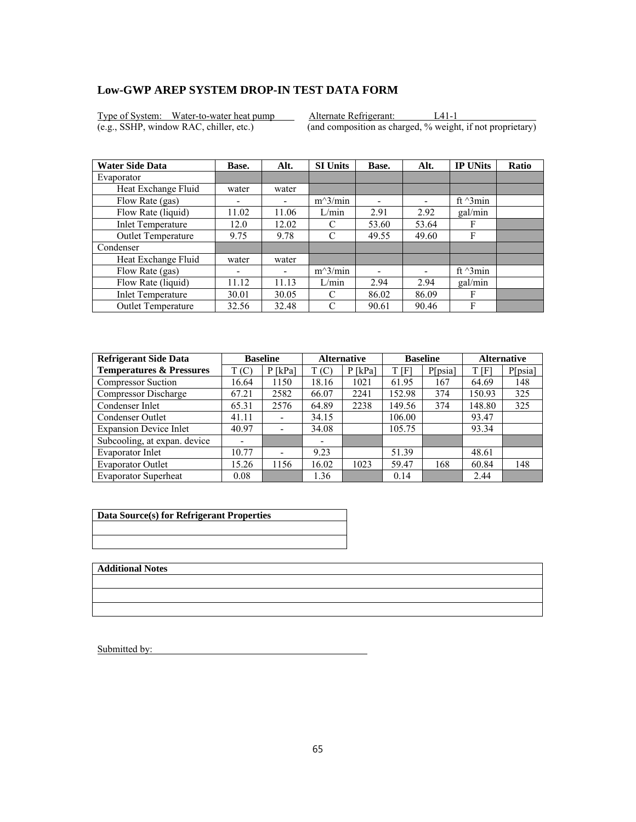Type of System: Water-to-water heat pump Alternate Refrigerant: L41-1<br>
(e.g., SSHP, window RAC, chiller, etc.) (and composition as charged, % weight

 $\overline{(and composition as charged, % weight, if not proprietary)}$ 

| <b>Water Side Data</b>    | Base. | Alt.  | <b>SI Units</b> | Base. | Alt.                     | <b>IP UNits</b>  | <b>Ratio</b> |
|---------------------------|-------|-------|-----------------|-------|--------------------------|------------------|--------------|
| Evaporator                |       |       |                 |       |                          |                  |              |
| Heat Exchange Fluid       | water | water |                 |       |                          |                  |              |
| Flow Rate (gas)           |       |       | $m^3/min$       | ۰     | $\overline{\phantom{0}}$ | ft $\gamma$ 3min |              |
| Flow Rate (liquid)        | 11.02 | 11.06 | L/min           | 2.91  | 2.92                     | gal/min          |              |
| <b>Inlet Temperature</b>  | 12.0  | 12.02 | C               | 53.60 | 53.64                    | F                |              |
| Outlet Temperature        | 9.75  | 9.78  | C               | 49.55 | 49.60                    | F                |              |
| Condenser                 |       |       |                 |       |                          |                  |              |
| Heat Exchange Fluid       | water | water |                 |       |                          |                  |              |
| Flow Rate (gas)           | ۰     | -     | $m^3/min$       |       |                          | ft $\gamma$ 3min |              |
| Flow Rate (liquid)        | 11.12 | 11.13 | L/min           | 2.94  | 2.94                     | gal/min          |              |
| <b>Inlet Temperature</b>  | 30.01 | 30.05 | C               | 86.02 | 86.09                    | F                |              |
| <b>Outlet Temperature</b> | 32.56 | 32.48 | C               | 90.61 | 90.46                    | F                |              |

| <b>Refrigerant Side Data</b>        | <b>Baseline</b> |                          |       | <b>Alternative</b> |        | <b>Baseline</b> |        | <b>Alternative</b> |  |
|-------------------------------------|-----------------|--------------------------|-------|--------------------|--------|-----------------|--------|--------------------|--|
| <b>Temperatures &amp; Pressures</b> | T(C)            | $P$ [kPa]                | T(C)  | $P$ [kPa]          | t [F]  | P[psia]         | T[F]   | P[psia]            |  |
| <b>Compressor Suction</b>           | 16.64           | 1150                     | 18.16 | 1021               | 61.95  | 167             | 64.69  | 148                |  |
| Compressor Discharge                | 67.21           | 2582                     | 66.07 | 2241               | 152.98 | 374             | 150.93 | 325                |  |
| Condenser Inlet                     | 65.31           | 2576                     | 64.89 | 2238               | 149.56 | 374             | 148.80 | 325                |  |
| Condenser Outlet                    | 41.11           | $\overline{\phantom{0}}$ | 34.15 |                    | 106.00 |                 | 93.47  |                    |  |
| <b>Expansion Device Inlet</b>       | 40.97           | $\overline{\phantom{a}}$ | 34.08 |                    | 105.75 |                 | 93.34  |                    |  |
| Subcooling, at expan. device        |                 |                          | -     |                    |        |                 |        |                    |  |
| Evaporator Inlet                    | 10.77           | $\overline{\phantom{0}}$ | 9.23  |                    | 51.39  |                 | 48.61  |                    |  |
| <b>Evaporator Outlet</b>            | 15.26           | 1156                     | 16.02 | 1023               | 59.47  | 168             | 60.84  | 148                |  |
| <b>Evaporator Superheat</b>         | 0.08            |                          | 1.36  |                    | 0.14   |                 | 2.44   |                    |  |

| Data Source(s) for Refrigerant Properties |
|-------------------------------------------|
|                                           |
|                                           |

**Additional Notes**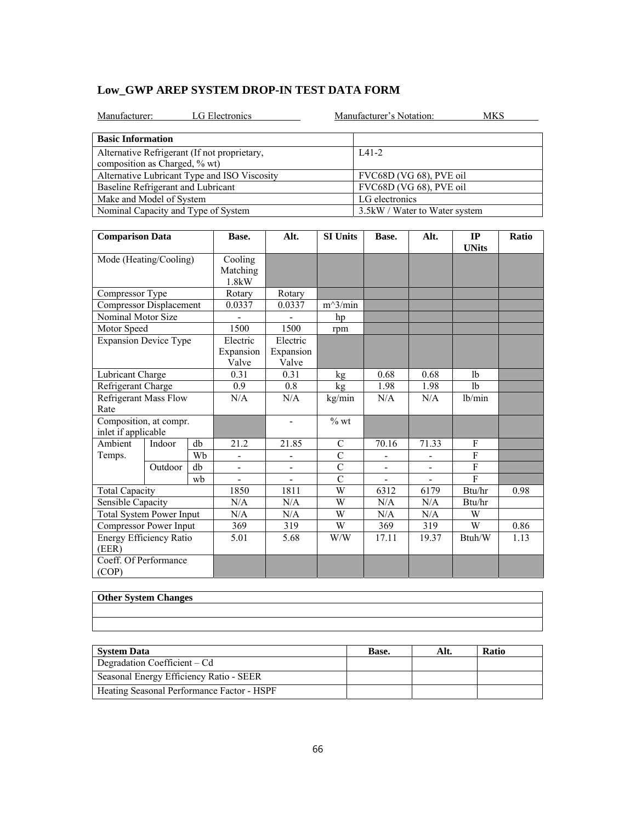|  | Low GWP AREP SYSTEM DROP-IN TEST DATA FORM |  |  |
|--|--------------------------------------------|--|--|
|--|--------------------------------------------|--|--|

| LG Electronics<br>Manufacturer:                                               | Manufacturer's Notation:<br>MKS |
|-------------------------------------------------------------------------------|---------------------------------|
| <b>Basic Information</b>                                                      |                                 |
| Alternative Refrigerant (If not proprietary,<br>composition as Charged, % wt) | $IA1-2$                         |
| Alternative Lubricant Type and ISO Viscosity                                  | FVC68D (VG 68), PVE oil         |
| Baseline Refrigerant and Lubricant                                            | FVC68D (VG 68), PVE oil         |
| Make and Model of System                                                      | LG electronics                  |
| Nominal Capacity and Type of System                                           | 3.5kW / Water to Water system   |

| <b>Comparison Data</b>           |                                               |        | Base.                        | Alt.               | <b>SI Units</b> | Base. | Alt.  | IP<br><b>UNits</b> | Ratio |
|----------------------------------|-----------------------------------------------|--------|------------------------------|--------------------|-----------------|-------|-------|--------------------|-------|
| Mode (Heating/Cooling)           |                                               |        | Cooling<br>Matching<br>1.8kW |                    |                 |       |       |                    |       |
| Compressor Type                  |                                               | Rotary | Rotary                       |                    |                 |       |       |                    |       |
| Compressor Displacement          |                                               |        | 0.0337                       | 0.0337             | $m^3/min$       |       |       |                    |       |
| Nominal Motor Size               |                                               |        |                              |                    | hp              |       |       |                    |       |
| Motor Speed                      |                                               |        | 1500                         | 1500               | rpm             |       |       |                    |       |
| <b>Expansion Device Type</b>     |                                               |        | Electric                     | Electric           |                 |       |       |                    |       |
|                                  |                                               |        | Expansion<br>Valve           | Expansion<br>Valve |                 |       |       |                    |       |
| Lubricant Charge                 |                                               |        | 0.31                         | 0.31               | kg              | 0.68  | 0.68  | lb                 |       |
| Refrigerant Charge               |                                               |        | 0.9                          | 0.8                | kg              | 1.98  | 1.98  | 1 <sub>b</sub>     |       |
| Rate                             | <b>Refrigerant Mass Flow</b>                  |        | N/A                          | N/A                | kg/min          | N/A   | N/A   | lb/min             |       |
|                                  | Composition, at compr.<br>inlet if applicable |        |                              | $\blacksquare$     | $%$ wt          |       |       |                    |       |
| Ambient                          | Indoor                                        | db     | 21.2                         | 21.85              | $\mathbf C$     | 70.16 | 71.33 | F                  |       |
| Temps.                           |                                               | Wb     |                              |                    | $\mathcal{C}$   |       |       | $\mathbf{F}$       |       |
|                                  | Outdoor                                       | db     | -                            | -                  | $\overline{C}$  |       |       | $\mathbf{F}$       |       |
|                                  |                                               | wh     |                              |                    | $\mathcal{C}$   |       |       | $\mathbf{F}$       |       |
| <b>Total Capacity</b>            |                                               |        | 1850                         | 1811               | $\overline{W}$  | 6312  | 6179  | Btu/hr             | 0.98  |
| <b>Sensible Capacity</b>         |                                               |        | N/A                          | N/A                | W               | N/A   | N/A   | Btu/hr             |       |
| <b>Total System Power Input</b>  |                                               |        | N/A                          | N/A                | W               | N/A   | N/A   | W                  |       |
| Compressor Power Input           |                                               |        | 369                          | 319                | W               | 369   | 319   | W                  | 0.86  |
| Energy Efficiency Ratio<br>(EER) |                                               |        | 5.01                         | 5.68               | W/W             | 17.11 | 19.37 | Btuh/W             | 1.13  |
| Coeff. Of Performance<br>(COP)   |                                               |        |                              |                    |                 |       |       |                    |       |

| <b>Other System Changes</b> |  |  |
|-----------------------------|--|--|
|                             |  |  |
|                             |  |  |

| <b>System Data</b>                         | Base. | Alt. | <b>Ratio</b> |
|--------------------------------------------|-------|------|--------------|
| Degradation Coefficient – Cd               |       |      |              |
| Seasonal Energy Efficiency Ratio - SEER    |       |      |              |
| Heating Seasonal Performance Factor - HSPF |       |      |              |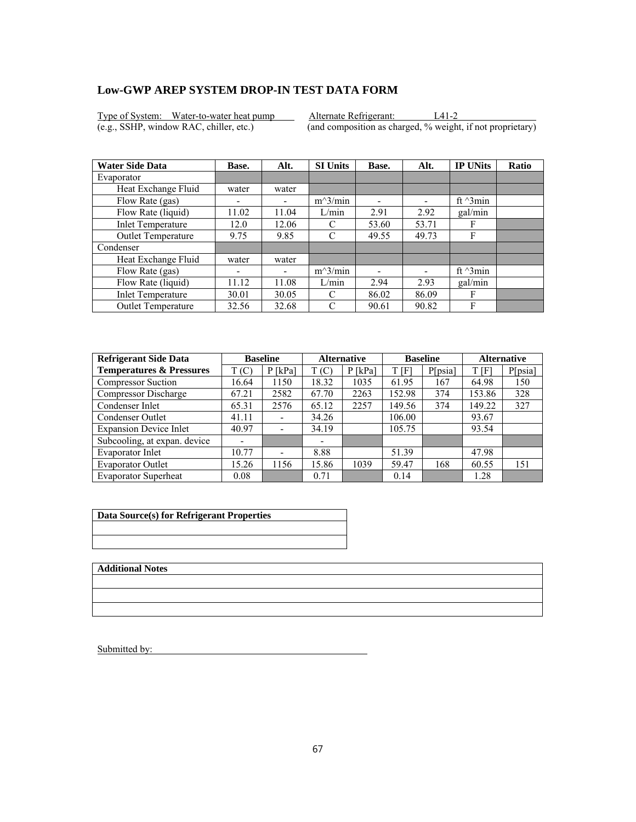Type of System: Water-to-water heat pump Alternate Refrigerant: L41-2<br>
(e.g., SSHP, window RAC, chiller, etc.) (and composition as charged, % weight

 $\overline{(and composition as charged, % weight, if not proprietary)}$ 

| <b>Water Side Data</b>   | Base. | Alt.  | <b>SI Units</b> | Base. | Alt.                     | <b>IP UNits</b>  | <b>Ratio</b> |
|--------------------------|-------|-------|-----------------|-------|--------------------------|------------------|--------------|
| Evaporator               |       |       |                 |       |                          |                  |              |
| Heat Exchange Fluid      | water | water |                 |       |                          |                  |              |
| Flow Rate (gas)          |       |       | $m^3/min$       | ۰     | $\overline{\phantom{0}}$ | ft $\gamma$ 3min |              |
| Flow Rate (liquid)       | 11.02 | 11.04 | L/min           | 2.91  | 2.92                     | gal/min          |              |
| <b>Inlet Temperature</b> | 12.0  | 12.06 | C               | 53.60 | 53.71                    | F                |              |
| Outlet Temperature       | 9.75  | 9.85  | C               | 49.55 | 49.73                    | F                |              |
| Condenser                |       |       |                 |       |                          |                  |              |
| Heat Exchange Fluid      | water | water |                 |       |                          |                  |              |
| Flow Rate (gas)          | ۰     | -     | $m^3/min$       |       |                          | ft $\gamma$ 3min |              |
| Flow Rate (liquid)       | 11.12 | 11.08 | L/min           | 2.94  | 2.93                     | gal/min          |              |
| <b>Inlet Temperature</b> | 30.01 | 30.05 | C               | 86.02 | 86.09                    | F                |              |
| Outlet Temperature       | 32.56 | 32.68 | C               | 90.61 | 90.82                    | F                |              |

| <b>Refrigerant Side Data</b>        | <b>Baseline</b> |                              | <b>Alternative</b> |           | <b>Baseline</b> |         | <b>Alternative</b> |         |
|-------------------------------------|-----------------|------------------------------|--------------------|-----------|-----------------|---------|--------------------|---------|
| <b>Temperatures &amp; Pressures</b> | T(C)            | $P$ [kPa]                    | T(C)               | $P$ [kPa] | t [F]           | P[psia] | T[F]               | P[psia] |
| <b>Compressor Suction</b>           | 16.64           | 1150                         | 18.32              | 1035      | 61.95           | 167     | 64.98              | 150     |
| Compressor Discharge                | 67.21           | 2582                         | 67.70              | 2263      | 152.98          | 374     | 153.86             | 328     |
| Condenser Inlet                     | 65.31           | 2576                         | 65.12              | 2257      | 149.56          | 374     | 149.22             | 327     |
| Condenser Outlet                    | 41.11           | $\qquad \qquad \blacksquare$ | 34.26              |           | 106.00          |         | 93.67              |         |
| <b>Expansion Device Inlet</b>       | 40.97           | $\overline{\phantom{a}}$     | 34.19              |           | 105.75          |         | 93.54              |         |
| Subcooling, at expan. device        |                 |                              | -                  |           |                 |         |                    |         |
| Evaporator Inlet                    | 10.77           | $\overline{\phantom{0}}$     | 8.88               |           | 51.39           |         | 47.98              |         |
| <b>Evaporator Outlet</b>            | 15.26           | 1156                         | 15.86              | 1039      | 59.47           | 168     | 60.55              | 151     |
| <b>Evaporator Superheat</b>         | 0.08            |                              | 0.71               |           | 0.14            |         | 1.28               |         |

| Data Source(s) for Refrigerant Properties |
|-------------------------------------------|
|                                           |
|                                           |

**Additional Notes**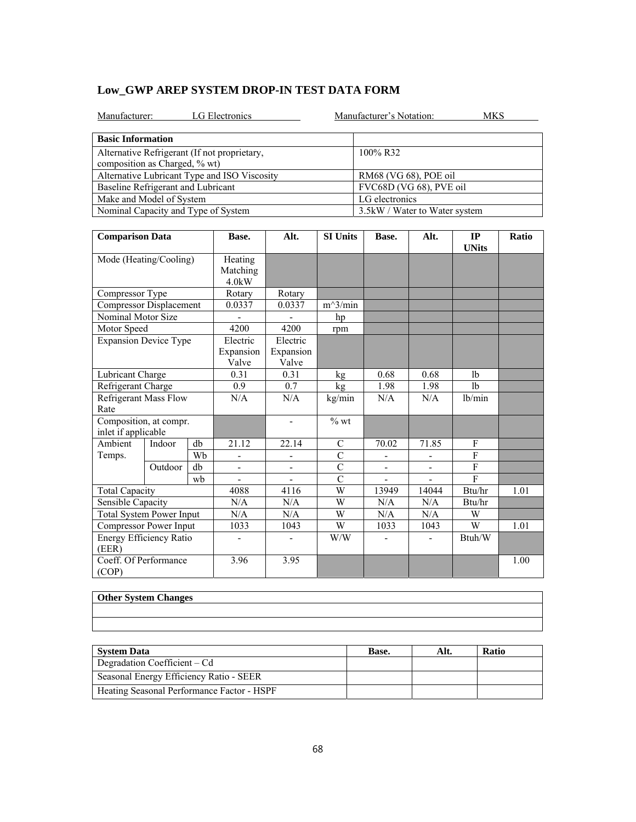| LG Electronics<br>Manufacturer:              | Manufacturer's Notation:<br>MKS |
|----------------------------------------------|---------------------------------|
| <b>Basic Information</b>                     |                                 |
| Alternative Refrigerant (If not proprietary, | 100% R32                        |
| composition as Charged, % wt)                |                                 |
| Alternative Lubricant Type and ISO Viscosity | RM68 (VG 68), POE oil           |
| Baseline Refrigerant and Lubricant           | FVC68D (VG 68), PVE oil         |
| Make and Model of System                     | LG electronics                  |
| Nominal Capacity and Type of System          | 3.5 kW / Water to Water system  |

| <b>Comparison Data</b>                        |         |                                | Base.                           | Alt.           | <b>SI Units</b> | Base. | Alt.           | IP<br><b>UNits</b> | Ratio |
|-----------------------------------------------|---------|--------------------------------|---------------------------------|----------------|-----------------|-------|----------------|--------------------|-------|
| Mode (Heating/Cooling)                        |         |                                | Heating<br>Matching<br>$4.0$ kW |                |                 |       |                |                    |       |
| Compressor Type                               |         | Rotary                         | Rotary                          |                |                 |       |                |                    |       |
| <b>Compressor Displacement</b>                |         |                                | 0.0337                          | 0.0337         | $m^3/min$       |       |                |                    |       |
| Nominal Motor Size                            |         |                                |                                 |                | hp              |       |                |                    |       |
| Motor Speed                                   |         |                                | 4200                            | 4200           | rpm             |       |                |                    |       |
| <b>Expansion Device Type</b>                  |         | Electric<br>Expansion<br>Valve | Electric<br>Expansion<br>Valve  |                |                 |       |                |                    |       |
| Lubricant Charge                              |         |                                | 0.31                            | 0.31           | kg              | 0.68  | 0.68           | 1 <sub>b</sub>     |       |
| Refrigerant Charge                            |         | 0.9                            | 0.7                             | kg             | 1.98            | 1.98  | 1 <sub>b</sub> |                    |       |
| Refrigerant Mass Flow<br>Rate                 |         | N/A                            | N/A                             | kg/min         | N/A             | N/A   | lb/min         |                    |       |
| Composition, at compr.<br>inlet if applicable |         |                                |                                 | $\blacksquare$ | $%$ wt          |       |                |                    |       |
| Ambient                                       | Indoor  | db                             | 21.12                           | 22.14          | $\mathcal{C}$   | 70.02 | 71.85          | F                  |       |
| Temps.                                        |         | Wb                             |                                 | -              | $\overline{C}$  |       |                | $\mathbf{F}$       |       |
|                                               | Outdoor | db                             |                                 |                | $\overline{C}$  |       |                | $\mathbf{F}$       |       |
|                                               |         | wb                             |                                 |                | $\overline{C}$  |       |                | F                  |       |
| <b>Total Capacity</b>                         |         |                                | 4088                            | 4116           | W               | 13949 | 14044          | Btu/hr             | 1.01  |
| Sensible Capacity                             |         |                                | N/A                             | N/A            | W               | N/A   | N/A            | Btu/hr             |       |
| <b>Total System Power Input</b>               |         |                                | N/A                             | N/A            | W               | N/A   | N/A            | W                  |       |
| Compressor Power Input                        |         |                                | 1033                            | 1043           | W               | 1033  | 1043           | W                  | 1.01  |
| Energy Efficiency Ratio<br>(EER)              |         |                                |                                 |                | W/W             |       |                | Btuh/W             |       |
| Coeff. Of Performance<br>(COP)                |         |                                | 3.96                            | 3.95           |                 |       |                |                    | 1.00  |

| <b>System Data</b>                         | Base. | Alt. | <b>Ratio</b> |
|--------------------------------------------|-------|------|--------------|
| Degradation Coefficient – Cd               |       |      |              |
| Seasonal Energy Efficiency Ratio - SEER    |       |      |              |
| Heating Seasonal Performance Factor - HSPF |       |      |              |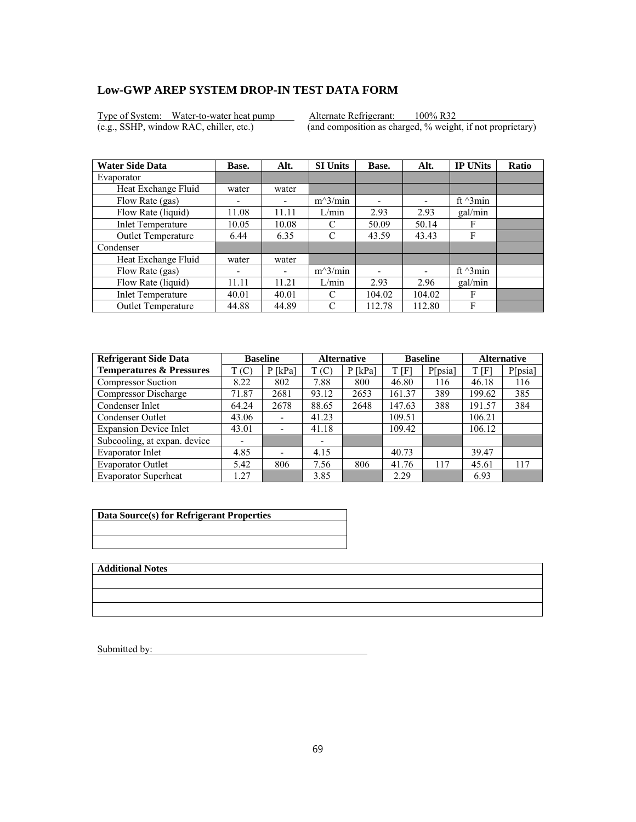Type of System: Water-to-water heat pump Alternate Refrigerant: 100% R32<br>(e.g., SSHP, window RAC, chiller, etc.) (and composition as charged, % weight

 $\overline{(and composition as charged, % weight, if not proprietary)}$ 

| <b>Water Side Data</b>    | Base.                    | Alt.  | <b>SI Units</b> | Base.  | Alt.                     | <b>IP UNits</b>  | <b>Ratio</b> |
|---------------------------|--------------------------|-------|-----------------|--------|--------------------------|------------------|--------------|
| Evaporator                |                          |       |                 |        |                          |                  |              |
| Heat Exchange Fluid       | water                    | water |                 |        |                          |                  |              |
| Flow Rate (gas)           | $\overline{\phantom{0}}$ |       | $m^3/min$       | ۰      | $\overline{\phantom{0}}$ | ft $\gamma$ 3min |              |
| Flow Rate (liquid)        | 11.08                    | 11.11 | L/min           | 2.93   | 2.93                     | gal/min          |              |
| <b>Inlet Temperature</b>  | 10.05                    | 10.08 | C               | 50.09  | 50.14                    | F                |              |
| Outlet Temperature        | 6.44                     | 6.35  | C               | 43.59  | 43.43                    | F                |              |
| Condenser                 |                          |       |                 |        |                          |                  |              |
| Heat Exchange Fluid       | water                    | water |                 |        |                          |                  |              |
| Flow Rate (gas)           | ۰                        | -     | $m^3/min$       |        |                          | ft $\gamma$ 3min |              |
| Flow Rate (liquid)        | 11.11                    | 11.21 | L/min           | 2.93   | 2.96                     | gal/min          |              |
| <b>Inlet Temperature</b>  | 40.01                    | 40.01 | C               | 104.02 | 104.02                   | F                |              |
| <b>Outlet Temperature</b> | 44.88                    | 44.89 | C               | 112.78 | 112.80                   | F                |              |

| <b>Refrigerant Side Data</b>        | <b>Baseline</b> |                          | <b>Alternative</b>       |           | <b>Baseline</b> |         | <b>Alternative</b> |         |
|-------------------------------------|-----------------|--------------------------|--------------------------|-----------|-----------------|---------|--------------------|---------|
| <b>Temperatures &amp; Pressures</b> | T(C)            | $P$ [kPa]                | T(C)                     | $P$ [kPa] | T [F]           | P[psia] | T [F]              | P[psia] |
| <b>Compressor Suction</b>           | 8.22            | 802                      | 7.88                     | 800       | 46.80           | 116     | 46.18              | 116     |
| Compressor Discharge                | 71.87           | 2681                     | 93.12                    | 2653      | 161.37          | 389     | 199.62             | 385     |
| Condenser Inlet                     | 64.24           | 2678                     | 88.65                    | 2648      | 147.63          | 388     | 191.57             | 384     |
| Condenser Outlet                    | 43.06           | $\overline{\phantom{a}}$ | 41.23                    |           | 109.51          |         | 106.21             |         |
| <b>Expansion Device Inlet</b>       | 43.01           |                          | 41.18                    |           | 109.42          |         | 106.12             |         |
| Subcooling, at expan. device        | -               |                          | $\overline{\phantom{0}}$ |           |                 |         |                    |         |
| Evaporator Inlet                    | 4.85            |                          | 4.15                     |           | 40.73           |         | 39.47              |         |
| <b>Evaporator Outlet</b>            | 5.42            | 806                      | 7.56                     | 806       | 41.76           | 117     | 45.61              | 117     |
| <b>Evaporator Superheat</b>         | 1.27            |                          | 3.85                     |           | 2.29            |         | 6.93               |         |

| Data Source(s) for Refrigerant Properties |  |  |  |  |  |  |  |
|-------------------------------------------|--|--|--|--|--|--|--|
|                                           |  |  |  |  |  |  |  |
|                                           |  |  |  |  |  |  |  |

**Additional Notes**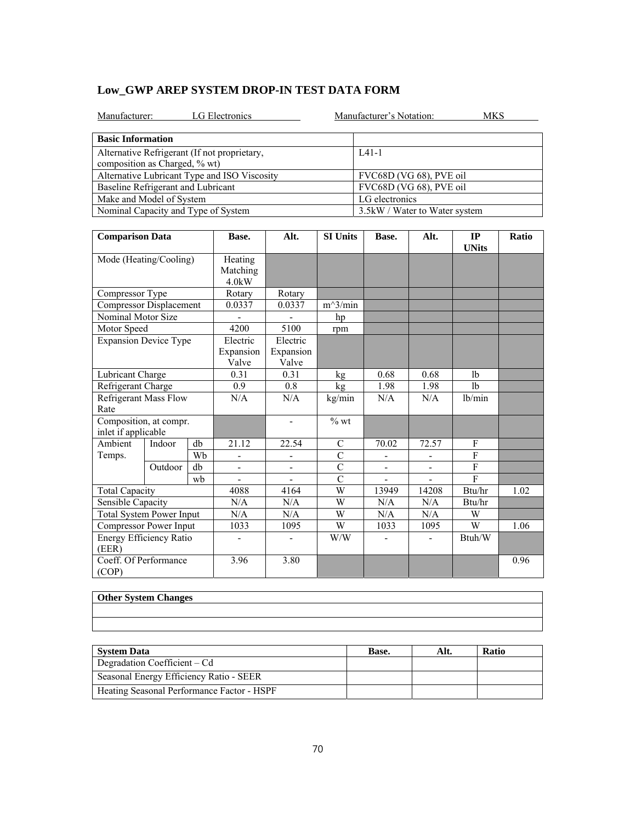|  | Low GWP AREP SYSTEM DROP-IN TEST DATA FORM |  |  |
|--|--------------------------------------------|--|--|
|--|--------------------------------------------|--|--|

| LG Electronics<br>Manufacturer:                                               | Manufacturer's Notation:<br>MKS |
|-------------------------------------------------------------------------------|---------------------------------|
| <b>Basic Information</b>                                                      |                                 |
| Alternative Refrigerant (If not proprietary,<br>composition as Charged, % wt) | $IA1-1$                         |
| Alternative Lubricant Type and ISO Viscosity                                  | FVC68D (VG 68), PVE oil         |
| Baseline Refrigerant and Lubricant                                            | FVC68D (VG 68), PVE oil         |
| Make and Model of System                                                      | LG electronics                  |
| Nominal Capacity and Type of System                                           | 3.5 kW / Water to Water system  |

| <b>Comparison Data</b>                        |                                 |    | Base.                                       | Alt.                     | <b>SI Units</b> | Base.          | Alt.                         | IP<br><b>UNits</b> | Ratio |
|-----------------------------------------------|---------------------------------|----|---------------------------------------------|--------------------------|-----------------|----------------|------------------------------|--------------------|-------|
|                                               | Mode (Heating/Cooling)          |    | Heating<br>Matching<br>$4.0$ <sub>k</sub> W |                          |                 |                |                              |                    |       |
| Compressor Type                               |                                 |    | Rotary                                      | Rotary                   |                 |                |                              |                    |       |
| <b>Compressor Displacement</b>                |                                 |    | 0.0337                                      | 0.0337                   | $m^3/min$       |                |                              |                    |       |
| Nominal Motor Size                            |                                 |    |                                             |                          | hp              |                |                              |                    |       |
| Motor Speed                                   |                                 |    | 4200                                        | 5100                     | rpm             |                |                              |                    |       |
| <b>Expansion Device Type</b>                  |                                 |    | Electric                                    | Electric                 |                 |                |                              |                    |       |
|                                               |                                 |    | Expansion<br>Valve                          | Expansion<br>Valve       |                 |                |                              |                    |       |
| Lubricant Charge                              |                                 |    | 0.31                                        | 0.31                     | kg              | 0.68           | 0.68                         | 1 <sub>b</sub>     |       |
|                                               | Refrigerant Charge              |    | 0.9                                         | 0.8                      | kg              | 1.98           | 1.98                         | 1 <sub>b</sub>     |       |
| Rate                                          | <b>Refrigerant Mass Flow</b>    |    | N/A                                         | N/A                      | kg/min          | N/A            | N/A                          | lb/min             |       |
| Composition, at compr.<br>inlet if applicable |                                 |    |                                             | $\overline{\phantom{0}}$ | $%$ wt          |                |                              |                    |       |
| Ambient                                       | Indoor                          | db | 21.12                                       | 22.54                    | $\mathbf C$     | 70.02          | 72.57                        | F                  |       |
| Temps.                                        |                                 | Wh |                                             |                          | $\overline{C}$  |                |                              | F                  |       |
|                                               | Outdoor                         | db |                                             |                          | $\overline{C}$  |                |                              | $\overline{F}$     |       |
|                                               |                                 | wh |                                             |                          | $\overline{C}$  | $\blacksquare$ |                              | $\mathbf{F}$       |       |
| <b>Total Capacity</b>                         |                                 |    | 4088                                        | 4164                     | W               | 13949          | 14208                        | Btu/hr             | 1.02  |
| Sensible Capacity                             |                                 |    | N/A                                         | N/A                      | W               | N/A            | N/A                          | Btu/hr             |       |
|                                               | <b>Total System Power Input</b> |    | N/A                                         | N/A                      | W               | N/A            | N/A                          | W                  |       |
| Compressor Power Input                        |                                 |    | 1033                                        | 1095                     | W               | 1033           | 1095                         | W                  | 1.06  |
| Energy Efficiency Ratio<br>(EER)              |                                 |    | ÷,                                          | $\overline{\phantom{0}}$ | W/W             |                | $\qquad \qquad \blacksquare$ | Btuh/W             |       |
| Coeff. Of Performance<br>(COP)                |                                 |    | 3.96                                        | 3.80                     |                 |                |                              |                    | 0.96  |

| <b>Other System Changes</b> |  |  |
|-----------------------------|--|--|
|                             |  |  |
|                             |  |  |

| <b>System Data</b>                         | Base. | Alt. | <b>Ratio</b> |
|--------------------------------------------|-------|------|--------------|
| Degradation Coefficient – Cd               |       |      |              |
| Seasonal Energy Efficiency Ratio - SEER    |       |      |              |
| Heating Seasonal Performance Factor - HSPF |       |      |              |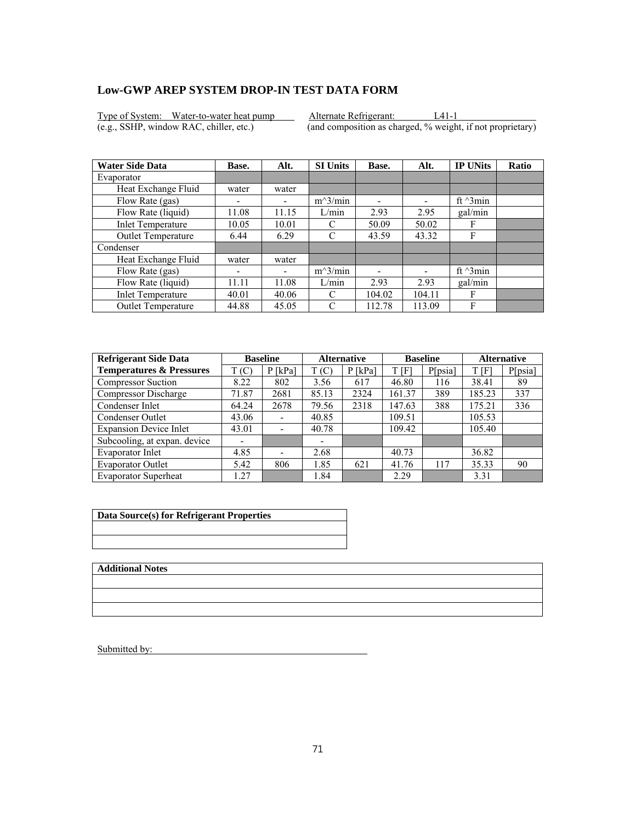Type of System: Water-to-water heat pump Alternate Refrigerant: L41-1<br>
(e.g., SSHP, window RAC, chiller, etc.) (and composition as charged, % weight

 $\overline{(and composition as charged, % weight, if not proprietary)}$ 

| <b>Water Side Data</b>    | Base.                    | Alt.  | <b>SI Units</b> | Base.  | Alt.                     | <b>IP UNits</b>  | <b>Ratio</b> |
|---------------------------|--------------------------|-------|-----------------|--------|--------------------------|------------------|--------------|
| Evaporator                |                          |       |                 |        |                          |                  |              |
| Heat Exchange Fluid       | water                    | water |                 |        |                          |                  |              |
| Flow Rate (gas)           | $\overline{\phantom{0}}$ |       | $m^3/min$       | ۰      | $\overline{\phantom{0}}$ | ft $\gamma$ 3min |              |
| Flow Rate (liquid)        | 11.08                    | 11.15 | L/min           | 2.93   | 2.95                     | gal/min          |              |
| <b>Inlet Temperature</b>  | 10.05                    | 10.01 | C               | 50.09  | 50.02                    | F                |              |
| Outlet Temperature        | 6.44                     | 6.29  | C               | 43.59  | 43.32                    | F                |              |
| Condenser                 |                          |       |                 |        |                          |                  |              |
| Heat Exchange Fluid       | water                    | water |                 |        |                          |                  |              |
| Flow Rate (gas)           | ۰                        | -     | $m^3/min$       |        |                          | ft $\gamma$ 3min |              |
| Flow Rate (liquid)        | 11.11                    | 11.08 | L/min           | 2.93   | 2.93                     | gal/min          |              |
| <b>Inlet Temperature</b>  | 40.01                    | 40.06 | C               | 104.02 | 104.11                   | F                |              |
| <b>Outlet Temperature</b> | 44.88                    | 45.05 | C               | 112.78 | 113.09                   | F                |              |

| <b>Refrigerant Side Data</b>        | <b>Baseline</b> |                          | <b>Alternative</b> |           | <b>Baseline</b> |         | <b>Alternative</b> |         |
|-------------------------------------|-----------------|--------------------------|--------------------|-----------|-----------------|---------|--------------------|---------|
| <b>Temperatures &amp; Pressures</b> | T(C)            | $P$ [kPa]                | T(C)               | $P$ [kPa] | T[F]            | P[psia] | T[F]               | P[psia] |
| <b>Compressor Suction</b>           | 8.22            | 802                      | 3.56               | 617       | 46.80           | 116     | 38.41              | 89      |
| Compressor Discharge                | 71.87           | 2681                     | 85.13              | 2324      | 161.37          | 389     | 185.23             | 337     |
| Condenser Inlet                     | 64.24           | 2678                     | 79.56              | 2318      | 147.63          | 388     | 175.21             | 336     |
| Condenser Outlet                    | 43.06           | $\overline{\phantom{a}}$ | 40.85              |           | 109.51          |         | 105.53             |         |
| <b>Expansion Device Inlet</b>       | 43.01           | ٠                        | 40.78              |           | 109.42          |         | 105.40             |         |
| Subcooling, at expan. device        |                 |                          | -                  |           |                 |         |                    |         |
| Evaporator Inlet                    | 4.85            | $\overline{\phantom{0}}$ | 2.68               |           | 40.73           |         | 36.82              |         |
| <b>Evaporator Outlet</b>            | 5.42            | 806                      | 1.85               | 621       | 41.76           | 117     | 35.33              | 90      |
| <b>Evaporator Superheat</b>         | 1.27            |                          | 1.84               |           | 2.29            |         | 3.31               |         |

| Data Source(s) for Refrigerant Properties |  |  |  |
|-------------------------------------------|--|--|--|
|                                           |  |  |  |
|                                           |  |  |  |

**Additional Notes**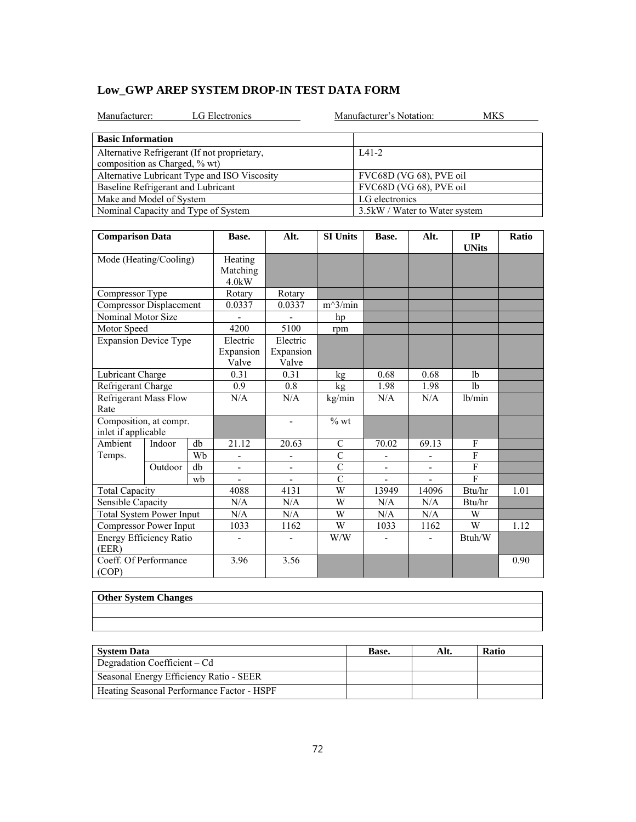|  | Low GWP AREP SYSTEM DROP-IN TEST DATA FORM |  |  |
|--|--------------------------------------------|--|--|
|--|--------------------------------------------|--|--|

| LG Electronics<br>Manufacturer:                                               | Manufacturer's Notation:<br>MKS |
|-------------------------------------------------------------------------------|---------------------------------|
| <b>Basic Information</b>                                                      |                                 |
| Alternative Refrigerant (If not proprietary,<br>composition as Charged, % wt) | $IA1-2$                         |
| Alternative Lubricant Type and ISO Viscosity                                  | FVC68D (VG 68), PVE oil         |
| Baseline Refrigerant and Lubricant                                            | FVC68D (VG 68), PVE oil         |
| Make and Model of System                                                      | LG electronics                  |
| Nominal Capacity and Type of System                                           | 3.5 kW / Water to Water system  |

| <b>Comparison Data</b>                        |         | Base.                           | Alt.               | <b>SI Units</b>          | Base.          | Alt.  | IP<br><b>UNits</b> | Ratio          |  |
|-----------------------------------------------|---------|---------------------------------|--------------------|--------------------------|----------------|-------|--------------------|----------------|--|
| Mode (Heating/Cooling)                        |         | Heating<br>Matching<br>$4.0$ kW |                    |                          |                |       |                    |                |  |
| Compressor Type                               |         |                                 | Rotary             | Rotary                   |                |       |                    |                |  |
| Compressor Displacement                       |         |                                 | 0.0337             | 0.0337                   | $m^3/min$      |       |                    |                |  |
| Nominal Motor Size                            |         |                                 |                    |                          | hp             |       |                    |                |  |
| Motor Speed                                   |         |                                 | 4200               | 5100                     | rpm            |       |                    |                |  |
| <b>Expansion Device Type</b>                  |         |                                 | Electric           | Electric                 |                |       |                    |                |  |
|                                               |         | Expansion<br>Valve              | Expansion<br>Valve |                          |                |       |                    |                |  |
| Lubricant Charge                              |         |                                 | 0.31               | 0.31                     | kg             | 0.68  | 0.68               | 1 <sub>b</sub> |  |
| Refrigerant Charge                            |         | 0.9                             | 0.8                | kg                       | 1.98           | 1.98  | 1 <sub>b</sub>     |                |  |
| <b>Refrigerant Mass Flow</b><br>Rate          |         | N/A                             | N/A                | kg/min                   | N/A            | N/A   | lb/min             |                |  |
| Composition, at compr.<br>inlet if applicable |         |                                 | $\blacksquare$     | $%$ wt                   |                |       |                    |                |  |
| Ambient                                       | Indoor  | db                              | 21.12              | 20.63                    | C              | 70.02 | 69.13              | F              |  |
| Temps.                                        |         | Wh                              |                    |                          | $\mathcal{C}$  |       |                    | $\mathbf{F}$   |  |
|                                               | Outdoor | db                              | -                  | $\overline{\phantom{a}}$ | $\overline{C}$ | -     |                    | $\mathbf{F}$   |  |
|                                               |         | wh                              |                    |                          | $\mathcal{C}$  |       |                    | $\mathbf{F}$   |  |
| <b>Total Capacity</b>                         |         | 4088                            | 4131               | W                        | 13949          | 14096 | Btu/hr             | 1.01           |  |
| Sensible Capacity                             |         | N/A                             | N/A                | W                        | N/A            | N/A   | Btu/hr             |                |  |
| <b>Total System Power Input</b>               |         | N/A                             | N/A                | W                        | N/A            | N/A   | W                  |                |  |
| Compressor Power Input                        |         | 1033                            | 1162               | W                        | 1033           | 1162  | W                  | 1.12           |  |
| Energy Efficiency Ratio<br>(EER)              |         | ۰                               |                    | W/W                      |                |       | Btuh/W             |                |  |
| Coeff. Of Performance<br>(COP)                |         | 3.96                            | 3.56               |                          |                |       |                    | 0.90           |  |

| <b>Other System Changes</b> |  |  |
|-----------------------------|--|--|
|                             |  |  |
|                             |  |  |

| <b>System Data</b>                         | Base. | Alt. | <b>Ratio</b> |
|--------------------------------------------|-------|------|--------------|
| Degradation Coefficient – Cd               |       |      |              |
| Seasonal Energy Efficiency Ratio - SEER    |       |      |              |
| Heating Seasonal Performance Factor - HSPF |       |      |              |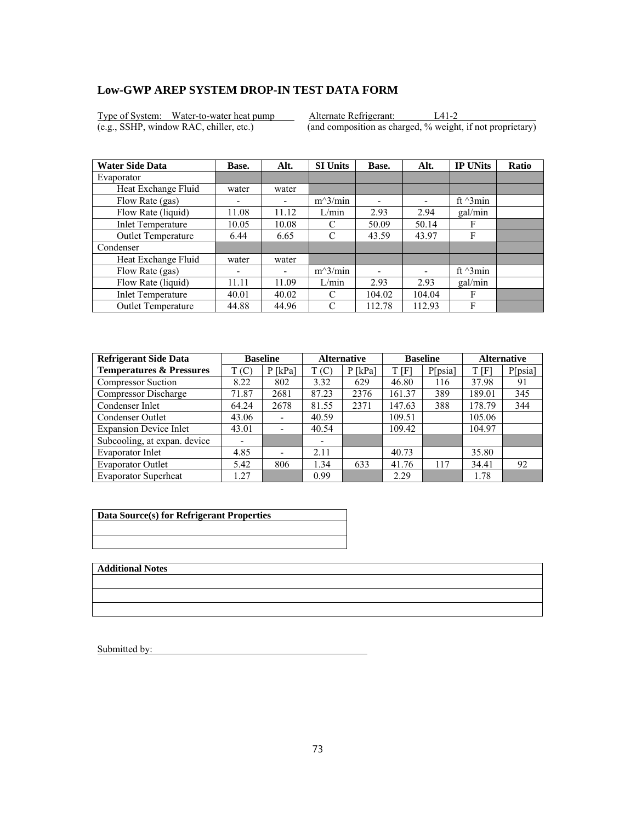Type of System: Water-to-water heat pump Alternate Refrigerant: L41-2<br>
(e.g., SSHP, window RAC, chiller, etc.) (and composition as charged, % weight

 $\overline{(and composition as charged, % weight, if not proprietary)}$ 

| <b>Water Side Data</b>   | Base.                    | Alt.  | <b>SI Units</b> | Base.  | Alt.                     | <b>IP UNits</b>  | <b>Ratio</b> |
|--------------------------|--------------------------|-------|-----------------|--------|--------------------------|------------------|--------------|
| Evaporator               |                          |       |                 |        |                          |                  |              |
| Heat Exchange Fluid      | water                    | water |                 |        |                          |                  |              |
| Flow Rate (gas)          | -                        |       | $m^3/min$       | -      | $\overline{\phantom{0}}$ | ft $\gamma$ 3min |              |
| Flow Rate (liquid)       | 11.08                    | 11.12 | L/min           | 2.93   | 2.94                     | gal/min          |              |
| <b>Inlet Temperature</b> | 10.05                    | 10.08 | C               | 50.09  | 50.14                    | F                |              |
| Outlet Temperature       | 6.44                     | 6.65  | C               | 43.59  | 43.97                    | F                |              |
| Condenser                |                          |       |                 |        |                          |                  |              |
| Heat Exchange Fluid      | water                    | water |                 |        |                          |                  |              |
| Flow Rate (gas)          | $\overline{\phantom{0}}$ | ٠     | $m^3/min$       |        |                          | ft $\gamma$ 3min |              |
| Flow Rate (liquid)       | 11.11                    | 11.09 | L/min           | 2.93   | 2.93                     | gal/min          |              |
| <b>Inlet Temperature</b> | 40.01                    | 40.02 | C               | 104.02 | 104.04                   | F                |              |
| Outlet Temperature       | 44.88                    | 44.96 | C               | 112.78 | 112.93                   | F                |              |

| <b>Refrigerant Side Data</b>        |       | <b>Baseline</b>              |       | <b>Alternative</b> |        | <b>Baseline</b> |        | <b>Alternative</b> |
|-------------------------------------|-------|------------------------------|-------|--------------------|--------|-----------------|--------|--------------------|
| <b>Temperatures &amp; Pressures</b> | T(C)  | $P$ [kPa]                    | T(C)  | $P$ [kPa]          | t [f]  | P[psia]         | T[F]   | P[psia]            |
| <b>Compressor Suction</b>           | 8.22  | 802                          | 3.32  | 629                | 46.80  | 116             | 37.98  | 91                 |
| Compressor Discharge                | 71.87 | 2681                         | 87.23 | 2376               | 161.37 | 389             | 189.01 | 345                |
| Condenser Inlet                     | 64.24 | 2678                         | 81.55 | 2371               | 147.63 | 388             | 178.79 | 344                |
| Condenser Outlet                    | 43.06 | $\qquad \qquad \blacksquare$ | 40.59 |                    | 109.51 |                 | 105.06 |                    |
| <b>Expansion Device Inlet</b>       | 43.01 | $\overline{\phantom{a}}$     | 40.54 |                    | 109.42 |                 | 104.97 |                    |
| Subcooling, at expan. device        |       |                              |       |                    |        |                 |        |                    |
| Evaporator Inlet                    | 4.85  | $\overline{\phantom{0}}$     | 2.11  |                    | 40.73  |                 | 35.80  |                    |
| <b>Evaporator Outlet</b>            | 5.42  | 806                          | 1.34  | 633                | 41.76  | 117             | 34.41  | 92                 |
| <b>Evaporator Superheat</b>         | 27    |                              | 0.99  |                    | 2.29   |                 | 1.78   |                    |

| Data Source(s) for Refrigerant Properties |  |  |  |  |
|-------------------------------------------|--|--|--|--|
|                                           |  |  |  |  |
|                                           |  |  |  |  |

**Additional Notes**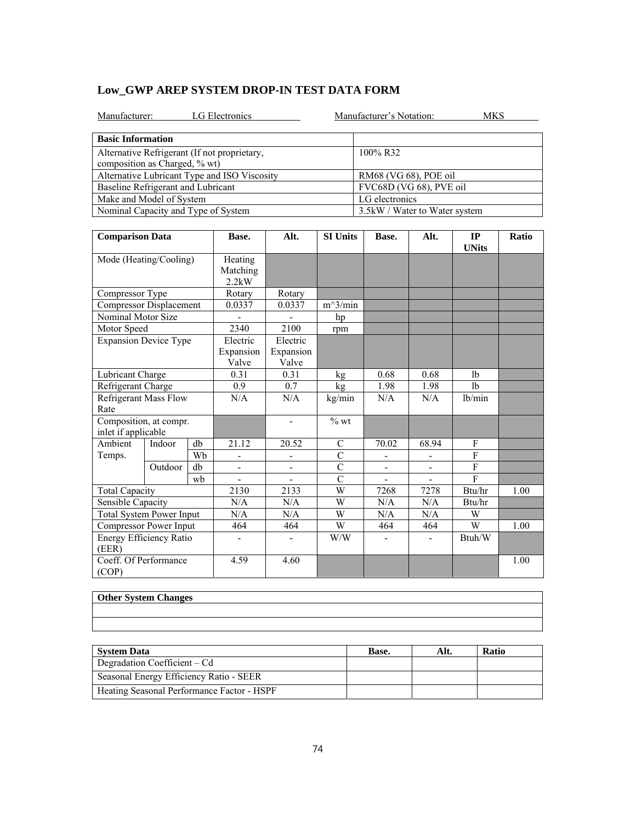| LG Electronics<br>Manufacturer:              | Manufacturer's Notation:<br>MKS |  |  |  |  |
|----------------------------------------------|---------------------------------|--|--|--|--|
| <b>Basic Information</b>                     |                                 |  |  |  |  |
| Alternative Refrigerant (If not proprietary, | 100% R32                        |  |  |  |  |
| composition as Charged, % wt)                |                                 |  |  |  |  |
| Alternative Lubricant Type and ISO Viscosity | RM68 (VG 68), POE oil           |  |  |  |  |
| Baseline Refrigerant and Lubricant           | FVC68D (VG 68), PVE oil         |  |  |  |  |
| Make and Model of System                     | LG electronics                  |  |  |  |  |
| Nominal Capacity and Type of System          | 3.5kW / Water to Water system   |  |  |  |  |

| <b>Comparison Data</b>                        |         |                                 | Base.                          | Alt.           | <b>SI Units</b> | Base. | Alt.           | IP<br><b>UNits</b> | Ratio |
|-----------------------------------------------|---------|---------------------------------|--------------------------------|----------------|-----------------|-------|----------------|--------------------|-------|
| Mode (Heating/Cooling)                        |         | Heating<br>Matching<br>$2.2$ kW |                                |                |                 |       |                |                    |       |
| Compressor Type                               |         |                                 | Rotary                         | Rotary         |                 |       |                |                    |       |
| <b>Compressor Displacement</b>                |         |                                 | 0.0337                         | 0.0337         | $m^3/min$       |       |                |                    |       |
| Nominal Motor Size                            |         |                                 |                                |                | hp              |       |                |                    |       |
| Motor Speed                                   |         |                                 | 2340                           | 2100           | rpm             |       |                |                    |       |
| <b>Expansion Device Type</b>                  |         | Electric<br>Expansion<br>Valve  | Electric<br>Expansion<br>Valve |                |                 |       |                |                    |       |
| Lubricant Charge                              |         |                                 | 0.31                           | 0.31           | kg              | 0.68  | 0.68           | 1 <sub>b</sub>     |       |
| Refrigerant Charge                            |         | 0.9                             | 0.7                            | kg             | 1.98            | 1.98  | 1 <sub>b</sub> |                    |       |
| <b>Refrigerant Mass Flow</b><br>Rate          |         | N/A                             | N/A                            | kg/min         | N/A             | N/A   | lb/min         |                    |       |
| Composition, at compr.<br>inlet if applicable |         |                                 |                                | $\blacksquare$ | $%$ wt          |       |                |                    |       |
| Ambient                                       | Indoor  | db                              | 21.12                          | 20.52          | $\mathcal{C}$   | 70.02 | 68.94          | F                  |       |
| Temps.                                        |         | Wb                              |                                | -              | $\overline{C}$  |       |                | $\mathbf{F}$       |       |
|                                               | Outdoor | db                              |                                |                | $\overline{C}$  |       |                | $\mathbf{F}$       |       |
|                                               |         | wb                              |                                |                | $\overline{C}$  |       |                | F                  |       |
| <b>Total Capacity</b>                         |         |                                 | 2130                           | 2133           | W               | 7268  | 7278           | Btu/hr             | 1.00  |
| Sensible Capacity                             |         |                                 | N/A                            | N/A            | W               | N/A   | N/A            | Btu/hr             |       |
| <b>Total System Power Input</b>               |         |                                 | N/A                            | N/A            | W               | N/A   | N/A            | W                  |       |
| Compressor Power Input                        |         |                                 | 464                            | 464            | W               | 464   | 464            | W                  | 1.00  |
| Energy Efficiency Ratio<br>(EER)              |         |                                 | ÷.                             |                | W/W             |       | ÷,             | Btuh/W             |       |
| Coeff. Of Performance<br>(COP)                |         |                                 | 4.59                           | 4.60           |                 |       |                |                    | 1.00  |

| <b>Other System Changes</b> |  |  |
|-----------------------------|--|--|
|                             |  |  |
|                             |  |  |

| <b>System Data</b>                         | Base. | Alt. | <b>Ratio</b> |
|--------------------------------------------|-------|------|--------------|
| Degradation Coefficient – Cd               |       |      |              |
| Seasonal Energy Efficiency Ratio - SEER    |       |      |              |
| Heating Seasonal Performance Factor - HSPF |       |      |              |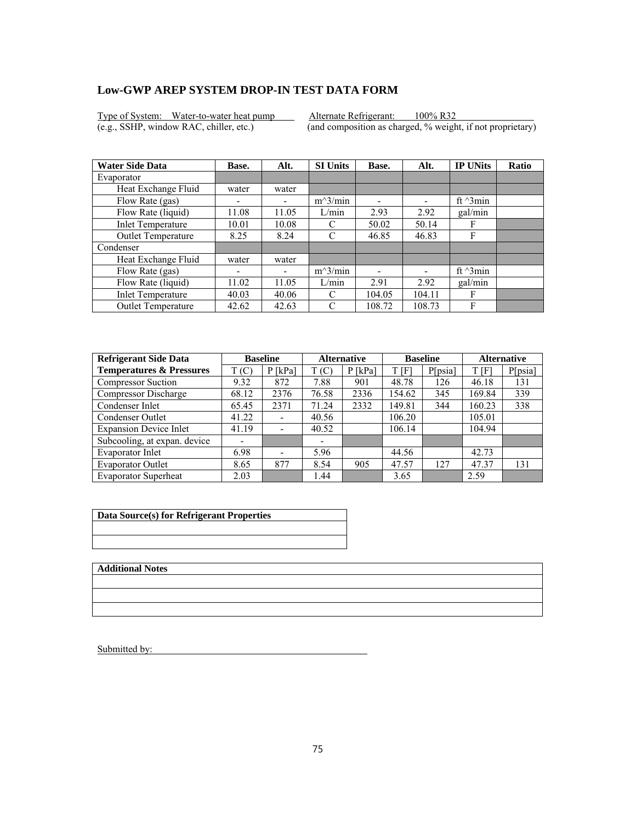Type of System: Water-to-water heat pump Alternate Refrigerant: 100% R32<br>(e.g., SSHP, window RAC, chiller, etc.) (and composition as charged, % weight

 $\overline{(and composition as charged, % weight, if not proprietary)}$ 

| <b>Water Side Data</b>    | Base.                    | Alt.  | <b>SI Units</b> | Base.  | Alt.                     | <b>IP UNits</b>  | <b>Ratio</b> |
|---------------------------|--------------------------|-------|-----------------|--------|--------------------------|------------------|--------------|
| Evaporator                |                          |       |                 |        |                          |                  |              |
| Heat Exchange Fluid       | water                    | water |                 |        |                          |                  |              |
| Flow Rate (gas)           | $\overline{\phantom{0}}$ |       | $m^3/min$       | ۰      | $\overline{\phantom{0}}$ | ft $\gamma$ 3min |              |
| Flow Rate (liquid)        | 11.08                    | 11.05 | L/min           | 2.93   | 2.92                     | gal/min          |              |
| <b>Inlet Temperature</b>  | 10.01                    | 10.08 | C               | 50.02  | 50.14                    | F                |              |
| Outlet Temperature        | 8.25                     | 8.24  | C               | 46.85  | 46.83                    | F                |              |
| Condenser                 |                          |       |                 |        |                          |                  |              |
| Heat Exchange Fluid       | water                    | water |                 |        |                          |                  |              |
| Flow Rate (gas)           | ۰                        | -     | $m^3/min$       |        |                          | ft $\gamma$ 3min |              |
| Flow Rate (liquid)        | 11.02                    | 11.05 | L/min           | 2.91   | 2.92                     | gal/min          |              |
| <b>Inlet Temperature</b>  | 40.03                    | 40.06 | C               | 104.05 | 104.11                   | F                |              |
| <b>Outlet Temperature</b> | 42.62                    | 42.63 | C               | 108.72 | 108.73                   | F                |              |

| <b>Refrigerant Side Data</b>        |       | <b>Baseline</b>              |       | <b>Alternative</b> |        | <b>Baseline</b> |        | <b>Alternative</b> |
|-------------------------------------|-------|------------------------------|-------|--------------------|--------|-----------------|--------|--------------------|
| <b>Temperatures &amp; Pressures</b> | T(C)  | $P$ [kPa]                    | T(C)  | $P$ [kPa]          | t [f]  | P[psia]         | T[F]   | P[psia]            |
| <b>Compressor Suction</b>           | 9.32  | 872                          | 7.88  | 901                | 48.78  | 126             | 46.18  | 131                |
| Compressor Discharge                | 68.12 | 2376                         | 76.58 | 2336               | 154.62 | 345             | 169.84 | 339                |
| Condenser Inlet                     | 65.45 | 2371                         | 71.24 | 2332               | 149.81 | 344             | 160.23 | 338                |
| Condenser Outlet                    | 41.22 | $\qquad \qquad \blacksquare$ | 40.56 |                    | 106.20 |                 | 105.01 |                    |
| <b>Expansion Device Inlet</b>       | 41.19 | $\overline{\phantom{a}}$     | 40.52 |                    | 106.14 |                 | 104.94 |                    |
| Subcooling, at expan. device        |       |                              |       |                    |        |                 |        |                    |
| Evaporator Inlet                    | 6.98  | $\overline{\phantom{0}}$     | 5.96  |                    | 44.56  |                 | 42.73  |                    |
| <b>Evaporator Outlet</b>            | 8.65  | 877                          | 8.54  | 905                | 47.57  | 127             | 47.37  | 131                |
| <b>Evaporator Superheat</b>         | 2.03  |                              | 1.44  |                    | 3.65   |                 | 2.59   |                    |

| Data Source(s) for Refrigerant Properties |  |
|-------------------------------------------|--|
|                                           |  |
|                                           |  |
|                                           |  |
|                                           |  |

**Additional Notes**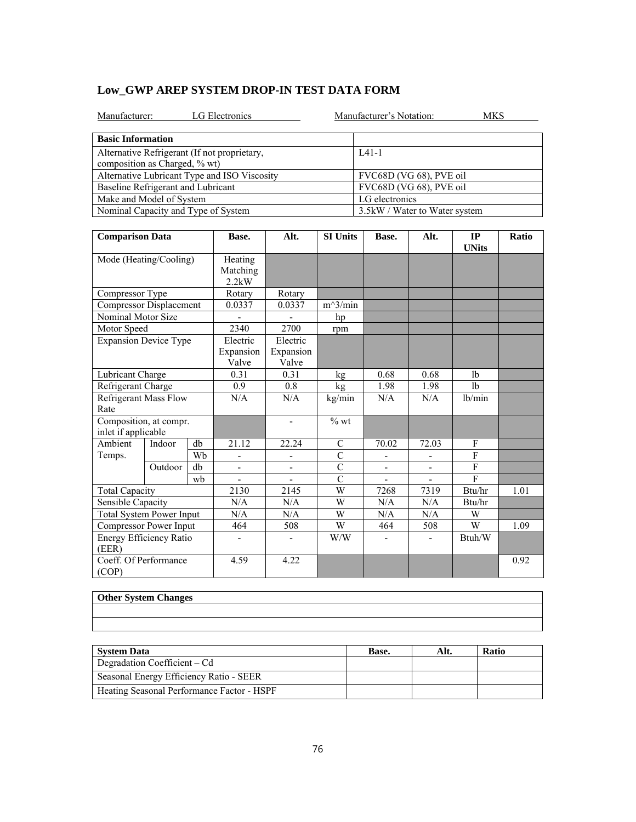|  | Low GWP AREP SYSTEM DROP-IN TEST DATA FORM |  |  |
|--|--------------------------------------------|--|--|
|--|--------------------------------------------|--|--|

| LG Electronics<br>Manufacturer:                                               | Manufacturer's Notation:<br>MKS |
|-------------------------------------------------------------------------------|---------------------------------|
| <b>Basic Information</b>                                                      |                                 |
| Alternative Refrigerant (If not proprietary,<br>composition as Charged, % wt) | $IA1-1$                         |
| Alternative Lubricant Type and ISO Viscosity                                  | FVC68D (VG 68), PVE oil         |
| Baseline Refrigerant and Lubricant                                            | FVC68D (VG 68), PVE oil         |
| Make and Model of System                                                      | LG electronics                  |
| Nominal Capacity and Type of System                                           | 3.5 kW / Water to Water system  |

| <b>Comparison Data</b>                        |         | Base. | Alt.                         | <b>SI Units</b>          | Base.          | Alt.           | IP<br><b>UNits</b> | Ratio          |      |
|-----------------------------------------------|---------|-------|------------------------------|--------------------------|----------------|----------------|--------------------|----------------|------|
| Mode (Heating/Cooling)                        |         |       | Heating<br>Matching<br>2.2kW |                          |                |                |                    |                |      |
| Compressor Type                               |         |       | Rotary                       | Rotary                   |                |                |                    |                |      |
| <b>Compressor Displacement</b>                |         |       | 0.0337                       | 0.0337                   | $m^3/min$      |                |                    |                |      |
| Nominal Motor Size                            |         |       |                              |                          | hp             |                |                    |                |      |
| Motor Speed                                   |         |       | 2340                         | 2700                     | rpm            |                |                    |                |      |
| <b>Expansion Device Type</b>                  |         |       | Electric                     | Electric                 |                |                |                    |                |      |
|                                               |         |       | Expansion<br>Valve           | Expansion<br>Valve       |                |                |                    |                |      |
| Lubricant Charge                              |         |       | 0.31                         | 0.31                     | kg             | 0.68           | 0.68               | 1 <sub>b</sub> |      |
| Refrigerant Charge                            |         |       | 0.9                          | 0.8                      | kg             | 1.98           | 1.98               | 1 <sub>b</sub> |      |
| <b>Refrigerant Mass Flow</b><br>Rate          |         |       | N/A                          | N/A                      | kg/min         | N/A            | N/A                | lb/min         |      |
| Composition, at compr.<br>inlet if applicable |         |       |                              | $\overline{\phantom{a}}$ | $%$ wt         |                |                    |                |      |
| Ambient                                       | Indoor  | db    | 21.12                        | 22.24                    | $\mathbf C$    | 70.02          | 72.03              | F              |      |
| Temps.                                        |         | Wh    |                              |                          | $\overline{C}$ |                |                    | F              |      |
|                                               | Outdoor | db    |                              |                          | $\overline{C}$ |                |                    | $\overline{F}$ |      |
|                                               |         | wh    | ÷,                           |                          | $\overline{C}$ | $\overline{a}$ |                    | $\mathbf{F}$   |      |
| <b>Total Capacity</b>                         |         |       | 2130                         | 2145                     | W              | 7268           | 7319               | Btu/hr         | 1.01 |
| Sensible Capacity                             |         |       | N/A                          | N/A                      | W              | N/A            | N/A                | Btu/hr         |      |
| <b>Total System Power Input</b>               |         |       | N/A                          | N/A                      | W              | N/A            | N/A                | W              |      |
| Compressor Power Input                        |         |       | 464                          | 508                      | W              | 464            | 508                | W              | 1.09 |
| Energy Efficiency Ratio<br>(EER)              |         |       | ۰                            | $\overline{\phantom{0}}$ | W/W            |                | ٠                  | Btuh/W         |      |
| Coeff. Of Performance<br>(COP)                |         |       | 4.59                         | 4.22                     |                |                |                    |                | 0.92 |

| <b>Other System Changes</b> |  |  |
|-----------------------------|--|--|
|                             |  |  |
|                             |  |  |

| <b>System Data</b>                         | Base. | Alt. | <b>Ratio</b> |
|--------------------------------------------|-------|------|--------------|
| Degradation Coefficient – Cd               |       |      |              |
| Seasonal Energy Efficiency Ratio - SEER    |       |      |              |
| Heating Seasonal Performance Factor - HSPF |       |      |              |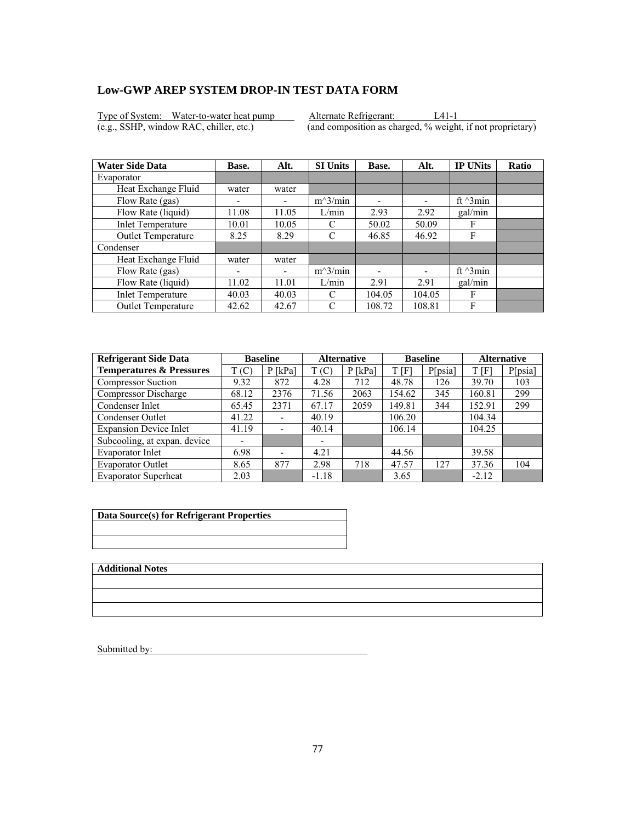Type of System: Water-to-water heat pump Alternate Refrigerant: L41-1<br>
(e.g., SSHP, window RAC, chiller, etc.) (and composition as charged, % weight

 $\overline{(and composition as charged, % weight, if not proprietary)}$ 

| <b>Water Side Data</b>    | Base.                    | Alt.  | <b>SI Units</b> | Base.  | Alt.                     | <b>IP UNits</b>  | <b>Ratio</b> |
|---------------------------|--------------------------|-------|-----------------|--------|--------------------------|------------------|--------------|
| Evaporator                |                          |       |                 |        |                          |                  |              |
| Heat Exchange Fluid       | water                    | water |                 |        |                          |                  |              |
| Flow Rate (gas)           | $\overline{\phantom{0}}$ |       | $m^3/min$       | ۰      | $\overline{\phantom{0}}$ | ft $\gamma$ 3min |              |
| Flow Rate (liquid)        | 11.08                    | 11.05 | L/min           | 2.93   | 2.92                     | gal/min          |              |
| <b>Inlet Temperature</b>  | 10.01                    | 10.05 | C               | 50.02  | 50.09                    | F                |              |
| Outlet Temperature        | 8.25                     | 8.29  | C               | 46.85  | 46.92                    | F                |              |
| Condenser                 |                          |       |                 |        |                          |                  |              |
| Heat Exchange Fluid       | water                    | water |                 |        |                          |                  |              |
| Flow Rate (gas)           | ۰                        | -     | $m^3/min$       |        |                          | ft $\gamma$ 3min |              |
| Flow Rate (liquid)        | 11.02                    | 11.01 | L/min           | 2.91   | 2.91                     | gal/min          |              |
| <b>Inlet Temperature</b>  | 40.03                    | 40.03 | C               | 104.05 | 104.05                   | F                |              |
| <b>Outlet Temperature</b> | 42.62                    | 42.67 | C               | 108.72 | 108.81                   | F                |              |

| <b>Refrigerant Side Data</b>        | <b>Baseline</b> |                              | <b>Alternative</b> |           | <b>Baseline</b> |         | <b>Alternative</b> |         |
|-------------------------------------|-----------------|------------------------------|--------------------|-----------|-----------------|---------|--------------------|---------|
| <b>Temperatures &amp; Pressures</b> | T(C)            | $P$ [kPa]                    | T(C)               | $P$ [kPa] | t [f]           | P[psia] | T[F]               | P[psia] |
| <b>Compressor Suction</b>           | 9.32            | 872                          | 4.28               | 712       | 48.78           | 126     | 39.70              | 103     |
| Compressor Discharge                | 68.12           | 2376                         | 71.56              | 2063      | 154.62          | 345     | 160.81             | 299     |
| Condenser Inlet                     | 65.45           | 2371                         | 67.17              | 2059      | 149.81          | 344     | 152.91             | 299     |
| Condenser Outlet                    | 41.22           | $\qquad \qquad \blacksquare$ | 40.19              |           | 106.20          |         | 104.34             |         |
| <b>Expansion Device Inlet</b>       | 41.19           | $\overline{\phantom{a}}$     | 40.14              |           | 106.14          |         | 104.25             |         |
| Subcooling, at expan. device        |                 |                              |                    |           |                 |         |                    |         |
| Evaporator Inlet                    | 6.98            | $\overline{\phantom{0}}$     | 4.21               |           | 44.56           |         | 39.58              |         |
| <b>Evaporator Outlet</b>            | 8.65            | 877                          | 2.98               | 718       | 47.57           | 127     | 37.36              | 104     |
| <b>Evaporator Superheat</b>         | 2.03            |                              | $-1.18$            |           | 3.65            |         | $-2.12$            |         |

| Data Source(s) for Refrigerant Properties |  |  |  |  |  |  |
|-------------------------------------------|--|--|--|--|--|--|
|                                           |  |  |  |  |  |  |
|                                           |  |  |  |  |  |  |

**Additional Notes**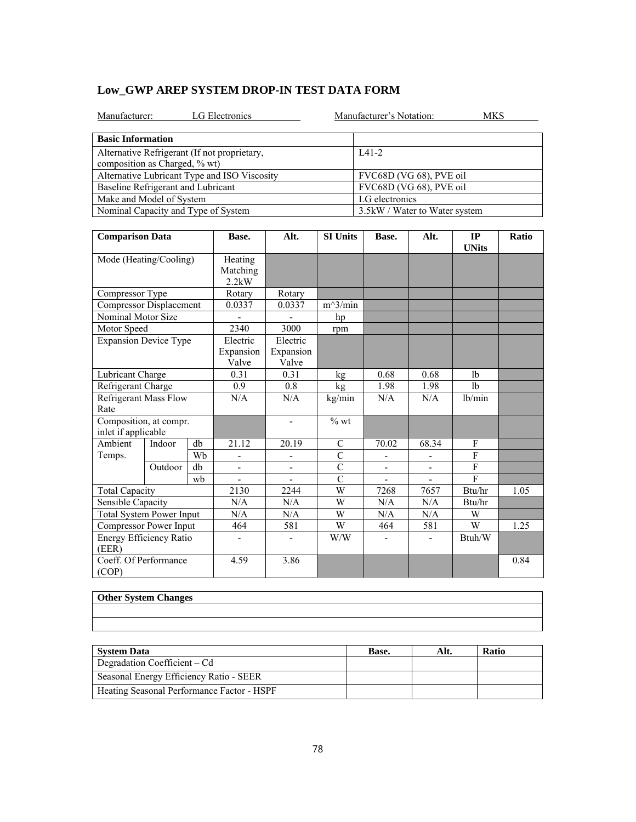|  |  | Low GWP AREP SYSTEM DROP-IN TEST DATA FORM |
|--|--|--------------------------------------------|
|--|--|--------------------------------------------|

| LG Electronics<br>Manufacturer:                                               | Manufacturer's Notation:<br>MKS |
|-------------------------------------------------------------------------------|---------------------------------|
| <b>Basic Information</b>                                                      |                                 |
| Alternative Refrigerant (If not proprietary,<br>composition as Charged, % wt) | $IA1-2$                         |
| Alternative Lubricant Type and ISO Viscosity                                  | FVC68D (VG 68), PVE oil         |
| Baseline Refrigerant and Lubricant                                            | FVC68D (VG 68), PVE oil         |
| Make and Model of System                                                      | LG electronics                  |
| Nominal Capacity and Type of System                                           | 3.5 kW / Water to Water system  |

| <b>Comparison Data</b>                        |         | Base. | Alt.                         | <b>SI Units</b>          | Base.          | Alt.           | IP<br><b>UNits</b> | Ratio          |      |
|-----------------------------------------------|---------|-------|------------------------------|--------------------------|----------------|----------------|--------------------|----------------|------|
| Mode (Heating/Cooling)                        |         |       | Heating<br>Matching<br>2.2kW |                          |                |                |                    |                |      |
| Compressor Type                               |         |       | Rotary                       | Rotary                   |                |                |                    |                |      |
| <b>Compressor Displacement</b>                |         |       | 0.0337                       | 0.0337                   | $m^3/min$      |                |                    |                |      |
| Nominal Motor Size                            |         |       |                              |                          | hp             |                |                    |                |      |
| Motor Speed                                   |         |       | 2340                         | 3000                     | rpm            |                |                    |                |      |
| <b>Expansion Device Type</b>                  |         |       | Electric                     | Electric                 |                |                |                    |                |      |
|                                               |         |       | Expansion<br>Valve           | Expansion<br>Valve       |                |                |                    |                |      |
| Lubricant Charge                              |         |       | 0.31                         | 0.31                     | kg             | 0.68           | 0.68               | 1 <sub>b</sub> |      |
| Refrigerant Charge                            |         |       | 0.9                          | 0.8                      | kg             | 1.98           | 1.98               | 1 <sub>b</sub> |      |
| <b>Refrigerant Mass Flow</b><br>Rate          |         |       | N/A                          | N/A                      | kg/min         | N/A            | N/A                | lb/min         |      |
| Composition, at compr.<br>inlet if applicable |         |       |                              | $\overline{\phantom{0}}$ | $%$ wt         |                |                    |                |      |
| Ambient                                       | Indoor  | db    | 21.12                        | 20.19                    | $\mathbf C$    | 70.02          | 68.34              | F              |      |
| Temps.                                        |         | Wh    |                              |                          | $\overline{C}$ |                |                    | F              |      |
|                                               | Outdoor | db    |                              |                          | $\overline{C}$ |                |                    | $\overline{F}$ |      |
|                                               |         | wh    | ÷,                           |                          | $\overline{C}$ | $\overline{a}$ |                    | $\mathbf{F}$   |      |
| <b>Total Capacity</b>                         |         |       | 2130                         | 2244                     | W              | 7268           | 7657               | Btu/hr         | 1.05 |
| Sensible Capacity                             |         |       | N/A                          | N/A                      | W              | N/A            | N/A                | Btu/hr         |      |
| <b>Total System Power Input</b>               |         |       | N/A                          | N/A                      | W              | N/A            | N/A                | W              |      |
| Compressor Power Input                        |         |       | 464                          | 581                      | W              | 464            | 581                | W              | 1.25 |
| Energy Efficiency Ratio<br>(EER)              |         |       | ۰                            | $\overline{\phantom{0}}$ | W/W            |                | ٠                  | Btuh/W         |      |
| Coeff. Of Performance<br>(COP)                |         |       | 4.59                         | 3.86                     |                |                |                    |                | 0.84 |

| <b>Other System Changes</b> |  |  |
|-----------------------------|--|--|
|                             |  |  |
|                             |  |  |

| <b>System Data</b>                         | Base. | Alt. | <b>Ratio</b> |
|--------------------------------------------|-------|------|--------------|
| Degradation Coefficient – Cd               |       |      |              |
| Seasonal Energy Efficiency Ratio - SEER    |       |      |              |
| Heating Seasonal Performance Factor - HSPF |       |      |              |